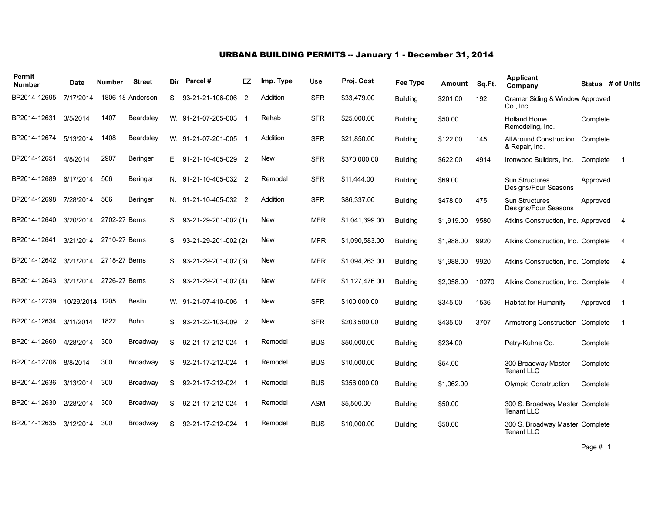### URBANA BUILDING PERMITS -- January 1 - December 31, 2014

| Permit<br><b>Number</b> | Date       | <b>Number</b> | <b>Street</b>    | Dir | Parcel#               | EZ             | Imp. Type  | Use        | Proj. Cost     | <b>Fee Type</b> | Amount     | Sq.Ft. | <b>Applicant</b><br>Company                          |          | Status # of Units |
|-------------------------|------------|---------------|------------------|-----|-----------------------|----------------|------------|------------|----------------|-----------------|------------|--------|------------------------------------------------------|----------|-------------------|
| BP2014-12695            | 7/17/2014  |               | 1806-18 Anderson | S.  | 93-21-21-106-006      | $\overline{2}$ | Addition   | <b>SFR</b> | \$33,479.00    | <b>Building</b> | \$201.00   | 192    | Cramer Siding & Window Approved<br>Co., Inc.         |          |                   |
| BP2014-12631            | 3/5/2014   | 1407          | Beardsley        |     | W. 91-21-07-205-003 1 |                | Rehab      | <b>SFR</b> | \$25,000.00    | <b>Building</b> | \$50.00    |        | <b>Holland Home</b><br>Remodeling, Inc.              | Complete |                   |
| BP2014-12674            | 5/13/2014  | 1408          | Beardsley        |     | W. 91-21-07-201-005 1 |                | Addition   | <b>SFR</b> | \$21,850.00    | <b>Building</b> | \$122.00   | 145    | All Around Construction<br>& Repair, Inc.            | Complete |                   |
| BP2014-12651            | 4/8/2014   | 2907          | Beringer         |     | E. 91-21-10-405-029 2 |                | New        | <b>SFR</b> | \$370,000.00   | <b>Building</b> | \$622.00   | 4914   | Ironwood Builders, Inc.                              | Complete | $\overline{1}$    |
| BP2014-12689            | 6/17/2014  | 506           | Beringer         |     | N. 91-21-10-405-032 2 |                | Remodel    | <b>SFR</b> | \$11,444.00    | <b>Building</b> | \$69.00    |        | <b>Sun Structures</b><br>Designs/Four Seasons        | Approved |                   |
| BP2014-12698            | 7/28/2014  | 506           | Beringer         |     | N. 91-21-10-405-032 2 |                | Addition   | <b>SFR</b> | \$86,337.00    | <b>Building</b> | \$478.00   | 475    | <b>Sun Structures</b><br>Designs/Four Seasons        | Approved |                   |
| BP2014-12640            | 3/20/2014  | 2702-27 Berns |                  | S.  | 93-21-29-201-002 (1)  |                | New        | <b>MFR</b> | \$1,041,399.00 | <b>Building</b> | \$1,919.00 | 9580   | Atkins Construction, Inc. Approved                   |          | 4                 |
| BP2014-12641            | 3/21/2014  | 2710-27 Berns |                  | S.  | 93-21-29-201-002 (2)  |                | New        | <b>MFR</b> | \$1,090,583.00 | <b>Building</b> | \$1.988.00 | 9920   | Atkins Construction, Inc. Complete                   |          | 4                 |
| BP2014-12642            | 3/21/2014  | 2718-27 Berns |                  | S.  | 93-21-29-201-002 (3)  |                | New        | <b>MFR</b> | \$1,094,263.00 | <b>Building</b> | \$1,988.00 | 9920   | Atkins Construction, Inc. Complete                   |          | 4                 |
| BP2014-12643            | 3/21/2014  | 2726-27 Berns |                  | S.  | 93-21-29-201-002 (4)  |                | <b>New</b> | <b>MFR</b> | \$1,127,476.00 | <b>Building</b> | \$2,058.00 | 10270  | Atkins Construction, Inc. Complete                   |          | 4                 |
| BP2014-12739            | 10/29/2014 | 1205          | <b>Beslin</b>    |     | W. 91-21-07-410-006 1 |                | New        | <b>SFR</b> | \$100,000.00   | <b>Building</b> | \$345.00   | 1536   | <b>Habitat for Humanity</b>                          | Approved | -1                |
| BP2014-12634            | 3/11/2014  | 1822          | <b>Bohn</b>      |     | S. 93-21-22-103-009 2 |                | <b>New</b> | <b>SFR</b> | \$203,500.00   | <b>Building</b> | \$435.00   | 3707   | Armstrong Construction Complete                      |          | -1                |
| BP2014-12660            | 4/28/2014  | 300           | Broadway         | S.  | 92-21-17-212-024 1    |                | Remodel    | <b>BUS</b> | \$50,000.00    | <b>Building</b> | \$234.00   |        | Petry-Kuhne Co.                                      | Complete |                   |
| BP2014-12706            | 8/8/2014   | 300           | Broadway         | S.  | 92-21-17-212-024 1    |                | Remodel    | <b>BUS</b> | \$10,000.00    | Building        | \$54.00    |        | 300 Broadway Master<br><b>Tenant LLC</b>             | Complete |                   |
| BP2014-12636            | 3/13/2014  | 300           | Broadway         | S.  | 92-21-17-212-024 1    |                | Remodel    | <b>BUS</b> | \$356,000.00   | <b>Building</b> | \$1,062.00 |        | <b>Olympic Construction</b>                          | Complete |                   |
| BP2014-12630            | 2/28/2014  | 300           | Broadway         | S.  | 92-21-17-212-024 1    |                | Remodel    | <b>ASM</b> | \$5,500.00     | <b>Building</b> | \$50.00    |        | 300 S. Broadway Master Complete<br><b>Tenant LLC</b> |          |                   |
| BP2014-12635            | 3/12/2014  | 300           | Broadway         | S.  | 92-21-17-212-024      |                | Remodel    | <b>BUS</b> | \$10,000.00    | <b>Building</b> | \$50.00    |        | 300 S. Broadway Master Complete<br><b>Tenant LLC</b> |          |                   |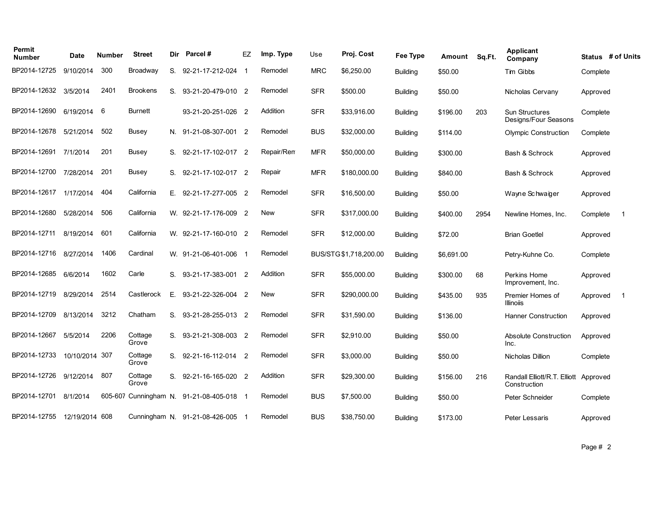| Permit<br><b>Number</b> | Date           | <b>Number</b> | <b>Street</b>    | Dir | Parcel#                                | EZ | Imp. Type  | Use        | Proj. Cost             | Fee Type        | Amount     | Sq.Ft. | <b>Applicant</b><br>Company                           |          | Status # of Units |
|-------------------------|----------------|---------------|------------------|-----|----------------------------------------|----|------------|------------|------------------------|-----------------|------------|--------|-------------------------------------------------------|----------|-------------------|
| BP2014-12725            | 9/10/2014      | 300           | Broadway         |     | S. 92-21-17-212-024                    |    | Remodel    | <b>MRC</b> | \$6,250.00             | <b>Building</b> | \$50.00    |        | Tim Gibbs                                             | Complete |                   |
| BP2014-12632            | 3/5/2014       | 2401          | <b>Brookens</b>  | S.  | 93-21-20-479-010 2                     |    | Remodel    | <b>SFR</b> | \$500.00               | <b>Building</b> | \$50.00    |        | Nicholas Cervany                                      | Approved |                   |
| BP2014-12690            | 6/19/2014      | 6             | <b>Burnett</b>   |     | 93-21-20-251-026 2                     |    | Addition   | <b>SFR</b> | \$33,916.00            | Building        | \$196.00   | 203    | <b>Sun Structures</b><br>Designs/Four Seasons         | Complete |                   |
| BP2014-12678            | 5/21/2014      | 502           | <b>Busey</b>     |     | N. 91-21-08-307-001 2                  |    | Remodel    | <b>BUS</b> | \$32,000.00            | <b>Building</b> | \$114.00   |        | <b>Olympic Construction</b>                           | Complete |                   |
| BP2014-12691 7/1/2014   |                | 201           | <b>Busey</b>     |     | S. 92-21-17-102-017 2                  |    | Repair/Rem | <b>MFR</b> | \$50,000.00            | Building        | \$300.00   |        | Bash & Schrock                                        | Approved |                   |
| BP2014-12700            | 7/28/2014      | 201           | <b>Busey</b>     |     | S. 92-21-17-102-017 2                  |    | Repair     | <b>MFR</b> | \$180,000.00           | <b>Building</b> | \$840.00   |        | Bash & Schrock                                        | Approved |                   |
| BP2014-12617            | 1/17/2014      | 404           | California       |     | E. 92-21-17-277-005 2                  |    | Remodel    | <b>SFR</b> | \$16,500.00            | Building        | \$50.00    |        | Wayne Schwaiger                                       | Approved |                   |
| BP2014-12680            | 5/28/2014      | 506           | California       |     | W. 92-21-17-176-009 2                  |    | New        | <b>SFR</b> | \$317,000.00           | Building        | \$400.00   | 2954   | Newline Homes, Inc.                                   | Complete | $\overline{1}$    |
| BP2014-12711            | 8/19/2014      | 601           | California       |     | W. 92-21-17-160-010 2                  |    | Remodel    | <b>SFR</b> | \$12,000.00            | Building        | \$72.00    |        | <b>Brian Goetlel</b>                                  | Approved |                   |
| BP2014-12716            | 8/27/2014      | 1406          | Cardinal         |     | W. 91-21-06-401-006 1                  |    | Remodel    |            | BUS/STG \$1,718,200.00 | <b>Building</b> | \$6,691.00 |        | Petry-Kuhne Co.                                       | Complete |                   |
| BP2014-12685            | 6/6/2014       | 1602          | Carle            |     | S. 93-21-17-383-001 2                  |    | Addition   | <b>SFR</b> | \$55,000.00            | Building        | \$300.00   | 68     | Perkins Home<br>Improvement, Inc.                     | Approved |                   |
| BP2014-12719            | 8/29/2014      | 2514          | Castlerock       | Е.  | 93-21-22-326-004 2                     |    | New        | <b>SFR</b> | \$290,000.00           | Building        | \$435.00   | 935    | Premier Homes of<br><b>Illinoiis</b>                  | Approved | $\overline{1}$    |
| BP2014-12709            | 8/13/2014      | 3212          | Chatham          | S.  | 93-21-28-255-013 2                     |    | Remodel    | <b>SFR</b> | \$31.590.00            | Building        | \$136.00   |        | <b>Hanner Construction</b>                            | Approved |                   |
| BP2014-12667            | 5/5/2014       | 2206          | Cottage<br>Grove |     | S. 93-21-21-308-003 2                  |    | Remodel    | <b>SFR</b> | \$2,910.00             | <b>Building</b> | \$50.00    |        | <b>Absolute Construction</b><br>Inc.                  | Approved |                   |
| BP2014-12733            | 10/10/2014     | 307           | Cottage<br>Grove |     | S. 92-21-16-112-014 2                  |    | Remodel    | <b>SFR</b> | \$3,000.00             | Building        | \$50.00    |        | <b>Nicholas Dillion</b>                               | Complete |                   |
| BP2014-12726            | 9/12/2014      | 807           | Cottage<br>Grove | S.  | 92-21-16-165-020 2                     |    | Addition   | <b>SFR</b> | \$29,300.00            | Building        | \$156.00   | 216    | Randall Elliott/R.T. Elliott Approved<br>Construction |          |                   |
| BP2014-12701            | 8/1/2014       |               |                  |     | 605-607 Cunningham N. 91-21-08-405-018 |    | Remodel    | <b>BUS</b> | \$7,500.00             | Building        | \$50.00    |        | Peter Schneider                                       | Complete |                   |
| BP2014-12755            | 12/19/2014 608 |               |                  |     | Cunningham N. 91-21-08-426-005         |    | Remodel    | <b>BUS</b> | \$38,750.00            | <b>Building</b> | \$173.00   |        | Peter Lessaris                                        | Approved |                   |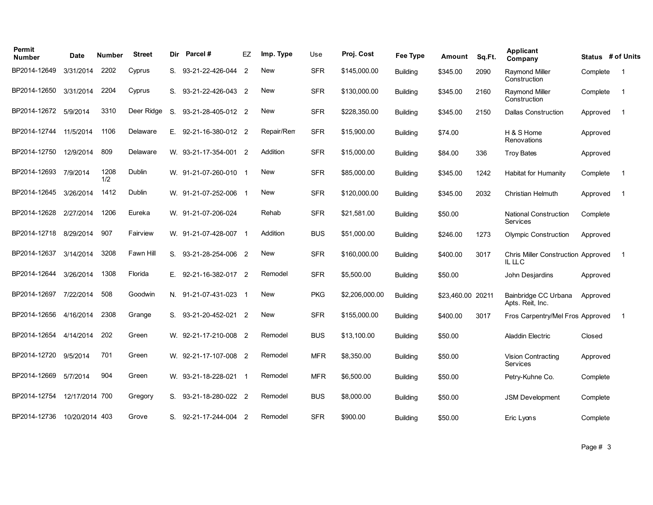| Permit<br><b>Number</b> | <b>Date</b>    | <b>Number</b> | <b>Street</b> | Dir | Parcel#               | EZ | Imp. Type  | Use        | Proj. Cost     | Fee Type        | Amount            | Sq.Ft. | Applicant<br>Company                                | Status # of Units |     |
|-------------------------|----------------|---------------|---------------|-----|-----------------------|----|------------|------------|----------------|-----------------|-------------------|--------|-----------------------------------------------------|-------------------|-----|
| BP2014-12649            | 3/31/2014      | 2202          | Cyprus        | S.  | 93-21-22-426-044 2    |    | <b>New</b> | <b>SFR</b> | \$145,000.00   | <b>Building</b> | \$345.00          | 2090   | <b>Raymond Miller</b><br>Construction               | Complete          | -1  |
| BP2014-12650            | 3/31/2014      | 2204          | Cyprus        | S.  | 93-21-22-426-043 2    |    | <b>New</b> | <b>SFR</b> | \$130,000.00   | <b>Building</b> | \$345.00          | 2160   | Raymond Miller<br>Construction                      | Complete          | - 1 |
| BP2014-12672            | 5/9/2014       | 3310          | Deer Ridge    | S.  | 93-21-28-405-012 2    |    | <b>New</b> | <b>SFR</b> | \$228,350.00   | <b>Building</b> | \$345.00          | 2150   | <b>Dallas Construction</b>                          | Approved          | - 1 |
| BP2014-12744            | 11/5/2014      | 1106          | Delaware      | Е.  | 92-21-16-380-012 2    |    | Repair/Rem | <b>SFR</b> | \$15,900.00    | Building        | \$74.00           |        | H & S Home<br>Renovations                           | Approved          |     |
| BP2014-12750            | 12/9/2014      | 809           | Delaware      |     | W. 93-21-17-354-001 2 |    | Addition   | <b>SFR</b> | \$15,000.00    | <b>Building</b> | \$84.00           | 336    | <b>Troy Bates</b>                                   | Approved          |     |
| BP2014-12693            | 7/9/2014       | 1208<br>1/2   | Dublin        |     | W. 91-21-07-260-010 1 |    | <b>New</b> | <b>SFR</b> | \$85,000.00    | <b>Building</b> | \$345.00          | 1242   | <b>Habitat for Humanity</b>                         | Complete          | -1  |
| BP2014-12645            | 3/26/2014      | 1412          | Dublin        |     | W. 91-21-07-252-006 1 |    | <b>New</b> | <b>SFR</b> | \$120,000.00   | <b>Building</b> | \$345.00          | 2032   | Christian Helmuth                                   | Approved          | -1  |
| BP2014-12628            | 2/27/2014      | 1206          | Eureka        |     | W. 91-21-07-206-024   |    | Rehab      | <b>SFR</b> | \$21,581.00    | <b>Building</b> | \$50.00           |        | <b>National Construction</b><br>Services            | Complete          |     |
| BP2014-12718            | 8/29/2014      | 907           | Fairview      |     | W. 91-21-07-428-007 1 |    | Addition   | <b>BUS</b> | \$51,000.00    | <b>Building</b> | \$246.00          | 1273   | <b>Olympic Construction</b>                         | Approved          |     |
| BP2014-12637            | 3/14/2014      | 3208          | Fawn Hill     | S.  | 93-21-28-254-006 2    |    | <b>New</b> | <b>SFR</b> | \$160,000.00   | <b>Building</b> | \$400.00          | 3017   | <b>Chris Miller Construction Approved</b><br>IL LLC |                   | - 1 |
| BP2014-12644            | 3/26/2014      | 1308          | Florida       |     | E. 92-21-16-382-017 2 |    | Remodel    | <b>SFR</b> | \$5,500.00     | <b>Building</b> | \$50.00           |        | John Desjardins                                     | Approved          |     |
| BP2014-12697            | 7/22/2014      | 508           | Goodwin       |     | N. 91-21-07-431-023 1 |    | <b>New</b> | <b>PKG</b> | \$2,206,000.00 | <b>Building</b> | \$23,460.00 20211 |        | Bainbridge CC Urbana<br>Apts. Reit, Inc.            | Approved          |     |
| BP2014-12656            | 4/16/2014      | 2308          | Grange        |     | S. 93-21-20-452-021 2 |    | <b>New</b> | <b>SFR</b> | \$155,000.00   | <b>Building</b> | \$400.00          | 3017   | Fros Carpentry/Mel Fros Approved                    |                   | -1  |
| BP2014-12654            | 4/14/2014      | 202           | Green         |     | W. 92-21-17-210-008 2 |    | Remodel    | <b>BUS</b> | \$13,100.00    | <b>Building</b> | \$50.00           |        | <b>Aladdin Electric</b>                             | Closed            |     |
| BP2014-12720            | 9/5/2014       | 701           | Green         |     | W. 92-21-17-107-008 2 |    | Remodel    | <b>MFR</b> | \$8,350.00     | <b>Building</b> | \$50.00           |        | Vision Contracting<br>Services                      | Approved          |     |
| BP2014-12669            | 5/7/2014       | 904           | Green         |     | W. 93-21-18-228-021 1 |    | Remodel    | <b>MFR</b> | \$6,500.00     | Building        | \$50.00           |        | Petry-Kuhne Co.                                     | Complete          |     |
| BP2014-12754            | 12/17/2014     | 700           | Gregory       |     | S. 93-21-18-280-022 2 |    | Remodel    | <b>BUS</b> | \$8,000.00     | <b>Building</b> | \$50.00           |        | <b>JSM Development</b>                              | Complete          |     |
| BP2014-12736            | 10/20/2014 403 |               | Grove         |     | S. 92-21-17-244-004 2 |    | Remodel    | <b>SFR</b> | \$900.00       | <b>Building</b> | \$50.00           |        | Eric Lyons                                          | Complete          |     |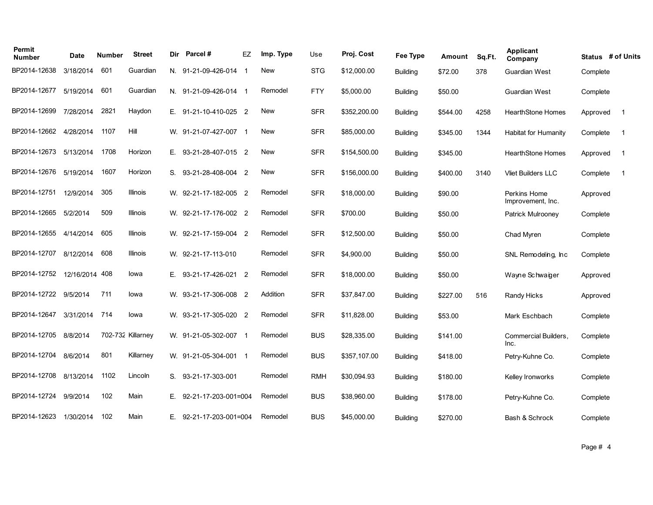| Permit<br><b>Number</b> | <b>Date</b> | <b>Number</b> | <b>Street</b>     | Dir | Parcel#                   | EZ | Imp. Type  | Use        | Proj. Cost   | Fee Type        | Amount   | Sq.Ft. | <b>Applicant</b><br>Company       | Status # of Units |                          |
|-------------------------|-------------|---------------|-------------------|-----|---------------------------|----|------------|------------|--------------|-----------------|----------|--------|-----------------------------------|-------------------|--------------------------|
| BP2014-12638            | 3/18/2014   | 601           | Guardian          |     | N. 91-21-09-426-014 1     |    | <b>New</b> | <b>STG</b> | \$12,000.00  | <b>Building</b> | \$72.00  | 378    | Guardian West                     | Complete          |                          |
| BP2014-12677            | 5/19/2014   | 601           | Guardian          |     | N. 91-21-09-426-014 1     |    | Remodel    | <b>FTY</b> | \$5,000.00   | <b>Building</b> | \$50.00  |        | <b>Guardian West</b>              | Complete          |                          |
| BP2014-12699            | 7/28/2014   | 2821          | Haydon            |     | E. 91-21-10-410-025 2     |    | <b>New</b> | <b>SFR</b> | \$352,200.00 | <b>Building</b> | \$544.00 | 4258   | <b>HearthStone Homes</b>          | Approved          | $\overline{\phantom{0}}$ |
| BP2014-12662            | 4/28/2014   | 1107          | Hill              |     | W. 91-21-07-427-007 1     |    | <b>New</b> | <b>SFR</b> | \$85,000.00  | Building        | \$345.00 | 1344   | <b>Habitat for Humanity</b>       | Complete          | - 1                      |
| BP2014-12673            | 5/13/2014   | 1708          | Horizon           |     | E. 93-21-28-407-015 2     |    | <b>New</b> | <b>SFR</b> | \$154,500.00 | <b>Building</b> | \$345.00 |        | <b>HearthStone Homes</b>          | Approved          | - 1                      |
| BP2014-12676            | 5/19/2014   | 1607          | Horizon           |     | S. 93-21-28-408-004 2     |    | <b>New</b> | <b>SFR</b> | \$156,000.00 | <b>Building</b> | \$400.00 | 3140   | <b>Vliet Builders LLC</b>         | Complete          | -1                       |
| BP2014-12751            | 12/9/2014   | 305           | Illinois          |     | W. 92-21-17-182-005 2     |    | Remodel    | <b>SFR</b> | \$18,000.00  | <b>Building</b> | \$90.00  |        | Perkins Home<br>Improvement, Inc. | Approved          |                          |
| BP2014-12665            | 5/2/2014    | 509           | Illinois          |     | W. 92-21-17-176-002 2     |    | Remodel    | <b>SFR</b> | \$700.00     | <b>Building</b> | \$50.00  |        | <b>Patrick Mulrooney</b>          | Complete          |                          |
| BP2014-12655            | 4/14/2014   | 605           | Illinois          |     | W. 92-21-17-159-004 2     |    | Remodel    | <b>SFR</b> | \$12,500.00  | <b>Building</b> | \$50.00  |        | Chad Myren                        | Complete          |                          |
| BP2014-12707            | 8/12/2014   | 608           | Illinois          |     | W. 92-21-17-113-010       |    | Remodel    | <b>SFR</b> | \$4,900.00   | <b>Building</b> | \$50.00  |        | SNL Remodeling, Inc.              | Complete          |                          |
| BP2014-12752            | 12/16/2014  | 408           | lowa              |     | E. 93-21-17-426-021 2     |    | Remodel    | <b>SFR</b> | \$18,000.00  | <b>Building</b> | \$50.00  |        | Wayne Schwaiger                   | Approved          |                          |
| BP2014-12722            | 9/5/2014    | 711           | lowa              |     | W. 93-21-17-306-008 2     |    | Addition   | <b>SFR</b> | \$37,847.00  | <b>Building</b> | \$227.00 | 516    | Randy Hicks                       | Approved          |                          |
| BP2014-12647            | 3/31/2014   | 714           | lowa              |     | W. 93-21-17-305-020 2     |    | Remodel    | <b>SFR</b> | \$11,828.00  | <b>Building</b> | \$53.00  |        | Mark Eschbach                     | Complete          |                          |
| BP2014-12705            | 8/8/2014    |               | 702-732 Killarney |     | W. 91-21-05-302-007 1     |    | Remodel    | <b>BUS</b> | \$28,335.00  | <b>Building</b> | \$141.00 |        | Commercial Builders.<br>Inc.      | Complete          |                          |
| BP2014-12704            | 8/6/2014    | 801           | Killarney         |     | W. 91-21-05-304-001 1     |    | Remodel    | <b>BUS</b> | \$357,107.00 | <b>Building</b> | \$418.00 |        | Petry-Kuhne Co.                   | Complete          |                          |
| BP2014-12708            | 8/13/2014   | 1102          | Lincoln           |     | S. 93-21-17-303-001       |    | Remodel    | <b>RMH</b> | \$30,094.93  | <b>Building</b> | \$180.00 |        | Kelley Ironworks                  | Complete          |                          |
| BP2014-12724            | 9/9/2014    | 102           | Main              | Е.  | 92-21-17-203-001=004      |    | Remodel    | <b>BUS</b> | \$38,960.00  | Building        | \$178.00 |        | Petry-Kuhne Co.                   | Complete          |                          |
| BP2014-12623            | 1/30/2014   | 102           | Main              |     | $E.$ 92-21-17-203-001=004 |    | Remodel    | <b>BUS</b> | \$45,000.00  | <b>Building</b> | \$270.00 |        | Bash & Schrock                    | Complete          |                          |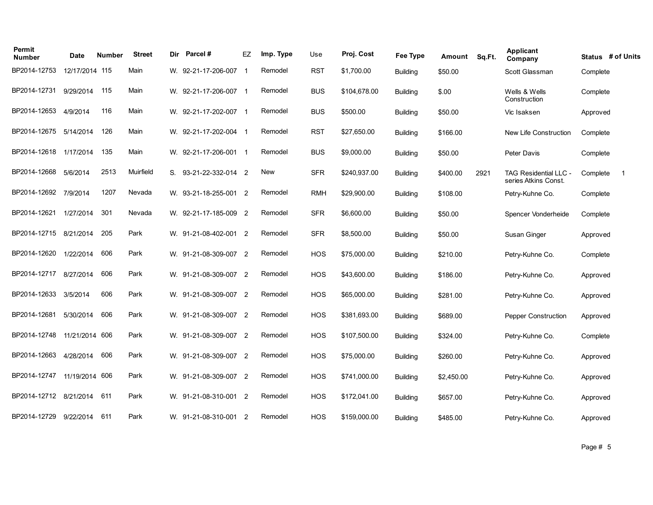| Permit<br><b>Number</b> | Date           | <b>Number</b> | <b>Street</b> | Dir | Parcel#               | EZ | Imp. Type | Use        | Proj. Cost   | Fee Type        | Amount     | Sq.Ft. | <b>Applicant</b><br>Company                          | Status # of Units |
|-------------------------|----------------|---------------|---------------|-----|-----------------------|----|-----------|------------|--------------|-----------------|------------|--------|------------------------------------------------------|-------------------|
| BP2014-12753            | 12/17/2014 115 |               | Main          |     | W. 92-21-17-206-007   | -1 | Remodel   | <b>RST</b> | \$1,700.00   | <b>Building</b> | \$50.00    |        | Scott Glassman                                       | Complete          |
| BP2014-12731            | 9/29/2014      | 115           | Main          |     | W. 92-21-17-206-007 1 |    | Remodel   | <b>BUS</b> | \$104,678.00 | <b>Building</b> | \$.00      |        | Wells & Wells<br>Construction                        | Complete          |
| BP2014-12653            | 4/9/2014       | 116           | Main          |     | W. 92-21-17-202-007 1 |    | Remodel   | <b>BUS</b> | \$500.00     | <b>Building</b> | \$50.00    |        | Vic Isaksen                                          | Approved          |
| BP2014-12675            | 5/14/2014      | 126           | Main          |     | W. 92-21-17-202-004 1 |    | Remodel   | <b>RST</b> | \$27,650.00  | <b>Building</b> | \$166.00   |        | New Life Construction                                | Complete          |
| BP2014-12618            | 1/17/2014      | 135           | Main          |     | W. 92-21-17-206-001 1 |    | Remodel   | <b>BUS</b> | \$9,000.00   | <b>Building</b> | \$50.00    |        | Peter Davis                                          | Complete          |
| BP2014-12668            | 5/6/2014       | 2513          | Muirfield     |     | S. 93-21-22-332-014 2 |    | New       | <b>SFR</b> | \$240,937.00 | <b>Building</b> | \$400.00   | 2921   | <b>TAG Residential LLC -</b><br>series Atkins Const. | Complete<br>-1    |
| BP2014-12692            | 7/9/2014       | 1207          | Nevada        |     | W. 93-21-18-255-001 2 |    | Remodel   | <b>RMH</b> | \$29,900.00  | <b>Building</b> | \$108.00   |        | Petry-Kuhne Co.                                      | Complete          |
| BP2014-12621            | 1/27/2014      | 301           | Nevada        |     | W. 92-21-17-185-009 2 |    | Remodel   | <b>SFR</b> | \$6,600.00   | <b>Building</b> | \$50.00    |        | Spencer Vonderheide                                  | Complete          |
| BP2014-12715            | 8/21/2014      | 205           | Park          |     | W. 91-21-08-402-001 2 |    | Remodel   | <b>SFR</b> | \$8,500.00   | <b>Building</b> | \$50.00    |        | Susan Ginger                                         | Approved          |
| BP2014-12620            | 1/22/2014      | 606           | Park          |     | W. 91-21-08-309-007 2 |    | Remodel   | <b>HOS</b> | \$75,000.00  | <b>Building</b> | \$210.00   |        | Petry-Kuhne Co.                                      | Complete          |
| BP2014-12717            | 8/27/2014      | 606           | Park          |     | W. 91-21-08-309-007 2 |    | Remodel   | <b>HOS</b> | \$43,600.00  | <b>Building</b> | \$186.00   |        | Petry-Kuhne Co.                                      | Approved          |
| BP2014-12633            | 3/5/2014       | 606           | Park          |     | W. 91-21-08-309-007 2 |    | Remodel   | HOS        | \$65,000.00  | <b>Building</b> | \$281.00   |        | Petry-Kuhne Co.                                      | Approved          |
| BP2014-12681            | 5/30/2014      | 606           | Park          |     | W. 91-21-08-309-007 2 |    | Remodel   | <b>HOS</b> | \$381,693.00 | <b>Building</b> | \$689.00   |        | <b>Pepper Construction</b>                           | Approved          |
| BP2014-12748            | 11/21/2014     | 606           | Park          |     | W. 91-21-08-309-007 2 |    | Remodel   | HOS        | \$107,500.00 | <b>Building</b> | \$324.00   |        | Petry-Kuhne Co.                                      | Complete          |
| BP2014-12663            | 4/28/2014      | 606           | Park          |     | W. 91-21-08-309-007 2 |    | Remodel   | <b>HOS</b> | \$75,000.00  | <b>Building</b> | \$260.00   |        | Petry-Kuhne Co.                                      | Approved          |
| BP2014-12747            | 11/19/2014     | 606           | Park          |     | W. 91-21-08-309-007 2 |    | Remodel   | <b>HOS</b> | \$741,000.00 | <b>Building</b> | \$2,450.00 |        | Petry-Kuhne Co.                                      | Approved          |
| BP2014-12712            | 8/21/2014      | 611           | Park          |     | W. 91-21-08-310-001 2 |    | Remodel   | <b>HOS</b> | \$172,041.00 | <b>Building</b> | \$657.00   |        | Petry-Kuhne Co.                                      | Approved          |
| BP2014-12729            | 9/22/2014      | 611           | Park          |     | W. 91-21-08-310-001 2 |    | Remodel   | <b>HOS</b> | \$159,000.00 | <b>Building</b> | \$485.00   |        | Petry-Kuhne Co.                                      | Approved          |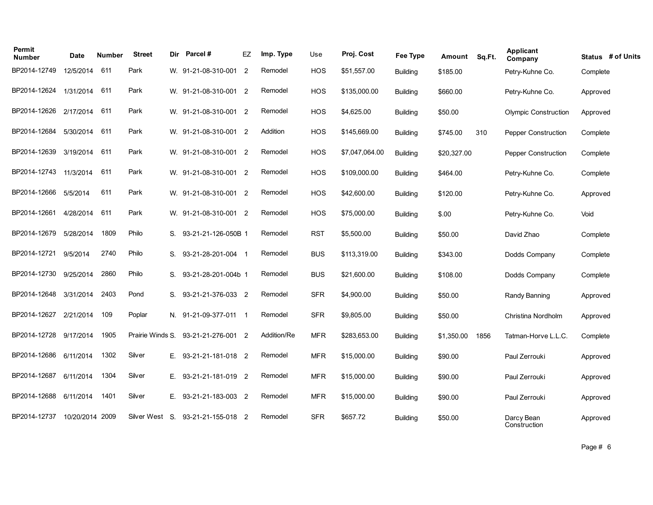| Permit<br><b>Number</b> | Date            | <b>Number</b> | <b>Street</b>    | Dir | Parcel#               | EZ             | Imp. Type   | Use        | Proj. Cost     | Fee Type        | Amount      | Sq.Ft. | <b>Applicant</b><br>Company | Status # of Units |
|-------------------------|-----------------|---------------|------------------|-----|-----------------------|----------------|-------------|------------|----------------|-----------------|-------------|--------|-----------------------------|-------------------|
| BP2014-12749            | 12/5/2014       | 611           | Park             |     | W. 91-21-08-310-001   | $\overline{2}$ | Remodel     | <b>HOS</b> | \$51,557.00    | <b>Building</b> | \$185.00    |        | Petry-Kuhne Co.             | Complete          |
| BP2014-12624            | 1/31/2014       | 611           | Park             |     | W. 91-21-08-310-001 2 |                | Remodel     | <b>HOS</b> | \$135,000.00   | <b>Building</b> | \$660.00    |        | Petry-Kuhne Co.             | Approved          |
| BP2014-12626            | 2/17/2014       | 611           | Park             |     | W. 91-21-08-310-001 2 |                | Remodel     | <b>HOS</b> | \$4,625.00     | <b>Building</b> | \$50.00     |        | <b>Olympic Construction</b> | Approved          |
| BP2014-12684            | 5/30/2014       | 611           | Park             |     | W. 91-21-08-310-001 2 |                | Addition    | <b>HOS</b> | \$145,669.00   | <b>Building</b> | \$745.00    | 310    | <b>Pepper Construction</b>  | Complete          |
| BP2014-12639            | 3/19/2014       | 611           | Park             |     | W. 91-21-08-310-001 2 |                | Remodel     | <b>HOS</b> | \$7,047,064.00 | <b>Building</b> | \$20,327.00 |        | Pepper Construction         | Complete          |
| BP2014-12743            | 11/3/2014       | 611           | Park             |     | W. 91-21-08-310-001 2 |                | Remodel     | HOS        | \$109,000.00   | <b>Building</b> | \$464.00    |        | Petry-Kuhne Co.             | Complete          |
| BP2014-12666            | 5/5/2014        | 611           | Park             |     | W. 91-21-08-310-001 2 |                | Remodel     | <b>HOS</b> | \$42,600.00    | <b>Building</b> | \$120.00    |        | Petry-Kuhne Co.             | Approved          |
| BP2014-12661            | 4/28/2014       | 611           | Park             |     | W. 91-21-08-310-001 2 |                | Remodel     | HOS        | \$75,000.00    | <b>Building</b> | \$.00       |        | Petry-Kuhne Co.             | Void              |
| BP2014-12679            | 5/28/2014       | 1809          | Philo            | S.  | 93-21-21-126-050B 1   |                | Remodel     | <b>RST</b> | \$5,500.00     | <b>Building</b> | \$50.00     |        | David Zhao                  | Complete          |
| BP2014-12721            | 9/5/2014        | 2740          | Philo            | S.  | 93-21-28-201-004 1    |                | Remodel     | <b>BUS</b> | \$113,319.00   | <b>Building</b> | \$343.00    |        | Dodds Company               | Complete          |
| BP2014-12730            | 9/25/2014       | 2860          | Philo            | S.  | 93-21-28-201-004b 1   |                | Remodel     | <b>BUS</b> | \$21,600.00    | <b>Building</b> | \$108.00    |        | Dodds Company               | Complete          |
| BP2014-12648            | 3/31/2014       | 2403          | Pond             | S.  | 93-21-21-376-033 2    |                | Remodel     | <b>SFR</b> | \$4,900.00     | <b>Building</b> | \$50.00     |        | Randy Banning               | Approved          |
| BP2014-12627            | 2/21/2014       | 109           | Poplar           |     | N. 91-21-09-377-011   |                | Remodel     | <b>SFR</b> | \$9,805.00     | <b>Building</b> | \$50.00     |        | Christina Nordholm          | Approved          |
| BP2014-12728            | 9/17/2014       | 1905          | Prairie Winds S. |     | 93-21-21-276-001 2    |                | Addition/Re | <b>MFR</b> | \$283,653.00   | <b>Building</b> | \$1,350.00  | 1856   | Tatman-Horve L.L.C.         | Complete          |
| BP2014-12686            | 6/11/2014       | 1302          | Silver           | Е.  | 93-21-21-181-018 2    |                | Remodel     | <b>MFR</b> | \$15,000.00    | <b>Building</b> | \$90.00     |        | Paul Zerrouki               | Approved          |
| BP2014-12687            | 6/11/2014       | 1304          | Silver           | Е.  | 93-21-21-181-019 2    |                | Remodel     | <b>MFR</b> | \$15,000.00    | <b>Building</b> | \$90.00     |        | Paul Zerrouki               | Approved          |
| BP2014-12688            | 6/11/2014       | 1401          | Silver           | E.  | 93-21-21-183-003 2    |                | Remodel     | <b>MFR</b> | \$15,000.00    | <b>Building</b> | \$90.00     |        | Paul Zerrouki               | Approved          |
| BP2014-12737            | 10/20/2014 2009 |               | Silver West      | S.  | 93-21-21-155-018 2    |                | Remodel     | <b>SFR</b> | \$657.72       | <b>Building</b> | \$50.00     |        | Darcy Bean<br>Construction  | Approved          |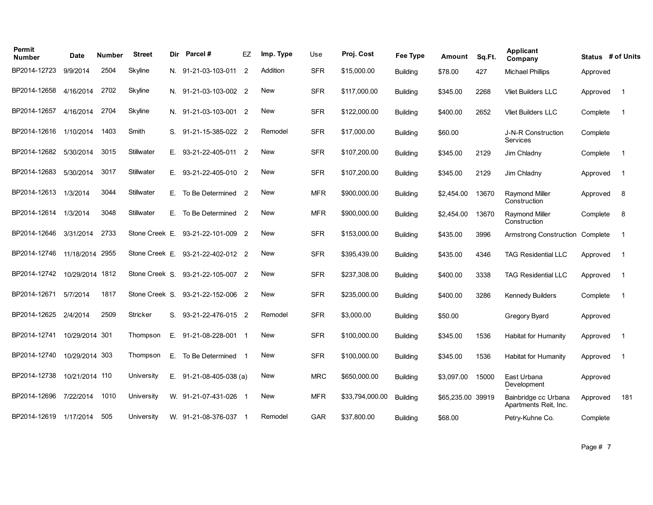| Permit<br><b>Number</b> | Date           | <b>Number</b> | <b>Street</b>   | Dir | Parcel#               | EZ             | Imp. Type  | Use        | Proj. Cost      | Fee Type        | Amount            | Sq.Ft. | <b>Applicant</b><br>Company                   | Status # of Units |                |
|-------------------------|----------------|---------------|-----------------|-----|-----------------------|----------------|------------|------------|-----------------|-----------------|-------------------|--------|-----------------------------------------------|-------------------|----------------|
| BP2014-12723            | 9/9/2014       | 2504          | Skyline         |     | N. 91-21-03-103-011   | $\overline{2}$ | Addition   | <b>SFR</b> | \$15,000.00     | <b>Building</b> | \$78.00           | 427    | <b>Michael Phillips</b>                       | Approved          |                |
| BP2014-12658            | 4/16/2014      | 2702          | Skyline         |     | N. 91-21-03-103-002 2 |                | <b>New</b> | <b>SFR</b> | \$117,000.00    | <b>Building</b> | \$345.00          | 2268   | <b>Vliet Builders LLC</b>                     | Approved          | $\overline{1}$ |
| BP2014-12657            | 4/16/2014      | 2704          | Skyline         |     | N. 91-21-03-103-001 2 |                | <b>New</b> | <b>SFR</b> | \$122,000.00    | <b>Building</b> | \$400.00          | 2652   | <b>Vliet Builders LLC</b>                     | Complete          | $\overline{1}$ |
| BP2014-12616            | 1/10/2014      | 1403          | Smith           |     | S. 91-21-15-385-022 2 |                | Remodel    | <b>SFR</b> | \$17,000.00     | Building        | \$60.00           |        | J-N-R Construction<br><b>Services</b>         | Complete          |                |
| BP2014-12682            | 5/30/2014      | 3015          | Stillwater      |     | E. 93-21-22-405-011 2 |                | <b>New</b> | <b>SFR</b> | \$107,200.00    | Building        | \$345.00          | 2129   | Jim Chladny                                   | Complete          | $\overline{1}$ |
| BP2014-12683            | 5/30/2014      | 3017          | Stillwater      |     | E. 93-21-22-405-010 2 |                | <b>New</b> | <b>SFR</b> | \$107,200.00    | <b>Building</b> | \$345.00          | 2129   | Jim Chladny                                   | Approved          | $\mathbf 1$    |
| BP2014-12613            | 1/3/2014       | 3044          | Stillwater      | Е.  | To Be Determined 2    |                | <b>New</b> | <b>MFR</b> | \$900,000.00    | Building        | \$2.454.00        | 13670  | <b>Ravmond Miller</b><br>Construction         | Approved          | 8              |
| BP2014-12614            | 1/3/2014       | 3048          | Stillwater      | Е.  | To Be Determined 2    |                | New        | <b>MFR</b> | \$900,000.00    | <b>Building</b> | \$2.454.00        | 13670  | <b>Raymond Miller</b><br>Construction         | Complete          | 8              |
| BP2014-12646            | 3/31/2014      | 2733          | Stone Creek E.  |     | 93-21-22-101-009 2    |                | New        | <b>SFR</b> | \$153,000.00    | <b>Building</b> | \$435.00          | 3996   | Armstrong Construction                        | Complete          | $\overline{1}$ |
| BP2014-12746            | 11/18/2014     | 2955          | Stone Creek E.  |     | 93-21-22-402-012 2    |                | New        | <b>SFR</b> | \$395,439.00    | <b>Building</b> | \$435.00          | 4346   | <b>TAG Residential LLC</b>                    | Approved          | $\overline{1}$ |
| BP2014-12742            | 10/29/2014     | 1812          | Stone Creek S.  |     | 93-21-22-105-007 2    |                | New        | <b>SFR</b> | \$237,308.00    | <b>Building</b> | \$400.00          | 3338   | <b>TAG Residential LLC</b>                    | Approved          | $\mathbf{1}$   |
| BP2014-12671            | 5/7/2014       | 1817          | Stone Creek S.  |     | 93-21-22-152-006 2    |                | <b>New</b> | <b>SFR</b> | \$235,000.00    | <b>Building</b> | \$400.00          | 3286   | <b>Kennedy Builders</b>                       | Complete          | $\overline{1}$ |
| BP2014-12625            | 2/4/2014       | 2509          | <b>Stricker</b> | S.  | 93-21-22-476-015 2    |                | Remodel    | <b>SFR</b> | \$3,000.00      | <b>Building</b> | \$50.00           |        | Gregory Byard                                 | Approved          |                |
| BP2014-12741            | 10/29/2014 301 |               | Thompson        | Е.  | 91-21-08-228-001 1    |                | New        | <b>SFR</b> | \$100,000.00    | <b>Building</b> | \$345.00          | 1536   | Habitat for Humanity                          | Approved          | $\overline{1}$ |
| BP2014-12740            | 10/29/2014     | 303           | Thompson        | Е.  | To Be Determined 1    |                | <b>New</b> | <b>SFR</b> | \$100,000.00    | <b>Building</b> | \$345.00          | 1536   | Habitat for Humanity                          | Approved          | $\overline{1}$ |
| BP2014-12738            | 10/21/2014 110 |               | University      | Е.  | 91-21-08-405-038 (a)  |                | New        | <b>MRC</b> | \$650,000.00    | <b>Building</b> | \$3,097.00        | 15000  | East Urbana<br>Development                    | Approved          |                |
| BP2014-12696            | 7/22/2014      | 1010          | University      |     | W. 91-21-07-431-026 1 |                | <b>New</b> | <b>MFR</b> | \$33,794,000.00 | <b>Building</b> | \$65,235.00 39919 |        | Bainbridge cc Urbana<br>Apartments Reit, Inc. | Approved          | 181            |
| BP2014-12619            | 1/17/2014      | 505           | University      |     | W. 91-21-08-376-037 1 |                | Remodel    | <b>GAR</b> | \$37,800.00     | <b>Building</b> | \$68.00           |        | Petry-Kuhne Co.                               | Complete          |                |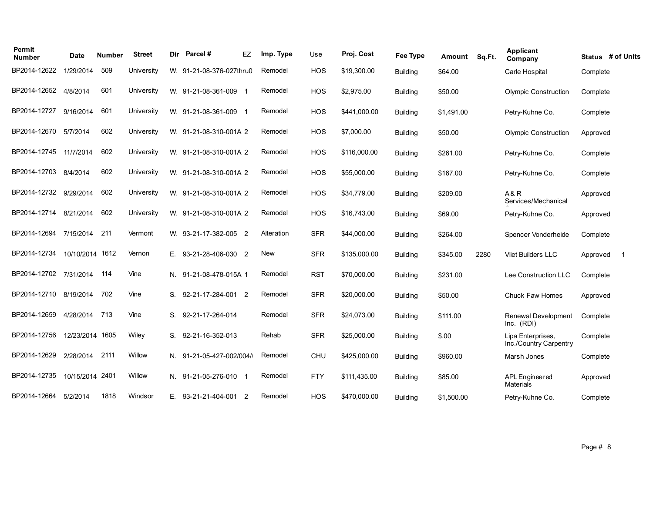| Permit<br><b>Number</b> | <b>Date</b>     | Number | <b>Street</b> | Dir | Parcel#                  | EZ             | Imp. Type  | Use        | Proj. Cost   | <b>Fee Type</b> | Amount     | Sq.Ft. | <b>Applicant</b><br>Company                 | Status # of Units |                |
|-------------------------|-----------------|--------|---------------|-----|--------------------------|----------------|------------|------------|--------------|-----------------|------------|--------|---------------------------------------------|-------------------|----------------|
| BP2014-12622            | 1/29/2014       | 509    | University    |     | W. 91-21-08-376-027thru0 |                | Remodel    | <b>HOS</b> | \$19,300.00  | <b>Building</b> | \$64.00    |        | Carle Hospital                              | Complete          |                |
| BP2014-12652            | 4/8/2014        | 601    | University    |     | W. 91-21-08-361-009 1    |                | Remodel    | HOS        | \$2,975.00   | <b>Building</b> | \$50.00    |        | <b>Olympic Construction</b>                 | Complete          |                |
| BP2014-12727            | 9/16/2014       | 601    | University    |     | W. 91-21-08-361-009 1    |                | Remodel    | <b>HOS</b> | \$441,000.00 | <b>Building</b> | \$1,491.00 |        | Petry-Kuhne Co.                             | Complete          |                |
| BP2014-12670            | 5/7/2014        | 602    | University    |     | W. 91-21-08-310-001A 2   |                | Remodel    | <b>HOS</b> | \$7,000.00   | <b>Building</b> | \$50.00    |        | <b>Olympic Construction</b>                 | Approved          |                |
| BP2014-12745            | 11/7/2014       | 602    | University    |     | W. 91-21-08-310-001A 2   |                | Remodel    | HOS        | \$116,000.00 | <b>Building</b> | \$261.00   |        | Petry-Kuhne Co.                             | Complete          |                |
| BP2014-12703            | 8/4/2014        | 602    | University    |     | W. 91-21-08-310-001A 2   |                | Remodel    | HOS        | \$55,000.00  | <b>Building</b> | \$167.00   |        | Petry-Kuhne Co.                             | Complete          |                |
| BP2014-12732            | 9/29/2014       | 602    | University    |     | W. 91-21-08-310-001A 2   |                | Remodel    | <b>HOS</b> | \$34,779.00  | <b>Building</b> | \$209.00   |        | A&R<br>Services/Mechanical                  | Approved          |                |
| BP2014-12714            | 8/21/2014       | 602    | University    |     | W. 91-21-08-310-001A 2   |                | Remodel    | <b>HOS</b> | \$16,743.00  | <b>Building</b> | \$69.00    |        | Petry-Kuhne Co.                             | Approved          |                |
| BP2014-12694            | 7/15/2014       | 211    | Vermont       |     | W. 93-21-17-382-005 2    |                | Alteration | <b>SFR</b> | \$44,000.00  | <b>Building</b> | \$264.00   |        | Spencer Vonderheide                         | Complete          |                |
| BP2014-12734            | 10/10/2014 1612 |        | Vernon        | Е.  | 93-21-28-406-030 2       |                | New        | <b>SFR</b> | \$135,000.00 | <b>Building</b> | \$345.00   | 2280   | <b>Vliet Builders LLC</b>                   | Approved          | $\overline{1}$ |
| BP2014-12702            | 7/31/2014       | 114    | Vine          |     | N. 91-21-08-478-015A 1   |                | Remodel    | <b>RST</b> | \$70,000.00  | <b>Building</b> | \$231.00   |        | Lee Construction LLC                        | Complete          |                |
| BP2014-12710            | 8/19/2014       | 702    | Vine          | S.  | 92-21-17-284-001 2       |                | Remodel    | <b>SFR</b> | \$20,000.00  | <b>Building</b> | \$50.00    |        | Chuck Faw Homes                             | Approved          |                |
| BP2014-12659            | 4/28/2014       | 713    | Vine          | S.  | 92-21-17-264-014         |                | Remodel    | <b>SFR</b> | \$24,073.00  | <b>Building</b> | \$111.00   |        | Renewal Development<br>Inc. (RDI)           | Complete          |                |
| BP2014-12756            | 12/23/2014 1605 |        | Wiley         | S.  | 92-21-16-352-013         |                | Rehab      | <b>SFR</b> | \$25,000.00  | <b>Building</b> | \$.00      |        | Lipa Enterprises,<br>Inc./Country Carpentry | Complete          |                |
| BP2014-12629            | 2/28/2014       | 2111   | Willow        |     | N. 91-21-05-427-002/004/ |                | Remodel    | CHU        | \$425,000.00 | <b>Building</b> | \$960.00   |        | Marsh Jones                                 | Complete          |                |
| BP2014-12735            | 10/15/2014 2401 |        | Willow        |     | N. 91-21-05-276-010      |                | Remodel    | <b>FTY</b> | \$111,435.00 | <b>Building</b> | \$85.00    |        | APL Engineered<br>Materials                 | Approved          |                |
| BP2014-12664            | 5/2/2014        | 1818   | Windsor       | Е.  | 93-21-21-404-001         | $\overline{2}$ | Remodel    | <b>HOS</b> | \$470,000.00 | <b>Building</b> | \$1,500.00 |        | Petry-Kuhne Co.                             | Complete          |                |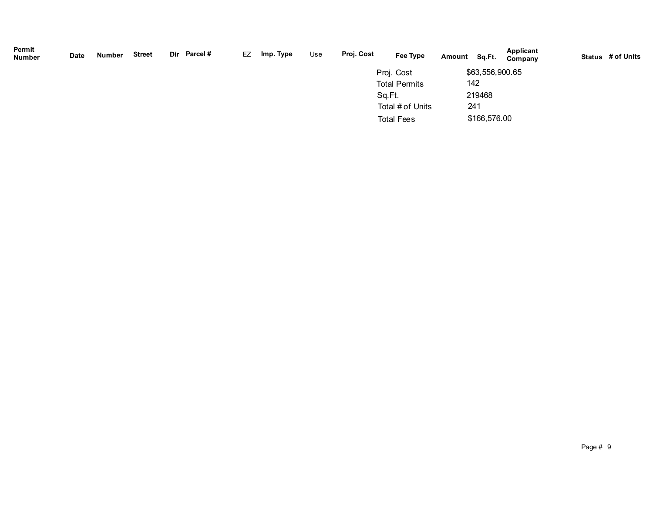| Permit<br><b>Number</b> | Date | Number | <b>Street</b> | Dir Parcel# | EZ | Imp. Type | Use | Proj. Cost | Fee Type             | Amount | Sq.Ft.          | <b>Applicant</b><br>Company | Status # of Units |
|-------------------------|------|--------|---------------|-------------|----|-----------|-----|------------|----------------------|--------|-----------------|-----------------------------|-------------------|
|                         |      |        |               |             |    |           |     |            | Proj. Cost           |        | \$63,556,900.65 |                             |                   |
|                         |      |        |               |             |    |           |     |            | <b>Total Permits</b> |        | 142             |                             |                   |
|                         |      |        |               |             |    |           |     | Sq.Ft.     |                      |        | 219468          |                             |                   |
|                         |      |        |               |             |    |           |     |            | Total # of Units     |        | 241             |                             |                   |
|                         |      |        |               |             |    |           |     |            | <b>Total Fees</b>    |        | \$166,576.00    |                             |                   |
|                         |      |        |               |             |    |           |     |            |                      |        |                 |                             |                   |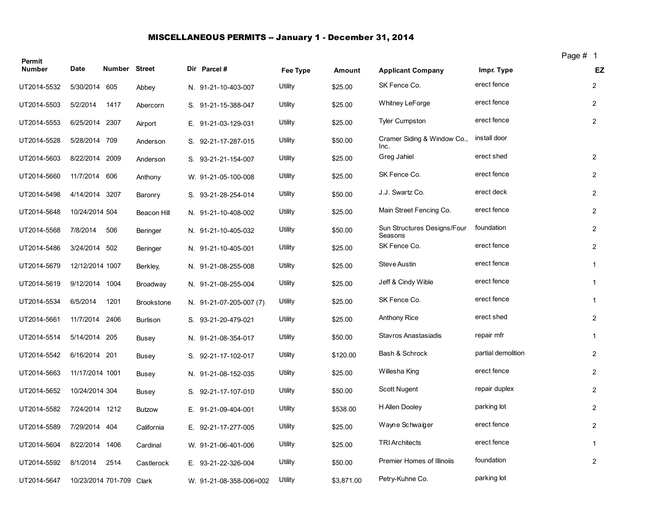### MISCELLANEOUS PERMITS -- January 1 - December 31, 2014

| Permit        |                 |                    |                   |                         |          |            |                                        |                    | Page # 1 |                |
|---------------|-----------------|--------------------|-------------------|-------------------------|----------|------------|----------------------------------------|--------------------|----------|----------------|
| <b>Number</b> | Date            | Number Street      |                   | Dir Parcel #            | Fee Type | Amount     | <b>Applicant Company</b>               | Impr. Type         |          | EZ             |
| UT2014-5532   | 5/30/2014 605   |                    | Abbey             | N. 91-21-10-403-007     | Utility  | \$25.00    | SK Fence Co.                           | erect fence        |          | $\overline{2}$ |
| UT2014-5503   | 5/2/2014        | 1417               | Abercorn          | S. 91-21-15-388-047     | Utility  | \$25.00    | <b>Whitney LeForge</b>                 | erect fence        |          | $\overline{c}$ |
| UT2014-5553   | 6/25/2014       | 2307               | Airport           | E. 91-21-03-129-031     | Utility  | \$25.00    | <b>Tyler Cumpston</b>                  | erect fence        |          | $\overline{2}$ |
| UT2014-5528   | 5/28/2014 709   |                    | Anderson          | S. 92-21-17-287-015     | Utility  | \$50.00    | Cramer Siding & Window Co.,<br>Inc.    | install door       |          |                |
| UT2014-5603   | 8/22/2014 2009  |                    | Anderson          | S. 93-21-21-154-007     | Utility  | \$25.00    | Greg Jahiel                            | erect shed         |          | $\overline{2}$ |
| UT2014-5660   | 11/7/2014 606   |                    | Anthony           | W. 91-21-05-100-008     | Utility  | \$25.00    | SK Fence Co.                           | erect fence        |          | $\overline{2}$ |
| UT2014-5498   | 4/14/2014 3207  |                    | Baronry           | S. 93-21-28-254-014     | Utility  | \$50.00    | J.J. Swartz Co.                        | erect deck         |          | $\overline{c}$ |
| UT2014-5648   | 10/24/2014 504  |                    | Beacon Hill       | N. 91-21-10-408-002     | Utility  | \$25.00    | Main Street Fencing Co.                | erect fence        |          | $\overline{2}$ |
| UT2014-5568   | 7/8/2014        | 506                | Beringer          | N. 91-21-10-405-032     | Utility  | \$50.00    | Sun Structures Designs/Four<br>Seasons | foundation         |          | $\overline{2}$ |
| UT2014-5486   | 3/24/2014 502   |                    | Beringer          | N. 91-21-10-405-001     | Utility  | \$25.00    | SK Fence Co.                           | erect fence        |          | $\overline{2}$ |
| UT2014-5679   | 12/12/2014 1007 |                    | Berkley,          | N. 91-21-08-255-008     | Utility  | \$25.00    | Steve Austin                           | erect fence        |          | $\mathbf{1}$   |
| UT2014-5619   | 9/12/2014 1004  |                    | Broadway          | N. 91-21-08-255-004     | Utility  | \$25.00    | Jeff & Cindy Wible                     | erect fence        |          | $\mathbf{1}$   |
| UT2014-5534   | 6/5/2014        | 1201               | <b>Brookstone</b> | N. 91-21-07-205-007 (7) | Utility  | \$25.00    | SK Fence Co.                           | erect fence        |          | 1              |
| UT2014-5661   | 11/7/2014       | 2406               | <b>Burlison</b>   | S. 93-21-20-479-021     | Utility  | \$25.00    | <b>Anthony Rice</b>                    | erect shed         |          | $\overline{2}$ |
| UT2014-5514   | 5/14/2014 205   |                    | Busey             | N. 91-21-08-354-017     | Utility  | \$50.00    | Stavros Anastasiadis                   | repair mfr         |          | $\mathbf{1}$   |
| UT2014-5542   | 6/16/2014 201   |                    | Busey             | S. 92-21-17-102-017     | Utility  | \$120.00   | Bash & Schrock                         | partial demolition |          | $\overline{2}$ |
| UT2014-5663   | 11/17/2014 1001 |                    | <b>Busey</b>      | N. 91-21-08-152-035     | Utility  | \$25.00    | Willesha King                          | erect fence        |          | $\overline{2}$ |
| UT2014-5652   | 10/24/2014 304  |                    | Busey             | S. 92-21-17-107-010     | Utility  | \$50.00    | Scott Nugent                           | repair duplex      |          | $\overline{2}$ |
| UT2014-5582   | 7/24/2014 1212  |                    | <b>Butzow</b>     | E. 91-21-09-404-001     | Utility  | \$538.00   | H Allen Dooley                         | parking lot        |          | $\overline{c}$ |
| UT2014-5589   | 7/29/2014 404   |                    | California        | E. 92-21-17-277-005     | Utility  | \$25.00    | Wayne Schwaiger                        | erect fence        |          | $\overline{2}$ |
| UT2014-5604   | 8/22/2014       | 1406               | Cardinal          | W. 91-21-06-401-006     | Utility  | \$25.00    | <b>TRI Architects</b>                  | erect fence        |          | $\mathbf{1}$   |
| UT2014-5592   | 8/1/2014        | 2514               | Castlerock        | E. 93-21-22-326-004     | Utility  | \$50.00    | Premier Homes of Illinoiis             | foundation         |          | $\overline{2}$ |
| UT2014-5647   |                 | 10/23/2014 701-709 | Clark             | W. 91-21-08-358-006=002 | Utility  | \$3,871.00 | Petry-Kuhne Co.                        | parking lot        |          |                |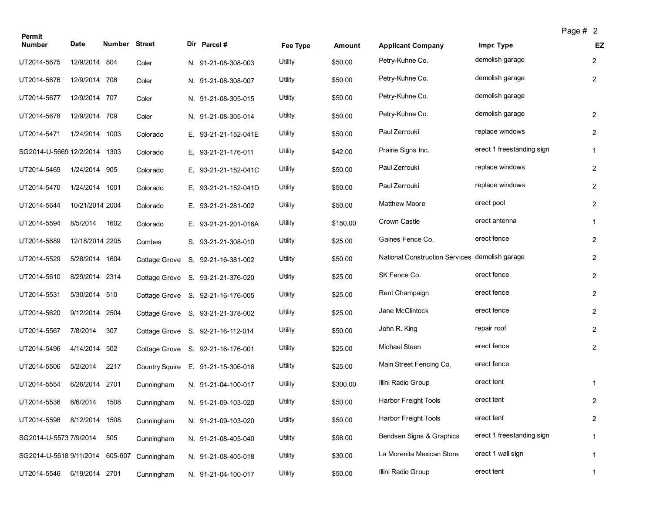| Permit                          |                 |               |                       |                                   |          |          |                                                |                           | Page # 2 |                |
|---------------------------------|-----------------|---------------|-----------------------|-----------------------------------|----------|----------|------------------------------------------------|---------------------------|----------|----------------|
| <b>Number</b>                   | Date            | Number Street |                       | Dir Parcel#                       | Fee Type | Amount   | <b>Applicant Company</b>                       | Impr. Type                |          | EZ             |
| UT2014-5675                     | 12/9/2014 804   |               | Coler                 | N. 91-21-08-308-003               | Utility  | \$50.00  | Petry-Kuhne Co.                                | demolish garage           |          | $\overline{2}$ |
| UT2014-5676                     | 12/9/2014       | 708           | Coler                 | N. 91-21-08-308-007               | Utility  | \$50.00  | Petry-Kuhne Co.                                | demolish garage           |          | $\overline{2}$ |
| UT2014-5677                     | 12/9/2014 707   |               | Coler                 | N. 91-21-08-305-015               | Utility  | \$50.00  | Petry-Kuhne Co.                                | demolish garage           |          |                |
| UT2014-5678                     | 12/9/2014 709   |               | Coler                 | N. 91-21-08-305-014               | Utility  | \$50.00  | Petry-Kuhne Co.                                | demolish garage           |          | $\overline{2}$ |
| UT2014-5471                     | 1/24/2014       | 1003          | Colorado              | E. 93-21-21-152-041E              | Utility  | \$50.00  | Paul Zerrouki                                  | replace windows           |          | $\overline{2}$ |
| SG2014-U-5669 12/2/2014         |                 | 1303          | Colorado              | E. 93-21-21-176-011               | Utility  | \$42.00  | Prairie Signs Inc.                             | erect 1 freestanding sign |          | $\mathbf{1}$   |
| UT2014-5469                     | 1/24/2014 905   |               | Colorado              | E. 93-21-21-152-041C              | Utility  | \$50.00  | Paul Zerrouki                                  | replace windows           |          | $\overline{2}$ |
| UT2014-5470                     | 1/24/2014 1001  |               | Colorado              | E. 93-21-21-152-041D              | Utility  | \$50.00  | Paul Zerrouki                                  | replace windows           |          | $\overline{2}$ |
| UT2014-5644                     | 10/21/2014 2004 |               | Colorado              | E. 93-21-21-281-002               | Utility  | \$50.00  | <b>Matthew Moore</b>                           | erect pool                |          | $\overline{2}$ |
| UT2014-5594                     | 8/5/2014        | 1602          | Colorado              | E. 93-21-21-201-018A              | Utility  | \$150.00 | Crown Castle                                   | erect antenna             |          | $\mathbf{1}$   |
| UT2014-5689                     | 12/18/2014 2205 |               | Combes                | S. 93-21-21-308-010               | Utility  | \$25.00  | Gaines Fence Co.                               | erect fence               |          | $\overline{2}$ |
| UT2014-5529                     | 5/28/2014 1604  |               | Cottage Grove         | S. 92-21-16-381-002               | Utility  | \$50.00  | National Construction Services demolish garage |                           |          | $\overline{2}$ |
| UT2014-5610                     | 8/29/2014 2314  |               |                       | Cottage Grove S. 93-21-21-376-020 | Utility  | \$25.00  | SK Fence Co.                                   | erect fence               |          | $\overline{2}$ |
| UT2014-5531                     | 5/30/2014 510   |               |                       | Cottage Grove S. 92-21-16-176-005 | Utility  | \$25.00  | Rent Champaign                                 | erect fence               |          | $\overline{2}$ |
| UT2014-5620                     | 9/12/2014       | 2504          |                       | Cottage Grove S. 93-21-21-378-002 | Utility  | \$25.00  | Jane McClintock                                | erect fence               |          | $\overline{2}$ |
| UT2014-5567                     | 7/8/2014        | 307           |                       | Cottage Grove S. 92-21-16-112-014 | Utility  | \$50.00  | John R. King                                   | repair roof               |          | $\overline{2}$ |
| UT2014-5496                     | 4/14/2014 502   |               |                       | Cottage Grove S. 92-21-16-176-001 | Utility  | \$25.00  | Michael Steen                                  | erect fence               |          | $\overline{2}$ |
| UT2014-5506                     | 5/2/2014        | 2217          | <b>Country Squire</b> | E. 91-21-15-306-016               | Utility  | \$25.00  | Main Street Fencing Co.                        | erect fence               |          |                |
| UT2014-5554                     | 6/26/2014       | 2701          | Cunningham            | N. 91-21-04-100-017               | Utility  | \$300.00 | Illini Radio Group                             | erect tent                |          | $\mathbf{1}$   |
| UT2014-5536                     | 6/6/2014        | 1508          | Cunningham            | N. 91-21-09-103-020               | Utility  | \$50.00  | Harbor Freight Tools                           | erect tent                |          | $\overline{a}$ |
| UT2014-5598                     | 8/12/2014       | 1508          | Cunningham            | N. 91-21-09-103-020               | Utility  | \$50.00  | Harbor Freight Tools                           | erect tent                |          | $\overline{2}$ |
| SG2014-U-5573 7/9/2014          |                 | 505           | Cunningham            | N. 91-21-08-405-040               | Utility  | \$98.00  | Bendsen Signs & Graphics                       | erect 1 freestanding sign |          | $\mathbf{1}$   |
| SG2014-U-5618 9/11/2014 605-607 |                 |               | Cunningham            | N. 91-21-08-405-018               | Utility  | \$30.00  | La Morenita Mexican Store                      | erect 1 wall sign         |          | $\mathbf{1}$   |
| UT2014-5546                     | 6/19/2014 2701  |               | Cunningham            | N. 91-21-04-100-017               | Utility  | \$50.00  | Illini Radio Group                             | erect tent                |          | $\mathbf{1}$   |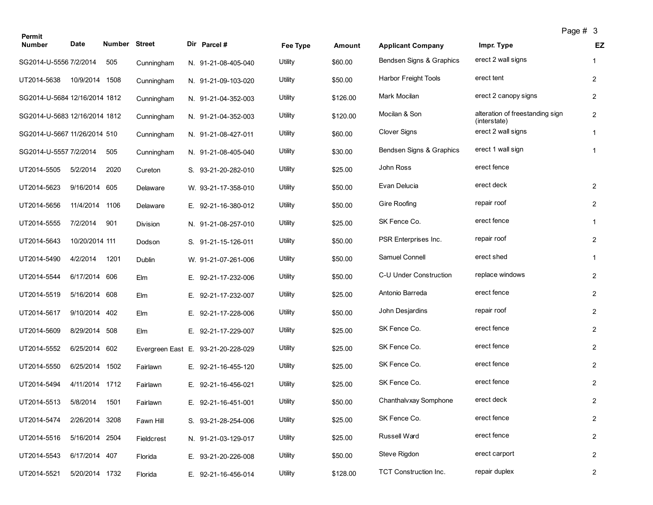| Permit                        |                |               |            |                                    |          |          |                          | Page # 3                                        |                         |
|-------------------------------|----------------|---------------|------------|------------------------------------|----------|----------|--------------------------|-------------------------------------------------|-------------------------|
| <b>Number</b>                 | Date           | Number Street |            | Dir Parcel #                       | Fee Type | Amount   | <b>Applicant Company</b> | Impr. Type                                      | EZ                      |
| SG2014-U-5556 7/2/2014        |                | 505           | Cunningham | N. 91-21-08-405-040                | Utility  | \$60.00  | Bendsen Signs & Graphics | erect 2 wall signs                              | $\mathbf{1}$            |
| UT2014-5638                   | 10/9/2014      | 1508          | Cunningham | N. 91-21-09-103-020                | Utility  | \$50.00  | Harbor Freight Tools     | erect tent                                      | $\overline{2}$          |
| SG2014-U-5684 12/16/2014 1812 |                |               | Cunningham | N. 91-21-04-352-003                | Utility  | \$126.00 | Mark Mocilan             | erect 2 canopy signs                            | $\overline{\mathbf{c}}$ |
| SG2014-U-5683 12/16/2014 1812 |                |               | Cunningham | N. 91-21-04-352-003                | Utility  | \$120.00 | Mocilan & Son            | alteration of freestanding sign<br>(interstate) | $\overline{2}$          |
| SG2014-U-5667 11/26/2014 510  |                |               | Cunningham | N. 91-21-08-427-011                | Utility  | \$60.00  | <b>Clover Signs</b>      | erect 2 wall signs                              | $\mathbf{1}$            |
| SG2014-U-5557 7/2/2014        |                | 505           | Cunningham | N. 91-21-08-405-040                | Utility  | \$30.00  | Bendsen Signs & Graphics | erect 1 wall sign                               | $\mathbf{1}$            |
| UT2014-5505                   | 5/2/2014       | 2020          | Cureton    | S. 93-21-20-282-010                | Utility  | \$25.00  | John Ross                | erect fence                                     |                         |
| UT2014-5623                   | 9/16/2014      | 605           | Delaware   | W. 93-21-17-358-010                | Utility  | \$50.00  | Evan Delucia             | erect deck                                      | $\overline{2}$          |
| UT2014-5656                   | 11/4/2014      | 1106          | Delaware   | E. 92-21-16-380-012                | Utility  | \$50.00  | Gire Roofing             | repair roof                                     | $\overline{2}$          |
| UT2014-5555                   | 7/2/2014       | 901           | Division   | N. 91-21-08-257-010                | Utility  | \$25.00  | SK Fence Co.             | erect fence                                     | $\mathbf{1}$            |
| UT2014-5643                   | 10/20/2014 111 |               | Dodson     | S. 91-21-15-126-011                | Utility  | \$50.00  | PSR Enterprises Inc.     | repair roof                                     | $\overline{2}$          |
| UT2014-5490                   | 4/2/2014       | 1201          | Dublin     | W. 91-21-07-261-006                | Utility  | \$50.00  | Samuel Connell           | erect shed                                      | $\mathbf{1}$            |
| UT2014-5544                   | 6/17/2014 606  |               | Elm        | E. 92-21-17-232-006                | Utility  | \$50.00  | C-U Under Construction   | replace windows                                 | $\overline{2}$          |
| UT2014-5519                   | 5/16/2014 608  |               | Elm        | E. 92-21-17-232-007                | Utility  | \$25.00  | Antonio Barreda          | erect fence                                     | $\overline{2}$          |
| UT2014-5617                   | 9/10/2014      | 402           | Elm        | E. 92-21-17-228-006                | Utility  | \$50.00  | John Desjardins          | repair roof                                     | $\overline{2}$          |
| UT2014-5609                   | 8/29/2014      | 508           | Elm        | E. 92-21-17-229-007                | Utility  | \$25.00  | SK Fence Co.             | erect fence                                     | $\overline{2}$          |
| UT2014-5552                   | 6/25/2014 602  |               |            | Evergreen East E. 93-21-20-228-029 | Utility  | \$25.00  | SK Fence Co.             | erect fence                                     | $\overline{2}$          |
| UT2014-5550                   | 6/25/2014 1502 |               | Fairlawn   | E. 92-21-16-455-120                | Utility  | \$25.00  | SK Fence Co.             | erect fence                                     | $\overline{2}$          |
| UT2014-5494                   | 4/11/2014 1712 |               | Fairlawn   | E. 92-21-16-456-021                | Utility  | \$25.00  | SK Fence Co.             | erect fence                                     | $\overline{2}$          |
| UT2014-5513                   | 5/8/2014       | 1501          | Fairlawn   | E. 92-21-16-451-001                | Utility  | \$50.00  | Chanthalvxay Somphone    | erect deck                                      | $\overline{c}$          |
| UT2014-5474                   | 2/26/2014 3208 |               | Fawn Hill  | S. 93-21-28-254-006                | Utility  | \$25.00  | SK Fence Co.             | erect fence                                     | $\overline{2}$          |
| UT2014-5516                   | 5/16/2014 2504 |               | Fieldcrest | N. 91-21-03-129-017                | Utility  | \$25.00  | Russell Ward             | erect fence                                     | $\overline{2}$          |
| UT2014-5543                   | 6/17/2014 407  |               | Florida    | E. 93-21-20-226-008                | Utility  | \$50.00  | Steve Rigdon             | erect carport                                   | $\overline{2}$          |
| UT2014-5521                   | 5/20/2014 1732 |               | Florida    | E. 92-21-16-456-014                | Utility  | \$128.00 | TCT Construction Inc.    | repair duplex                                   | $\overline{2}$          |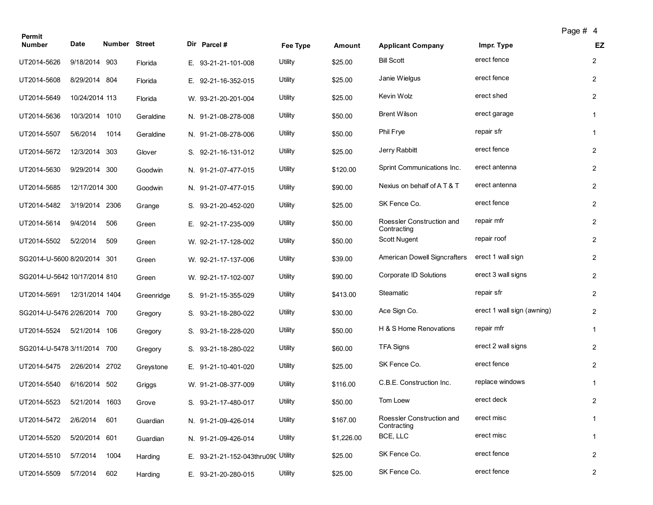| Permit                       |                 |               |            |    |                                    |          |            |                                          | Page # 4                   |                |                |
|------------------------------|-----------------|---------------|------------|----|------------------------------------|----------|------------|------------------------------------------|----------------------------|----------------|----------------|
| <b>Number</b>                | Date            | Number Street |            |    | Dir Parcel #                       | Fee Type | Amount     | <b>Applicant Company</b>                 | Impr. Type                 |                | EZ             |
| UT2014-5626                  | 9/18/2014 903   |               | Florida    |    | E. 93-21-21-101-008                | Utility  | \$25.00    | <b>Bill Scott</b>                        | erect fence                |                | $\mathbf{2}$   |
| UT2014-5608                  | 8/29/2014 804   |               | Florida    |    | E. 92-21-16-352-015                | Utility  | \$25.00    | Janie Wielgus                            | erect fence                | $\overline{2}$ |                |
| UT2014-5649                  | 10/24/2014 113  |               | Florida    |    | W. 93-21-20-201-004                | Utility  | \$25.00    | Kevin Wolz                               | erect shed                 | $\overline{2}$ |                |
| UT2014-5636                  | 10/3/2014 1010  |               | Geraldine  |    | N. 91-21-08-278-008                | Utility  | \$50.00    | <b>Brent Wilson</b>                      | erect garage               | $\mathbf{1}$   |                |
| UT2014-5507                  | 5/6/2014        | 1014          | Geraldine  |    | N. 91-21-08-278-006                | Utility  | \$50.00    | Phil Frye                                | repair sfr                 | $\mathbf{1}$   |                |
| UT2014-5672                  | 12/3/2014       | 303           | Glover     |    | S. 92-21-16-131-012                | Utility  | \$25.00    | Jerry Rabbitt                            | erect fence                | $\overline{2}$ |                |
| UT2014-5630                  | 9/29/2014 300   |               | Goodwin    |    | N. 91-21-07-477-015                | Utility  | \$120.00   | Sprint Communications Inc.               | erect antenna              | $\overline{2}$ |                |
| UT2014-5685                  | 12/17/2014 300  |               | Goodwin    |    | N. 91-21-07-477-015                | Utility  | \$90.00    | Nexius on behalf of A T & T              | erect antenna              | $\overline{2}$ |                |
| UT2014-5482                  | 3/19/2014       | 2306          | Grange     |    | S. 93-21-20-452-020                | Utility  | \$25.00    | SK Fence Co.                             | erect fence                |                | $\overline{2}$ |
| UT2014-5614                  | 9/4/2014        | 506           | Green      |    | E. 92-21-17-235-009                | Utility  | \$50.00    | Roessler Construction and<br>Contracting | repair mfr                 | $\overline{2}$ |                |
| UT2014-5502                  | 5/2/2014        | 509           | Green      |    | W. 92-21-17-128-002                | Utility  | \$50.00    | Scott Nugent                             | repair roof                |                | $\overline{2}$ |
| SG2014-U-5600 8/20/2014 301  |                 |               | Green      |    | W. 92-21-17-137-006                | Utility  | \$39.00    | <b>American Dowell Signcrafters</b>      | erect 1 wall sign          | $\overline{2}$ |                |
| SG2014-U-5642 10/17/2014 810 |                 |               | Green      |    | W. 92-21-17-102-007                | Utility  | \$90.00    | Corporate ID Solutions                   | erect 3 wall signs         | $\overline{2}$ |                |
| UT2014-5691                  | 12/31/2014 1404 |               | Greenridge |    | S. 91-21-15-355-029                | Utility  | \$413.00   | Steamatic                                | repair sfr                 |                | $\overline{2}$ |
| SG2014-U-5476 2/26/2014      |                 | 700           | Gregory    |    | S. 93-21-18-280-022                | Utility  | \$30.00    | Ace Sign Co.                             | erect 1 wall sign (awning) | $\overline{2}$ |                |
| UT2014-5524                  | 5/21/2014       | 106           | Gregory    | S. | 93-21-18-228-020                   | Utility  | \$50.00    | H & S Home Renovations                   | repair mfr                 | $\mathbf{1}$   |                |
| SG2014-U-5478 3/11/2014      |                 | 700           | Gregory    |    | S. 93-21-18-280-022                | Utility  | \$60.00    | <b>TFA Signs</b>                         | erect 2 wall signs         | $\overline{2}$ |                |
| UT2014-5475                  | 2/26/2014 2702  |               | Greystone  |    | E. 91-21-10-401-020                | Utility  | \$25.00    | SK Fence Co.                             | erect fence                | $\overline{2}$ |                |
| UT2014-5540                  | 6/16/2014 502   |               | Griggs     |    | W. 91-21-08-377-009                | Utility  | \$116.00   | C.B.E. Construction Inc.                 | replace windows            | $\mathbf{1}$   |                |
| UT2014-5523                  | 5/21/2014 1603  |               | Grove      |    | S. 93-21-17-480-017                | Utility  | \$50.00    | Tom Loew                                 | erect deck                 |                | $\overline{a}$ |
| UT2014-5472                  | 2/6/2014        | 601           | Guardian   |    | N. 91-21-09-426-014                | Utility  | \$167.00   | Roessler Construction and<br>Contracting | erect misc                 |                | $\mathbf{1}$   |
| UT2014-5520                  | 5/20/2014 601   |               | Guardian   |    | N. 91-21-09-426-014                | Utility  | \$1,226.00 | BCE, LLC                                 | erect misc                 |                | $\mathbf{1}$   |
| UT2014-5510                  | 5/7/2014        | 1004          | Harding    |    | E. 93-21-21-152-043thru090 Utility |          | \$25.00    | SK Fence Co.                             | erect fence                | $\overline{2}$ |                |
| UT2014-5509                  | 5/7/2014        | 602           | Harding    |    | E. 93-21-20-280-015                | Utility  | \$25.00    | SK Fence Co.                             | erect fence                |                | $\overline{2}$ |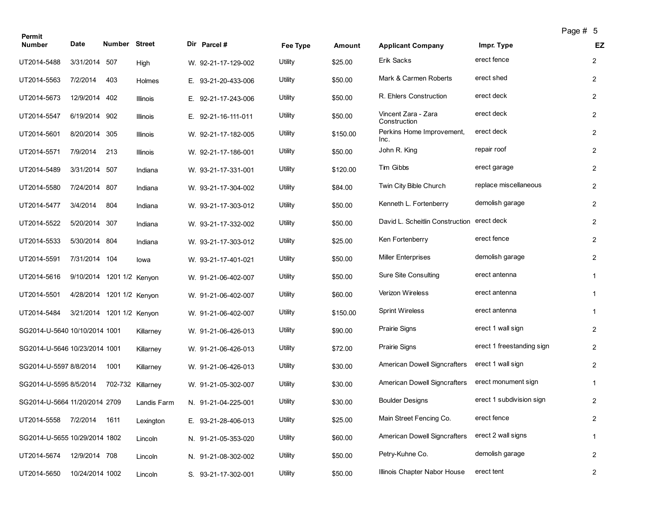| Permit                        |                 |                           |             |                     |          |          |                                            |                           | Page # 5 |                |
|-------------------------------|-----------------|---------------------------|-------------|---------------------|----------|----------|--------------------------------------------|---------------------------|----------|----------------|
| <b>Number</b>                 | Date            | Number Street             |             | Dir Parcel #        | Fee Type | Amount   | <b>Applicant Company</b>                   | Impr. Type                |          | EZ             |
| UT2014-5488                   | 3/31/2014 507   |                           | High        | W. 92-21-17-129-002 | Utility  | \$25.00  | Erik Sacks                                 | erect fence               |          | $\overline{2}$ |
| UT2014-5563                   | 7/2/2014        | 403                       | Holmes      | E. 93-21-20-433-006 | Utility  | \$50.00  | Mark & Carmen Roberts                      | erect shed                |          | $\overline{2}$ |
| UT2014-5673                   | 12/9/2014       | 402                       | Illinois    | E. 92-21-17-243-006 | Utility  | \$50.00  | R. Ehlers Construction                     | erect deck                |          | $\overline{2}$ |
| UT2014-5547                   | 6/19/2014 902   |                           | Illinois    | E. 92-21-16-111-011 | Utility  | \$50.00  | Vincent Zara - Zara<br>Construction        | erect deck                |          | $\overline{2}$ |
| UT2014-5601                   | 8/20/2014       | 305                       | Illinois    | W. 92-21-17-182-005 | Utility  | \$150.00 | Perkins Home Improvement,<br>Inc.          | erect deck                |          | 2              |
| UT2014-5571                   | 7/9/2014        | 213                       | Illinois    | W. 92-21-17-186-001 | Utility  | \$50.00  | John R. King                               | repair roof               |          | $\overline{2}$ |
| UT2014-5489                   | 3/31/2014 507   |                           | Indiana     | W. 93-21-17-331-001 | Utility  | \$120.00 | Tim Gibbs                                  | erect garage              |          | $\overline{2}$ |
| UT2014-5580                   | 7/24/2014       | 807                       | Indiana     | W. 93-21-17-304-002 | Utility  | \$84.00  | Twin City Bible Church                     | replace miscellaneous     |          | $\overline{c}$ |
| UT2014-5477                   | 3/4/2014        | 804                       | Indiana     | W. 93-21-17-303-012 | Utility  | \$50.00  | Kenneth L. Fortenberry                     | demolish garage           |          | $\overline{2}$ |
| UT2014-5522                   | 5/20/2014       | 307                       | Indiana     | W. 93-21-17-332-002 | Utility  | \$50.00  | David L. Scheitlin Construction erect deck |                           |          | $\overline{2}$ |
| UT2014-5533                   | 5/30/2014 804   |                           | Indiana     | W. 93-21-17-303-012 | Utility  | \$25.00  | Ken Fortenberry                            | erect fence               |          | $\overline{2}$ |
| UT2014-5591                   | 7/31/2014 104   |                           | lowa        | W. 93-21-17-401-021 | Utility  | \$50.00  | <b>Miller Enterprises</b>                  | demolish garage           |          | $\overline{2}$ |
| UT2014-5616                   |                 | 9/10/2014 1201 1/2 Kenyon |             | W. 91-21-06-402-007 | Utility  | \$50.00  | <b>Sure Site Consulting</b>                | erect antenna             |          | $\mathbf{1}$   |
| UT2014-5501                   |                 | 4/28/2014 1201 1/2 Kenyon |             | W. 91-21-06-402-007 | Utility  | \$60.00  | Verizon Wireless                           | erect antenna             |          | 1              |
| UT2014-5484                   | 3/21/2014       | 1201 1/2 Kenyon           |             | W. 91-21-06-402-007 | Utility  | \$150.00 | <b>Sprint Wireless</b>                     | erect antenna             |          | 1              |
| SG2014-U-5640 10/10/2014 1001 |                 |                           | Killarney   | W. 91-21-06-426-013 | Utility  | \$90.00  | <b>Prairie Signs</b>                       | erect 1 wall sign         |          | $\overline{2}$ |
| SG2014-U-5646 10/23/2014 1001 |                 |                           | Killarney   | W. 91-21-06-426-013 | Utility  | \$72.00  | <b>Prairie Signs</b>                       | erect 1 freestanding sign |          | $\overline{2}$ |
| SG2014-U-5597 8/8/2014        |                 | 1001                      | Killarney   | W. 91-21-06-426-013 | Utility  | \$30.00  | <b>American Dowell Signcrafters</b>        | erect 1 wall sign         |          | 2              |
| SG2014-U-5595 8/5/2014        |                 | 702-732 Killarney         |             | W. 91-21-05-302-007 | Utility  | \$30.00  | American Dowell Signcrafters               | erect monument sign       |          | 1              |
| SG2014-U-5664 11/20/2014 2709 |                 |                           | Landis Farm | N. 91-21-04-225-001 | Utility  | \$30.00  | <b>Boulder Designs</b>                     | erect 1 subdivision sign  |          | $\overline{2}$ |
| UT2014-5558                   | 7/2/2014        | 1611                      | Lexington   | E. 93-21-28-406-013 | Utility  | \$25.00  | Main Street Fencing Co.                    | erect fence               |          | $\overline{2}$ |
| SG2014-U-5655 10/29/2014 1802 |                 |                           | Lincoln     | N. 91-21-05-353-020 | Utility  | \$60.00  | American Dowell Signcrafters               | erect 2 wall signs        |          | $\mathbf{1}$   |
| UT2014-5674                   | 12/9/2014 708   |                           | Lincoln     | N. 91-21-08-302-002 | Utility  | \$50.00  | Petry-Kuhne Co.                            | demolish garage           |          | $\overline{2}$ |
| UT2014-5650                   | 10/24/2014 1002 |                           | Lincoln     | S. 93-21-17-302-001 | Utility  | \$50.00  | Illinois Chapter Nabor House               | erect tent                |          | $\overline{2}$ |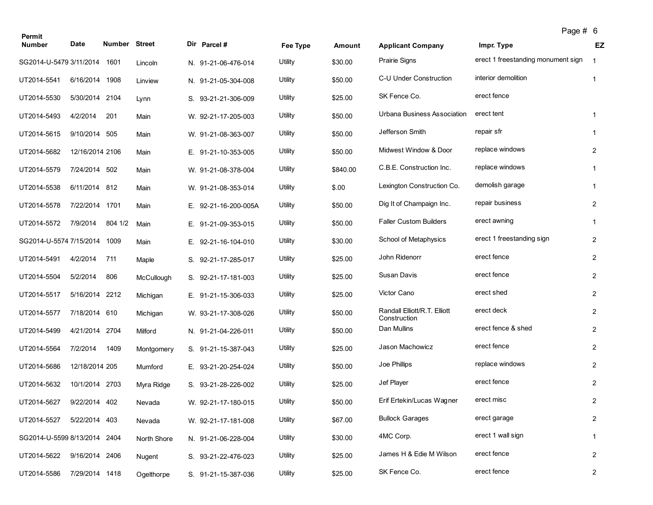| Permit                       |                 |               |             |                      |          |          |                                              | Page # 6                           |                |
|------------------------------|-----------------|---------------|-------------|----------------------|----------|----------|----------------------------------------------|------------------------------------|----------------|
| <b>Number</b>                | Date            | Number Street |             | Dir Parcel #         | Fee Type | Amount   | <b>Applicant Company</b>                     | Impr. Type                         | EZ             |
| SG2014-U-5479 3/11/2014      |                 | 1601          | Lincoln     | N. 91-21-06-476-014  | Utility  | \$30.00  | <b>Prairie Signs</b>                         | erect 1 freestanding monument sign | -1             |
| UT2014-5541                  | 6/16/2014       | 1908          | Linview     | N. 91-21-05-304-008  | Utility  | \$50.00  | C-U Under Construction                       | interior demolition                | $\mathbf{1}$   |
| UT2014-5530                  | 5/30/2014 2104  |               | Lynn        | S. 93-21-21-306-009  | Utility  | \$25.00  | SK Fence Co.                                 | erect fence                        |                |
| UT2014-5493                  | 4/2/2014        | 201           | Main        | W. 92-21-17-205-003  | Utility  | \$50.00  | Urbana Business Association                  | erect tent                         | $\mathbf{1}$   |
| UT2014-5615                  | 9/10/2014 505   |               | Main        | W. 91-21-08-363-007  | Utility  | \$50.00  | Jefferson Smith                              | repair sfr                         | $\mathbf{1}$   |
| UT2014-5682                  | 12/16/2014 2106 |               | Main        | E. 91-21-10-353-005  | Utility  | \$50.00  | Midwest Window & Door                        | replace windows                    | $\overline{2}$ |
| UT2014-5579                  | 7/24/2014 502   |               | Main        | W. 91-21-08-378-004  | Utility  | \$840.00 | C.B.E. Construction Inc.                     | replace windows                    | $\mathbf{1}$   |
| UT2014-5538                  | 6/11/2014       | 812           | Main        | W. 91-21-08-353-014  | Utility  | \$.00    | Lexington Construction Co.                   | demolish garage                    | $\mathbf{1}$   |
| UT2014-5578                  | 7/22/2014 1701  |               | Main        | E. 92-21-16-200-005A | Utility  | \$50.00  | Dig It of Champaign Inc.                     | repair business                    | $\overline{c}$ |
| UT2014-5572                  | 7/9/2014        | 804 1/2       | Main        | E. 91-21-09-353-015  | Utility  | \$50.00  | <b>Faller Custom Builders</b>                | erect awning                       | $\mathbf{1}$   |
| SG2014-U-5574 7/15/2014      |                 | 1009          | Main        | E. 92-21-16-104-010  | Utility  | \$30.00  | School of Metaphysics                        | erect 1 freestanding sign          | $\overline{2}$ |
| UT2014-5491                  | 4/2/2014        | 711           | Maple       | S. 92-21-17-285-017  | Utility  | \$25.00  | John Ridenorr                                | erect fence                        | $\overline{2}$ |
| UT2014-5504                  | 5/2/2014        | 806           | McCullough  | S. 92-21-17-181-003  | Utility  | \$25.00  | Susan Davis                                  | erect fence                        | $\overline{2}$ |
| UT2014-5517                  | 5/16/2014 2212  |               | Michigan    | E. 91-21-15-306-033  | Utility  | \$25.00  | Victor Cano                                  | erect shed                         | $\overline{2}$ |
| UT2014-5577                  | 7/18/2014 610   |               | Michigan    | W. 93-21-17-308-026  | Utility  | \$50.00  | Randall Elliott/R.T. Elliott<br>Construction | erect deck                         | $\overline{2}$ |
| UT2014-5499                  | 4/21/2014 2704  |               | Milford     | N. 91-21-04-226-011  | Utility  | \$50.00  | Dan Mullins                                  | erect fence & shed                 | $\overline{2}$ |
| UT2014-5564                  | 7/2/2014        | 1409          | Montgomery  | S. 91-21-15-387-043  | Utility  | \$25.00  | Jason Machowicz                              | erect fence                        | $\overline{2}$ |
| UT2014-5686                  | 12/18/2014 205  |               | Mumford     | E. 93-21-20-254-024  | Utility  | \$50.00  | Joe Phillips                                 | replace windows                    | $\overline{2}$ |
| UT2014-5632                  | 10/1/2014 2703  |               | Myra Ridge  | S. 93-21-28-226-002  | Utility  | \$25.00  | Jef Player                                   | erect fence                        | $\overline{2}$ |
| UT2014-5627                  | 9/22/2014 402   |               | Nevada      | W. 92-21-17-180-015  | Utility  | \$50.00  | Erif Ertekin/Lucas Wagner                    | erect misc                         | $\overline{c}$ |
| UT2014-5527                  | 5/22/2014 403   |               | Nevada      | W. 92-21-17-181-008  | Utility  | \$67.00  | <b>Bullock Garages</b>                       | erect garage                       | $\overline{2}$ |
| SG2014-U-5599 8/13/2014 2404 |                 |               | North Shore | N. 91-21-06-228-004  | Utility  | \$30.00  | 4MC Corp.                                    | erect 1 wall sign                  | $\mathbf{1}$   |
| UT2014-5622                  | 9/16/2014 2406  |               | Nugent      | S. 93-21-22-476-023  | Utility  | \$25.00  | James H & Edie M Wilson                      | erect fence                        | $\overline{2}$ |
| UT2014-5586                  | 7/29/2014 1418  |               | Ogelthorpe  | S. 91-21-15-387-036  | Utility  | \$25.00  | SK Fence Co.                                 | erect fence                        | $\overline{2}$ |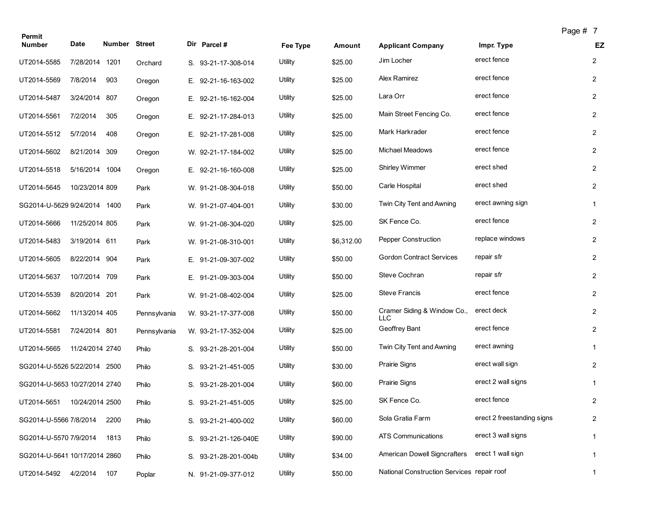| Permit                        |                 |               |              |                      |          |            |                                            |                            | Page # 7 |                         |
|-------------------------------|-----------------|---------------|--------------|----------------------|----------|------------|--------------------------------------------|----------------------------|----------|-------------------------|
| <b>Number</b>                 | <b>Date</b>     | Number Street |              | Dir Parcel#          | Fee Type | Amount     | <b>Applicant Company</b>                   | Impr. Type                 |          | EZ                      |
| UT2014-5585                   | 7/28/2014 1201  |               | Orchard      | S. 93-21-17-308-014  | Utility  | \$25.00    | Jim Locher                                 | erect fence                |          | $\overline{2}$          |
| UT2014-5569                   | 7/8/2014        | 903           | Oregon       | E. 92-21-16-163-002  | Utility  | \$25.00    | Alex Ramirez                               | erect fence                |          | $\overline{2}$          |
| UT2014-5487                   | 3/24/2014       | 807           | Oregon       | E. 92-21-16-162-004  | Utility  | \$25.00    | Lara Orr                                   | erect fence                |          | $\overline{2}$          |
| UT2014-5561                   | 7/2/2014        | 305           | Oregon       | E. 92-21-17-284-013  | Utility  | \$25.00    | Main Street Fencing Co.                    | erect fence                |          | $\overline{2}$          |
| UT2014-5512                   | 5/7/2014        | 408           | Oregon       | E. 92-21-17-281-008  | Utility  | \$25.00    | Mark Harkrader                             | erect fence                |          | $\overline{2}$          |
| UT2014-5602                   | 8/21/2014       | 309           | Oregon       | W. 92-21-17-184-002  | Utility  | \$25.00    | <b>Michael Meadows</b>                     | erect fence                |          | $\overline{2}$          |
| UT2014-5518                   | 5/16/2014 1004  |               | Oregon       | E. 92-21-16-160-008  | Utility  | \$25.00    | <b>Shirley Wimmer</b>                      | erect shed                 |          | $\overline{2}$          |
| UT2014-5645                   | 10/23/2014 809  |               | Park         | W. 91-21-08-304-018  | Utility  | \$50.00    | Carle Hospital                             | erect shed                 |          | $\overline{2}$          |
| SG2014-U-5629 9/24/2014 1400  |                 |               | Park         | W. 91-21-07-404-001  | Utility  | \$30.00    | Twin City Tent and Awning                  | erect awning sign          |          | $\mathbf{1}$            |
| UT2014-5666                   | 11/25/2014 805  |               | Park         | W. 91-21-08-304-020  | Utility  | \$25.00    | SK Fence Co.                               | erect fence                |          | $\overline{2}$          |
| UT2014-5483                   | 3/19/2014 611   |               | Park         | W. 91-21-08-310-001  | Utility  | \$6,312.00 | Pepper Construction                        | replace windows            |          | $\overline{2}$          |
| UT2014-5605                   | 8/22/2014 904   |               | Park         | E. 91-21-09-307-002  | Utility  | \$50.00    | <b>Gordon Contract Services</b>            | repair sfr                 |          | $\overline{2}$          |
| UT2014-5637                   | 10/7/2014 709   |               | Park         | E. 91-21-09-303-004  | Utility  | \$50.00    | Steve Cochran                              | repair sfr                 |          | $\overline{2}$          |
| UT2014-5539                   | 8/20/2014 201   |               | Park         | W. 91-21-08-402-004  | Utility  | \$25.00    | <b>Steve Francis</b>                       | erect fence                |          | $\overline{c}$          |
| UT2014-5662                   | 11/13/2014 405  |               | Pennsylvania | W. 93-21-17-377-008  | Utility  | \$50.00    | Cramer Siding & Window Co.,<br><b>LLC</b>  | erect deck                 |          | $\overline{2}$          |
| UT2014-5581                   | 7/24/2014 801   |               | Pennsylvania | W. 93-21-17-352-004  | Utility  | \$25.00    | Geoffrey Bant                              | erect fence                |          | $\overline{2}$          |
| UT2014-5665                   | 11/24/2014 2740 |               | Philo        | S. 93-21-28-201-004  | Utility  | \$50.00    | Twin City Tent and Awning                  | erect awning               |          | 1                       |
| SG2014-U-5526 5/22/2014 2500  |                 |               | Philo        | S. 93-21-21-451-005  | Utility  | \$30.00    | <b>Prairie Signs</b>                       | erect wall sign            |          | $\overline{2}$          |
| SG2014-U-5653 10/27/2014 2740 |                 |               | Philo        | S. 93-21-28-201-004  | Utility  | \$60.00    | Prairie Signs                              | erect 2 wall signs         |          | $\mathbf{1}$            |
| UT2014-5651                   | 10/24/2014 2500 |               | Philo        | S. 93-21-21-451-005  | Utility  | \$25.00    | SK Fence Co.                               | erect fence                |          | $\overline{c}$          |
| SG2014-U-5566 7/8/2014        |                 | 2200          | Philo        | S. 93-21-21-400-002  | Utility  | \$60.00    | Sola Gratia Farm                           | erect 2 freestanding signs |          | $\overline{\mathbf{c}}$ |
| SG2014-U-5570 7/9/2014        |                 | 1813          | Philo        | S. 93-21-21-126-040E | Utility  | \$90.00    | ATS Communications                         | erect 3 wall signs         |          | $\mathbf 1$             |
| SG2014-U-5641 10/17/2014 2860 |                 |               | Philo        | S. 93-21-28-201-004b | Utility  | \$34.00    | American Dowell Signcrafters               | erect 1 wall sign          |          | $\mathbf{1}$            |
| UT2014-5492 4/2/2014          |                 | 107           | Poplar       | N. 91-21-09-377-012  | Utility  | \$50.00    | National Construction Services repair roof |                            |          | $\mathbf{1}$            |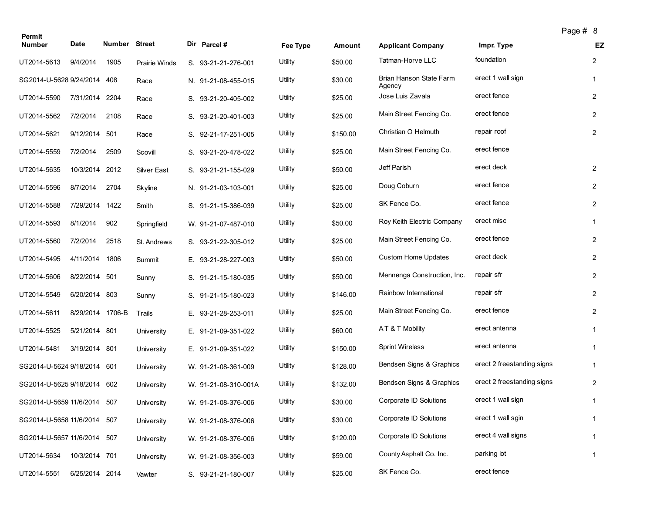| Permit                      |                  |                      |                      |                      |          |          |                                   | Page # 8                   |                |
|-----------------------------|------------------|----------------------|----------------------|----------------------|----------|----------|-----------------------------------|----------------------------|----------------|
| <b>Number</b>               | Date             | <b>Number Street</b> |                      | Dir Parcel #         | Fee Type | Amount   | <b>Applicant Company</b>          | Impr. Type                 | EZ             |
| UT2014-5613                 | 9/4/2014         | 1905                 | <b>Prairie Winds</b> | S. 93-21-21-276-001  | Utility  | \$50.00  | Tatman-Horve LLC                  | foundation                 | $\overline{2}$ |
| SG2014-U-5628 9/24/2014 408 |                  |                      | Race                 | N. 91-21-08-455-015  | Utility  | \$30.00  | Brian Hanson State Farm<br>Agency | erect 1 wall sign          | $\mathbf{1}$   |
| UT2014-5590                 | 7/31/2014 2204   |                      | Race                 | S. 93-21-20-405-002  | Utility  | \$25.00  | Jose Luis Zavala                  | erect fence                | $\overline{2}$ |
| UT2014-5562                 | 7/2/2014         | 2108                 | Race                 | S. 93-21-20-401-003  | Utility  | \$25.00  | Main Street Fencing Co.           | erect fence                | $\overline{2}$ |
| UT2014-5621                 | 9/12/2014 501    |                      | Race                 | S. 92-21-17-251-005  | Utility  | \$150.00 | Christian O Helmuth               | repair roof                | $\overline{2}$ |
| UT2014-5559                 | 7/2/2014         | 2509                 | Scovill              | S. 93-21-20-478-022  | Utility  | \$25.00  | Main Street Fencing Co.           | erect fence                |                |
| UT2014-5635                 | 10/3/2014 2012   |                      | Silver East          | S. 93-21-21-155-029  | Utility  | \$50.00  | Jeff Parish                       | erect deck                 | $\overline{2}$ |
| UT2014-5596                 | 8/7/2014         | 2704                 | Skyline              | N. 91-21-03-103-001  | Utility  | \$25.00  | Doug Coburn                       | erect fence                | $\overline{2}$ |
| UT2014-5588                 | 7/29/2014 1422   |                      | Smith                | S. 91-21-15-386-039  | Utility  | \$25.00  | SK Fence Co.                      | erect fence                | $\overline{2}$ |
| UT2014-5593                 | 8/1/2014         | 902                  | Springfield          | W. 91-21-07-487-010  | Utility  | \$50.00  | Roy Keith Electric Company        | erect misc                 | $\mathbf{1}$   |
| UT2014-5560                 | 7/2/2014         | 2518                 | St. Andrews          | S. 93-21-22-305-012  | Utility  | \$25.00  | Main Street Fencing Co.           | erect fence                | $\overline{2}$ |
| UT2014-5495                 | 4/11/2014        | 1806                 | Summit               | E. 93-21-28-227-003  | Utility  | \$50.00  | <b>Custom Home Updates</b>        | erect deck                 | $\overline{2}$ |
| UT2014-5606                 | 8/22/2014 501    |                      | Sunny                | S. 91-21-15-180-035  | Utility  | \$50.00  | Mennenga Construction, Inc.       | repair sfr                 | $\overline{2}$ |
| UT2014-5549                 | 6/20/2014 803    |                      | Sunny                | S. 91-21-15-180-023  | Utility  | \$146.00 | Rainbow International             | repair sfr                 | $\overline{2}$ |
| UT2014-5611                 | 8/29/2014 1706-B |                      | Trails               | E. 93-21-28-253-011  | Utility  | \$25.00  | Main Street Fencing Co.           | erect fence                | $\overline{2}$ |
| UT2014-5525                 | 5/21/2014 801    |                      | University           | E. 91-21-09-351-022  | Utility  | \$60.00  | AT & T Mobility                   | erect antenna              | $\mathbf{1}$   |
| UT2014-5481                 | 3/19/2014 801    |                      | University           | E. 91-21-09-351-022  | Utility  | \$150.00 | <b>Sprint Wireless</b>            | erect antenna              | 1              |
| SG2014-U-5624 9/18/2014 601 |                  |                      | University           | W. 91-21-08-361-009  | Utility  | \$128.00 | Bendsen Signs & Graphics          | erect 2 freestanding signs | $\mathbf{1}$   |
| SG2014-U-5625 9/18/2014 602 |                  |                      | University           | W. 91-21-08-310-001A | Utility  | \$132.00 | Bendsen Signs & Graphics          | erect 2 freestanding signs | $\overline{2}$ |
| SG2014-U-5659 11/6/2014 507 |                  |                      | University           | W. 91-21-08-376-006  | Utility  | \$30.00  | Corporate ID Solutions            | erect 1 wall sign          | $\mathbf{1}$   |
| SG2014-U-5658 11/6/2014     |                  | 507                  | University           | W. 91-21-08-376-006  | Utility  | \$30.00  | Corporate ID Solutions            | erect 1 wall sgin          | $\mathbf{1}$   |
| SG2014-U-5657 11/6/2014 507 |                  |                      | University           | W. 91-21-08-376-006  | Utility  | \$120.00 | Corporate ID Solutions            | erect 4 wall signs         | $\mathbf{1}$   |
| UT2014-5634                 | 10/3/2014 701    |                      | University           | W. 91-21-08-356-003  | Utility  | \$59.00  | County Asphalt Co. Inc.           | parking lot                | $\mathbf{1}$   |
| UT2014-5551                 | 6/25/2014 2014   |                      | Vawter               | S. 93-21-21-180-007  | Utility  | \$25.00  | SK Fence Co.                      | erect fence                |                |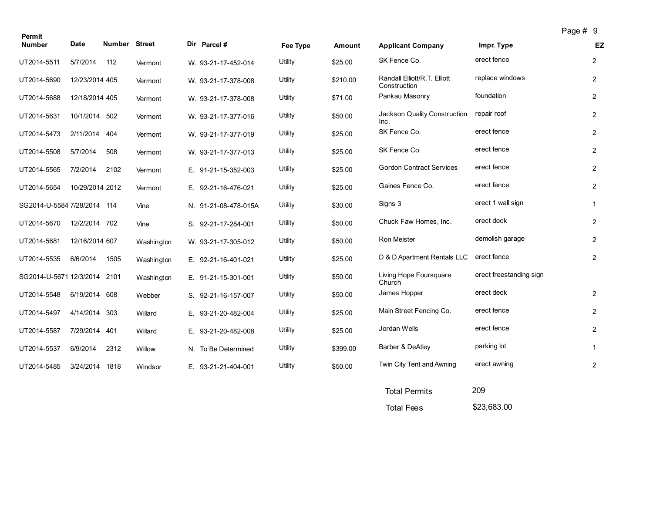| Permit                       |                 |                      |            |                      |          |          |                                              | $1$ ugu $\pi$           |                |
|------------------------------|-----------------|----------------------|------------|----------------------|----------|----------|----------------------------------------------|-------------------------|----------------|
| <b>Number</b>                | <b>Date</b>     | <b>Number Street</b> |            | Dir Parcel #         | Fee Type | Amount   | <b>Applicant Company</b>                     | Impr. Type              | EZ             |
| UT2014-5511                  | 5/7/2014        | 112                  | Vermont    | W. 93-21-17-452-014  | Utility  | \$25.00  | SK Fence Co.                                 | erect fence             | $\overline{2}$ |
| UT2014-5690                  | 12/23/2014 405  |                      | Vermont    | W. 93-21-17-378-008  | Utility  | \$210.00 | Randall Elliott/R.T. Elliott<br>Construction | replace windows         | $\overline{2}$ |
| UT2014-5688                  | 12/18/2014 405  |                      | Vermont    | W. 93-21-17-378-008  | Utility  | \$71.00  | Pankau Masonry                               | foundation              | $\overline{2}$ |
| UT2014-5631                  | 10/1/2014 502   |                      | Vermont    | W. 93-21-17-377-016  | Utility  | \$50.00  | Jackson Quality Construction<br>Inc.         | repair roof             | $\overline{2}$ |
| UT2014-5473                  | 2/11/2014       | 404                  | Vermont    | W. 93-21-17-377-019  | Utility  | \$25.00  | SK Fence Co.                                 | erect fence             | $\overline{2}$ |
| UT2014-5508                  | 5/7/2014        | 508                  | Vermont    | W. 93-21-17-377-013  | Utility  | \$25.00  | SK Fence Co.                                 | erect fence             | $\overline{2}$ |
| UT2014-5565                  | 7/2/2014        | 2102                 | Vermont    | E. 91-21-15-352-003  | Utility  | \$25.00  | <b>Gordon Contract Services</b>              | erect fence             | $\overline{2}$ |
| UT2014-5654                  | 10/29/2014 2012 |                      | Vermont    | E. 92-21-16-476-021  | Utility  | \$25.00  | Gaines Fence Co.                             | erect fence             | $\overline{2}$ |
| SG2014-U-5584 7/28/2014 114  |                 |                      | Vine       | N. 91-21-08-478-015A | Utility  | \$30.00  | Signs 3                                      | erect 1 wall sign       | $\mathbf{1}$   |
| UT2014-5670                  | 12/2/2014 702   |                      | Vine       | S. 92-21-17-284-001  | Utility  | \$50.00  | Chuck Faw Homes, Inc.                        | erect deck              | $\overline{2}$ |
| UT2014-5681                  | 12/16/2014 607  |                      | Washington | W. 93-21-17-305-012  | Utility  | \$50.00  | Ron Meister                                  | demolish garage         | $\overline{2}$ |
| UT2014-5535                  | 6/6/2014        | 1505                 | Washington | E. 92-21-16-401-021  | Utility  | \$25.00  | D & D Apartment Rentals LLC                  | erect fence             | $\overline{2}$ |
| SG2014-U-5671 12/3/2014 2101 |                 |                      | Washington | E. 91-21-15-301-001  | Utility  | \$50.00  | Living Hope Foursquare<br>Church             | erect freestanding sign |                |
| UT2014-5548                  | 6/19/2014 608   |                      | Webber     | S. 92-21-16-157-007  | Utility  | \$50.00  | James Hopper                                 | erect deck              | $\overline{2}$ |
| UT2014-5497                  | 4/14/2014 303   |                      | Willard    | E. 93-21-20-482-004  | Utility  | \$25.00  | Main Street Fencing Co.                      | erect fence             | $\overline{2}$ |
| UT2014-5587                  | 7/29/2014 401   |                      | Willard    | E. 93-21-20-482-008  | Utility  | \$25.00  | Jordan Wells                                 | erect fence             | $\overline{2}$ |
| UT2014-5537                  | 6/9/2014        | 2312                 | Willow     | N. To Be Determined  | Utility  | \$399.00 | Barber & DeAtley                             | parking lot             | $\mathbf{1}$   |
| UT2014-5485                  | 3/24/2014 1818  |                      | Windsor    | E. 93-21-21-404-001  | Utility  | \$50.00  | Twin City Tent and Awning                    | erect awning            | $\overline{2}$ |
|                              |                 |                      |            |                      |          |          |                                              |                         |                |

| <b>Total Permits</b> | 209         |
|----------------------|-------------|
| <b>Total Fees</b>    | \$23,683.00 |

Page # 9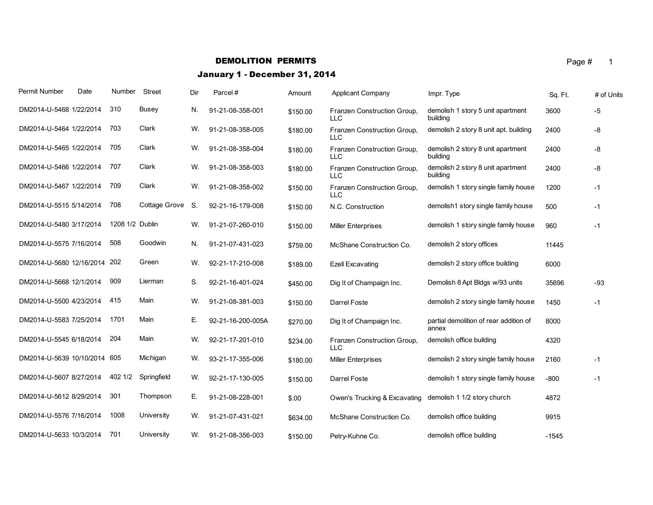## **DEMOLITION PERMITS** Page  $\#$  1

# January 1 - December 31, 2014

| Permit Number                | Date | Number          | Street           | Dir | Parcel#           | Amount   | Applicant Company                         | Impr. Type                                      | Sq. Ft. | # of Units |
|------------------------------|------|-----------------|------------------|-----|-------------------|----------|-------------------------------------------|-------------------------------------------------|---------|------------|
| DM2014-U-5468 1/22/2014      |      | 310             | <b>Busey</b>     | N.  | 91-21-08-358-001  | \$150.00 | Franzen Construction Group.<br>LLC        | demolish 1 story 5 unit apartment<br>building   | 3600    | -5         |
| DM2014-U-5464 1/22/2014      |      | 703             | Clark            | W.  | 91-21-08-358-005  | \$180.00 | Franzen Construction Group,<br><b>LLC</b> | demolish 2 story 8 unit apt. building           | 2400    | -8         |
| DM2014-U-5465 1/22/2014      |      | 705             | Clark            | W.  | 91-21-08-358-004  | \$180.00 | Franzen Construction Group,<br><b>LLC</b> | demolish 2 story 8 unit apartment<br>building   | 2400    | -8         |
| DM2014-U-5466 1/22/2014      |      | 707             | Clark            | W.  | 91-21-08-358-003  | \$180.00 | Franzen Construction Group,<br><b>LLC</b> | demolish 2 story 8 unit apartment<br>building   | 2400    | -8         |
| DM2014-U-5467 1/22/2014      |      | 709             | Clark            | W.  | 91-21-08-358-002  | \$150.00 | Franzen Construction Group,<br><b>LLC</b> | demolish 1 story single family house            | 1200    | -1         |
| DM2014-U-5515 5/14/2014      |      | 708             | Cottage Grove S. |     | 92-21-16-179-008  | \$150.00 | N.C. Construction                         | demolish1 story single family house             | 500     | -1         |
| DM2014-U-5480 3/17/2014      |      | 1208 1/2 Dublin |                  | W.  | 91-21-07-260-010  | \$150.00 | <b>Miller Enterprises</b>                 | demolish 1 story single family house            | 960     | -1         |
| DM2014-U-5575 7/16/2014      |      | 508             | Goodwin          | N.  | 91-21-07-431-023  | \$759.00 | McShane Construction Co.                  | demolish 2 story offices                        | 11445   |            |
| DM2014-U-5680 12/16/2014 202 |      |                 | Green            | W.  | 92-21-17-210-008  | \$189.00 | <b>Ezell Excavating</b>                   | demolish 2 story office building                | 6000    |            |
| DM2014-U-5668 12/1/2014      |      | 909             | Lierman          | S.  | 92-21-16-401-024  | \$450.00 | Dig It of Champaign Inc.                  | Demolish 8 Apt Bldgs w/93 units                 | 35696   | $-93$      |
| DM2014-U-5500 4/23/2014      |      | 415             | Main             | W.  | 91-21-08-381-003  | \$150.00 | Darrel Foste                              | demolish 2 story single family house            | 1450    | -1         |
| DM2014-U-5583 7/25/2014      |      | 1701            | Main             | Е.  | 92-21-16-200-005A | \$270.00 | Dig It of Champaign Inc.                  | partial demolition of rear addition of<br>annex | 8000    |            |
| DM2014-U-5545 6/18/2014      |      | 204             | Main             | W.  | 92-21-17-201-010  | \$234.00 | Franzen Construction Group,<br><b>LLC</b> | demolish office building                        | 4320    |            |
| DM2014-U-5639 10/10/2014 605 |      |                 | Michigan         | W.  | 93-21-17-355-006  | \$180.00 | <b>Miller Enterprises</b>                 | demolish 2 story single family house            | 2160    | $-1$       |
| DM2014-U-5607 8/27/2014      |      | 402 1/2         | Springfield      | W.  | 92-21-17-130-005  | \$150.00 | Darrel Foste                              | demolish 1 story single family house            | $-800$  | $-1$       |
| DM2014-U-5612 8/29/2014      |      | 301             | Thompson         | Е.  | 91-21-08-228-001  | \$.00    | Owen's Trucking & Excavating              | demolish 1 1/2 story church                     | 4872    |            |
| DM2014-U-5576 7/16/2014      |      | 1008            | University       | W.  | 91-21-07-431-021  | \$634.00 | McShane Construction Co.                  | demolish office building                        | 9915    |            |
| DM2014-U-5633 10/3/2014      |      | 701             | University       | W.  | 91-21-08-356-003  | \$150.00 | Petry-Kuhne Co.                           | demolish office building                        | $-1545$ |            |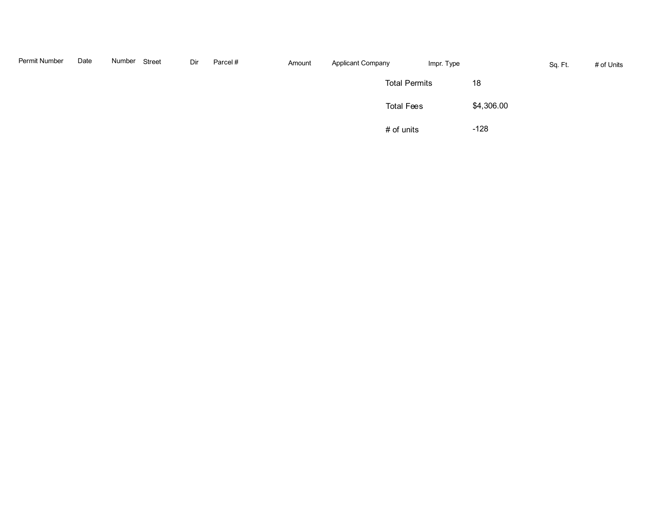| Permit Number | Date | Number | Street | Dir | Parcel# | Amount | <b>Applicant Company</b> | Impr. Type |            | Sq. Ft. | # of Units |
|---------------|------|--------|--------|-----|---------|--------|--------------------------|------------|------------|---------|------------|
|               |      |        |        |     |         |        | <b>Total Permits</b>     |            | 18         |         |            |
|               |      |        |        |     |         |        | <b>Total Fees</b>        |            | \$4,306.00 |         |            |
|               |      |        |        |     |         |        | # of units               |            | $-128$     |         |            |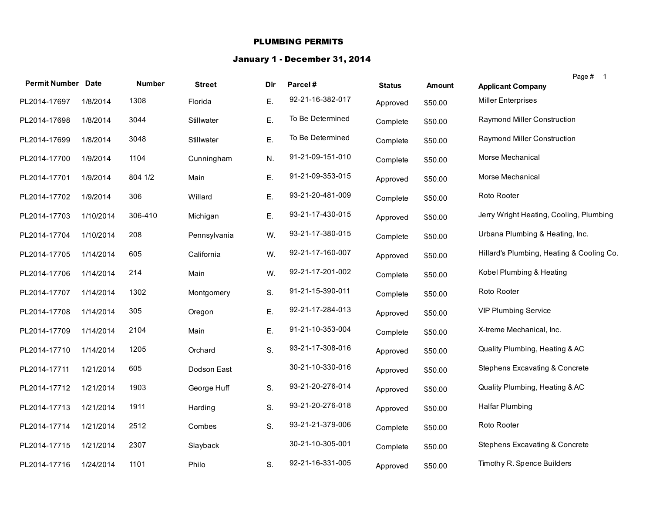#### PLUMBING PERMITS

# January 1 - December 31, 2014

| <b>Permit Number Date</b> |           | <b>Number</b> | <b>Street</b> | Dir | Parcel#          | <b>Status</b> | <b>Amount</b> | Page # 1<br><b>Applicant Company</b>      |
|---------------------------|-----------|---------------|---------------|-----|------------------|---------------|---------------|-------------------------------------------|
| PL2014-17697              | 1/8/2014  | 1308          | Florida       | Ε.  | 92-21-16-382-017 | Approved      | \$50.00       | <b>Miller Enterprises</b>                 |
| PL2014-17698              | 1/8/2014  | 3044          | Stillwater    | Ε.  | To Be Determined | Complete      | \$50.00       | <b>Raymond Miller Construction</b>        |
| PL2014-17699              | 1/8/2014  | 3048          | Stillwater    | Ε.  | To Be Determined | Complete      | \$50.00       | Raymond Miller Construction               |
| PL2014-17700              | 1/9/2014  | 1104          | Cunningham    | N.  | 91-21-09-151-010 | Complete      | \$50.00       | Morse Mechanical                          |
| PL2014-17701              | 1/9/2014  | 804 1/2       | Main          | Ε.  | 91-21-09-353-015 | Approved      | \$50.00       | Morse Mechanical                          |
| PL2014-17702              | 1/9/2014  | 306           | Willard       | Ε.  | 93-21-20-481-009 | Complete      | \$50.00       | Roto Rooter                               |
| PL2014-17703              | 1/10/2014 | 306-410       | Michigan      | E.  | 93-21-17-430-015 | Approved      | \$50.00       | Jerry Wright Heating, Cooling, Plumbing   |
| PL2014-17704              | 1/10/2014 | 208           | Pennsylvania  | W.  | 93-21-17-380-015 | Complete      | \$50.00       | Urbana Plumbing & Heating, Inc.           |
| PL2014-17705              | 1/14/2014 | 605           | California    | W.  | 92-21-17-160-007 | Approved      | \$50.00       | Hillard's Plumbing, Heating & Cooling Co. |
| PL2014-17706              | 1/14/2014 | 214           | Main          | W.  | 92-21-17-201-002 | Complete      | \$50.00       | Kobel Plumbing & Heating                  |
| PL2014-17707              | 1/14/2014 | 1302          | Montgomery    | S.  | 91-21-15-390-011 | Complete      | \$50.00       | Roto Rooter                               |
| PL2014-17708              | 1/14/2014 | 305           | Oregon        | Ε.  | 92-21-17-284-013 | Approved      | \$50.00       | <b>VIP Plumbing Service</b>               |
| PL2014-17709              | 1/14/2014 | 2104          | Main          | Ε.  | 91-21-10-353-004 | Complete      | \$50.00       | X-treme Mechanical, Inc.                  |
| PL2014-17710              | 1/14/2014 | 1205          | Orchard       | S.  | 93-21-17-308-016 | Approved      | \$50.00       | Quality Plumbing, Heating & AC            |
| PL2014-17711              | 1/21/2014 | 605           | Dodson East   |     | 30-21-10-330-016 | Approved      | \$50.00       | Stephens Excavating & Concrete            |
| PL2014-17712              | 1/21/2014 | 1903          | George Huff   | S.  | 93-21-20-276-014 | Approved      | \$50.00       | Quality Plumbing, Heating & AC            |
| PL2014-17713              | 1/21/2014 | 1911          | Harding       | S.  | 93-21-20-276-018 | Approved      | \$50.00       | <b>Halfar Plumbing</b>                    |
| PL2014-17714              | 1/21/2014 | 2512          | Combes        | S.  | 93-21-21-379-006 | Complete      | \$50.00       | Roto Rooter                               |
| PL2014-17715              | 1/21/2014 | 2307          | Slayback      |     | 30-21-10-305-001 | Complete      | \$50.00       | Stephens Excavating & Concrete            |
| PL2014-17716              | 1/24/2014 | 1101          | Philo         | S.  | 92-21-16-331-005 | Approved      | \$50.00       | Timothy R. Spence Builders                |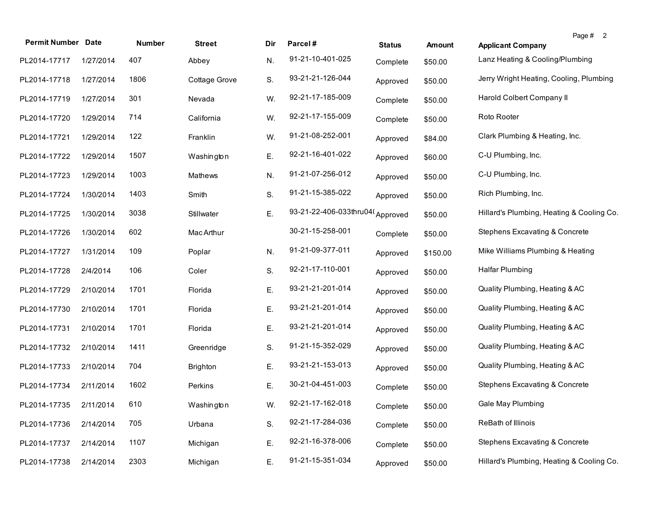| <b>Permit Number Date</b> |           | <b>Number</b> | <b>Street</b>   | Dir | Parcel#                 | <b>Status</b> | <b>Amount</b> | <b>Applicant Company</b>                  | Page # 2 |
|---------------------------|-----------|---------------|-----------------|-----|-------------------------|---------------|---------------|-------------------------------------------|----------|
| PL2014-17717              | 1/27/2014 | 407           | Abbey           | N.  | 91-21-10-401-025        | Complete      | \$50.00       | Lanz Heating & Cooling/Plumbing           |          |
| PL2014-17718              | 1/27/2014 | 1806          | Cottage Grove   | S.  | 93-21-21-126-044        | Approved      | \$50.00       | Jerry Wright Heating, Cooling, Plumbing   |          |
| PL2014-17719              | 1/27/2014 | 301           | Nevada          | W.  | 92-21-17-185-009        | Complete      | \$50.00       | Harold Colbert Company II                 |          |
| PL2014-17720              | 1/29/2014 | 714           | California      | W.  | 92-21-17-155-009        | Complete      | \$50.00       | Roto Rooter                               |          |
| PL2014-17721              | 1/29/2014 | 122           | Franklin        | W.  | 91-21-08-252-001        | Approved      | \$84.00       | Clark Plumbing & Heating, Inc.            |          |
| PL2014-17722              | 1/29/2014 | 1507          | Washington      | Ε.  | 92-21-16-401-022        | Approved      | \$60.00       | C-U Plumbing, Inc.                        |          |
| PL2014-17723              | 1/29/2014 | 1003          | Mathews         | N.  | 91-21-07-256-012        | Approved      | \$50.00       | C-U Plumbing, Inc.                        |          |
| PL2014-17724              | 1/30/2014 | 1403          | Smith           | S.  | 91-21-15-385-022        | Approved      | \$50.00       | Rich Plumbing, Inc.                       |          |
| PL2014-17725              | 1/30/2014 | 3038          | Stillwater      | Ε.  | 93-21-22-406-033thru04( | Approved      | \$50.00       | Hillard's Plumbing, Heating & Cooling Co. |          |
| PL2014-17726              | 1/30/2014 | 602           | Mac Arthur      |     | 30-21-15-258-001        | Complete      | \$50.00       | Stephens Excavating & Concrete            |          |
| PL2014-17727              | 1/31/2014 | 109           | Poplar          | N.  | 91-21-09-377-011        | Approved      | \$150.00      | Mike Williams Plumbing & Heating          |          |
| PL2014-17728              | 2/4/2014  | 106           | Coler           | S.  | 92-21-17-110-001        | Approved      | \$50.00       | <b>Halfar Plumbing</b>                    |          |
| PL2014-17729              | 2/10/2014 | 1701          | Florida         | Ε.  | 93-21-21-201-014        | Approved      | \$50.00       | Quality Plumbing, Heating & AC            |          |
| PL2014-17730              | 2/10/2014 | 1701          | Florida         | Ε.  | 93-21-21-201-014        | Approved      | \$50.00       | Quality Plumbing, Heating & AC            |          |
| PL2014-17731              | 2/10/2014 | 1701          | Florida         | Ε.  | 93-21-21-201-014        | Approved      | \$50.00       | Quality Plumbing, Heating & AC            |          |
| PL2014-17732              | 2/10/2014 | 1411          | Greenridge      | S.  | 91-21-15-352-029        | Approved      | \$50.00       | Quality Plumbing, Heating & AC            |          |
| PL2014-17733              | 2/10/2014 | 704           | <b>Brighton</b> | Ε.  | 93-21-21-153-013        | Approved      | \$50.00       | Quality Plumbing, Heating & AC            |          |
| PL2014-17734              | 2/11/2014 | 1602          | Perkins         | Ε.  | 30-21-04-451-003        | Complete      | \$50.00       | Stephens Excavating & Concrete            |          |
| PL2014-17735 2/11/2014    |           | 610           | Washington      | W.  | 92-21-17-162-018        | Complete      | \$50.00       | Gale May Plumbing                         |          |
| PL2014-17736              | 2/14/2014 | 705           | Urbana          | S.  | 92-21-17-284-036        | Complete      | \$50.00       | ReBath of Illinois                        |          |
| PL2014-17737              | 2/14/2014 | 1107          | Michigan        | Ε.  | 92-21-16-378-006        | Complete      | \$50.00       | <b>Stephens Excavating &amp; Concrete</b> |          |
| PL2014-17738              | 2/14/2014 | 2303          | Michigan        | Ε.  | 91-21-15-351-034        | Approved      | \$50.00       | Hillard's Plumbing, Heating & Cooling Co. |          |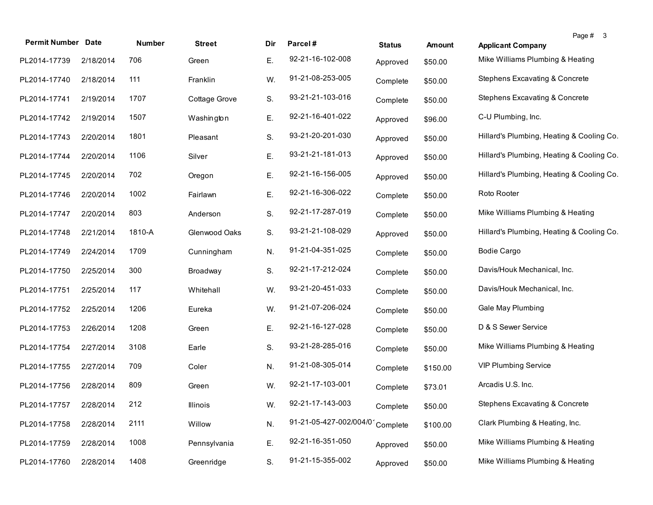| <b>Permit Number Date</b> |           | Number | <b>Street</b> | Dir | Parcel#                | <b>Status</b> | <b>Amount</b> | Page # 3<br><b>Applicant Company</b>      |  |
|---------------------------|-----------|--------|---------------|-----|------------------------|---------------|---------------|-------------------------------------------|--|
| PL2014-17739              | 2/18/2014 | 706    | Green         | Ε.  | 92-21-16-102-008       | Approved      | \$50.00       | Mike Williams Plumbing & Heating          |  |
| PL2014-17740              | 2/18/2014 | 111    | Franklin      | W.  | 91-21-08-253-005       | Complete      | \$50.00       | <b>Stephens Excavating &amp; Concrete</b> |  |
| PL2014-17741              | 2/19/2014 | 1707   | Cottage Grove | S.  | 93-21-21-103-016       | Complete      | \$50.00       | Stephens Excavating & Concrete            |  |
| PL2014-17742              | 2/19/2014 | 1507   | Washington    | Ε.  | 92-21-16-401-022       | Approved      | \$96.00       | C-U Plumbing, Inc.                        |  |
| PL2014-17743              | 2/20/2014 | 1801   | Pleasant      | S.  | 93-21-20-201-030       | Approved      | \$50.00       | Hillard's Plumbing, Heating & Cooling Co. |  |
| PL2014-17744              | 2/20/2014 | 1106   | Silver        | Ε.  | 93-21-21-181-013       | Approved      | \$50.00       | Hillard's Plumbing, Heating & Cooling Co. |  |
| PL2014-17745              | 2/20/2014 | 702    | Oregon        | Ε.  | 92-21-16-156-005       | Approved      | \$50.00       | Hillard's Plumbing, Heating & Cooling Co. |  |
| PL2014-17746              | 2/20/2014 | 1002   | Fairlawn      | Ε.  | 92-21-16-306-022       | Complete      | \$50.00       | Roto Rooter                               |  |
| PL2014-17747              | 2/20/2014 | 803    | Anderson      | S.  | 92-21-17-287-019       | Complete      | \$50.00       | Mike Williams Plumbing & Heating          |  |
| PL2014-17748              | 2/21/2014 | 1810-A | Glenwood Oaks | S.  | 93-21-21-108-029       | Approved      | \$50.00       | Hillard's Plumbing, Heating & Cooling Co. |  |
| PL2014-17749              | 2/24/2014 | 1709   | Cunningham    | N.  | 91-21-04-351-025       | Complete      | \$50.00       | <b>Bodie Cargo</b>                        |  |
| PL2014-17750              | 2/25/2014 | 300    | Broadway      | S.  | 92-21-17-212-024       | Complete      | \$50.00       | Davis/Houk Mechanical, Inc.               |  |
| PL2014-17751              | 2/25/2014 | 117    | Whitehall     | W.  | 93-21-20-451-033       | Complete      | \$50.00       | Davis/Houk Mechanical, Inc.               |  |
| PL2014-17752              | 2/25/2014 | 1206   | Eureka        | W.  | 91-21-07-206-024       | Complete      | \$50.00       | Gale May Plumbing                         |  |
| PL2014-17753              | 2/26/2014 | 1208   | Green         | Ε.  | 92-21-16-127-028       | Complete      | \$50.00       | D & S Sewer Service                       |  |
| PL2014-17754              | 2/27/2014 | 3108   | Earle         | S.  | 93-21-28-285-016       | Complete      | \$50.00       | Mike Williams Plumbing & Heating          |  |
| PL2014-17755              | 2/27/2014 | 709    | Coler         | N.  | 91-21-08-305-014       | Complete      | \$150.00      | <b>VIP Plumbing Service</b>               |  |
| PL2014-17756              | 2/28/2014 | 809    | Green         | W.  | 92-21-17-103-001       | Complete      | \$73.01       | Arcadis U.S. Inc.                         |  |
| PL2014-17757 2/28/2014    |           | 212    | Illinois      | W.  | 92-21-17-143-003       | Complete      | \$50.00       | Stephens Excavating & Concrete            |  |
| PL2014-17758              | 2/28/2014 | 2111   | Willow        | N.  | 91-21-05-427-002/004/0 | Complete      | \$100.00      | Clark Plumbing & Heating, Inc.            |  |
| PL2014-17759              | 2/28/2014 | 1008   | Pennsylvania  | Ε.  | 92-21-16-351-050       | Approved      | \$50.00       | Mike Williams Plumbing & Heating          |  |
| PL2014-17760              | 2/28/2014 | 1408   | Greenridge    | S.  | 91-21-15-355-002       | Approved      | \$50.00       | Mike Williams Plumbing & Heating          |  |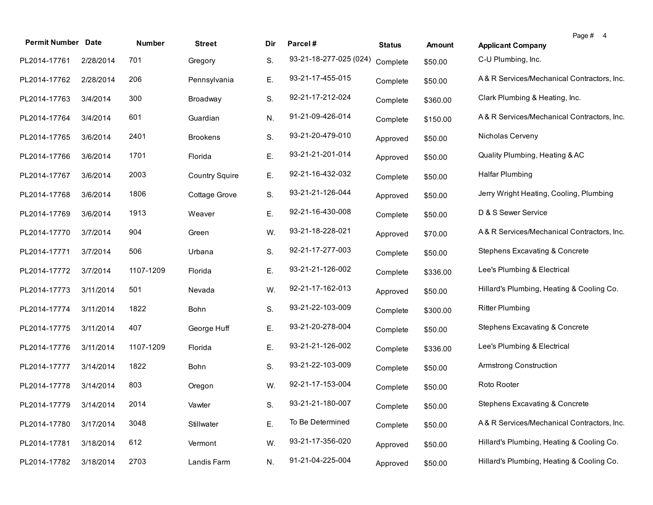| <b>Permit Number Date</b> |           | Number    | <b>Street</b>         | Dir | Parcel#                | <b>Status</b> | <b>Amount</b> | Page # 4<br><b>Applicant Company</b>       |
|---------------------------|-----------|-----------|-----------------------|-----|------------------------|---------------|---------------|--------------------------------------------|
| PL2014-17761              | 2/28/2014 | 701       | Gregory               | S.  | 93-21-18-277-025 (024) | Complete      | \$50.00       | C-U Plumbing, Inc.                         |
| PL2014-17762              | 2/28/2014 | 206       | Pennsylvania          | Ε.  | 93-21-17-455-015       | Complete      | \$50.00       | A& R Services/Mechanical Contractors, Inc. |
| PL2014-17763              | 3/4/2014  | 300       | Broadway              | S.  | 92-21-17-212-024       | Complete      | \$360.00      | Clark Plumbing & Heating, Inc.             |
| PL2014-17764              | 3/4/2014  | 601       | Guardian              | N.  | 91-21-09-426-014       | Complete      | \$150.00      | A& R Services/Mechanical Contractors, Inc. |
| PL2014-17765              | 3/6/2014  | 2401      | <b>Brookens</b>       | S.  | 93-21-20-479-010       | Approved      | \$50.00       | Nicholas Cerveny                           |
| PL2014-17766              | 3/6/2014  | 1701      | Florida               | Ε.  | 93-21-21-201-014       | Approved      | \$50.00       | Quality Plumbing, Heating & AC             |
| PL2014-17767              | 3/6/2014  | 2003      | <b>Country Squire</b> | Ε.  | 92-21-16-432-032       | Complete      | \$50.00       | <b>Halfar Plumbing</b>                     |
| PL2014-17768              | 3/6/2014  | 1806      | Cottage Grove         | S.  | 93-21-21-126-044       | Approved      | \$50.00       | Jerry Wright Heating, Cooling, Plumbing    |
| PL2014-17769              | 3/6/2014  | 1913      | Weaver                | Ε.  | 92-21-16-430-008       | Complete      | \$50.00       | D & S Sewer Service                        |
| PL2014-17770              | 3/7/2014  | 904       | Green                 | W.  | 93-21-18-228-021       | Approved      | \$70.00       | A& R Services/Mechanical Contractors, Inc. |
| PL2014-17771              | 3/7/2014  | 506       | Urbana                | S.  | 92-21-17-277-003       | Complete      | \$50.00       | Stephens Excavating & Concrete             |
| PL2014-17772              | 3/7/2014  | 1107-1209 | Florida               | Ε.  | 93-21-21-126-002       | Complete      | \$336.00      | Lee's Plumbing & Electrical                |
| PL2014-17773              | 3/11/2014 | 501       | Nevada                | W.  | 92-21-17-162-013       | Approved      | \$50.00       | Hillard's Plumbing, Heating & Cooling Co.  |
| PL2014-17774              | 3/11/2014 | 1822      | Bohn                  | S.  | 93-21-22-103-009       | Complete      | \$300.00      | <b>Ritter Plumbing</b>                     |
| PL2014-17775              | 3/11/2014 | 407       | George Huff           | Ε.  | 93-21-20-278-004       | Complete      | \$50.00       | Stephens Excavating & Concrete             |
| PL2014-17776              | 3/11/2014 | 1107-1209 | Florida               | Ε.  | 93-21-21-126-002       | Complete      | \$336.00      | Lee's Plumbing & Electrical                |
| PL2014-17777              | 3/14/2014 | 1822      | Bohn                  | S.  | 93-21-22-103-009       | Complete      | \$50.00       | Armstrong Construction                     |
| PL2014-17778              | 3/14/2014 | 803       | Oregon                | W.  | 92-21-17-153-004       | Complete      | \$50.00       | Roto Rooter                                |
| PL2014-17779 3/14/2014    |           | 2014      | Vawter                | S.  | 93-21-21-180-007       | Complete      | \$50.00       | Stephens Excavating & Concrete             |
| PL2014-17780              | 3/17/2014 | 3048      | Stillwater            | Ε.  | To Be Determined       | Complete      | \$50.00       | A& R Services/Mechanical Contractors, Inc. |
| PL2014-17781              | 3/18/2014 | 612       | Vermont               | W.  | 93-21-17-356-020       | Approved      | \$50.00       | Hillard's Plumbing, Heating & Cooling Co.  |
| PL2014-17782              | 3/18/2014 | 2703      | Landis Farm           | N.  | 91-21-04-225-004       | Approved      | \$50.00       | Hillard's Plumbing, Heating & Cooling Co.  |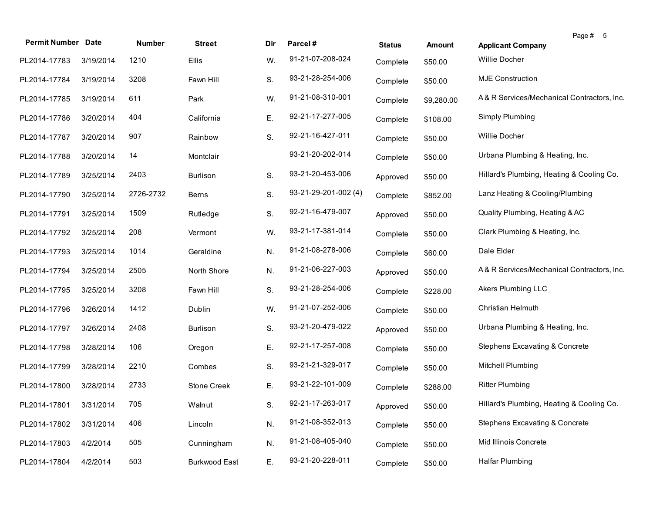| <b>Permit Number Date</b> |           | Number    | <b>Street</b>        | Dir | Parcel#              | <b>Status</b> | Amount     | Page # 5<br><b>Applicant Company</b>       |
|---------------------------|-----------|-----------|----------------------|-----|----------------------|---------------|------------|--------------------------------------------|
| PL2014-17783              | 3/19/2014 | 1210      | <b>Ellis</b>         | W.  | 91-21-07-208-024     | Complete      | \$50.00    | Willie Docher                              |
| PL2014-17784              | 3/19/2014 | 3208      | Fawn Hill            | S.  | 93-21-28-254-006     | Complete      | \$50.00    | <b>MJE Construction</b>                    |
| PL2014-17785              | 3/19/2014 | 611       | Park                 | W.  | 91-21-08-310-001     | Complete      | \$9,280.00 | A& R Services/Mechanical Contractors, Inc. |
| PL2014-17786              | 3/20/2014 | 404       | California           | Ε.  | 92-21-17-277-005     | Complete      | \$108.00   | Simply Plumbing                            |
| PL2014-17787              | 3/20/2014 | 907       | Rainbow              | S.  | 92-21-16-427-011     | Complete      | \$50.00    | <b>Willie Docher</b>                       |
| PL2014-17788              | 3/20/2014 | 14        | Montclair            |     | 93-21-20-202-014     | Complete      | \$50.00    | Urbana Plumbing & Heating, Inc.            |
| PL2014-17789              | 3/25/2014 | 2403      | <b>Burlison</b>      | S.  | 93-21-20-453-006     | Approved      | \$50.00    | Hillard's Plumbing, Heating & Cooling Co.  |
| PL2014-17790              | 3/25/2014 | 2726-2732 | <b>Berns</b>         | S.  | 93-21-29-201-002 (4) | Complete      | \$852.00   | Lanz Heating & Cooling/Plumbing            |
| PL2014-17791              | 3/25/2014 | 1509      | Rutledge             | S.  | 92-21-16-479-007     | Approved      | \$50.00    | Quality Plumbing, Heating & AC             |
| PL2014-17792              | 3/25/2014 | 208       | Vermont              | W.  | 93-21-17-381-014     | Complete      | \$50.00    | Clark Plumbing & Heating, Inc.             |
| PL2014-17793              | 3/25/2014 | 1014      | Geraldine            | N.  | 91-21-08-278-006     | Complete      | \$60.00    | Dale Elder                                 |
| PL2014-17794              | 3/25/2014 | 2505      | North Shore          | N.  | 91-21-06-227-003     | Approved      | \$50.00    | A& R Services/Mechanical Contractors, Inc. |
| PL2014-17795              | 3/25/2014 | 3208      | Fawn Hill            | S.  | 93-21-28-254-006     | Complete      | \$228.00   | Akers Plumbing LLC                         |
| PL2014-17796              | 3/26/2014 | 1412      | Dublin               | W.  | 91-21-07-252-006     | Complete      | \$50.00    | Christian Helmuth                          |
| PL2014-17797              | 3/26/2014 | 2408      | Burlison             | S.  | 93-21-20-479-022     | Approved      | \$50.00    | Urbana Plumbing & Heating, Inc.            |
| PL2014-17798              | 3/28/2014 | 106       | Oregon               | Е.  | 92-21-17-257-008     | Complete      | \$50.00    | <b>Stephens Excavating &amp; Concrete</b>  |
| PL2014-17799              | 3/28/2014 | 2210      | Combes               | S.  | 93-21-21-329-017     | Complete      | \$50.00    | Mitchell Plumbing                          |
| PL2014-17800              | 3/28/2014 | 2733      | Stone Creek          | Ε.  | 93-21-22-101-009     | Complete      | \$288.00   | <b>Ritter Plumbing</b>                     |
| PL2014-17801 3/31/2014    |           | 705       | Walnut               | S.  | 92-21-17-263-017     | Approved      | \$50.00    | Hillard's Plumbing, Heating & Cooling Co.  |
| PL2014-17802              | 3/31/2014 | 406       | Lincoln              | N.  | 91-21-08-352-013     | Complete      | \$50.00    | Stephens Excavating & Concrete             |
| PL2014-17803              | 4/2/2014  | 505       | Cunningham           | N.  | 91-21-08-405-040     | Complete      | \$50.00    | Mid Illinois Concrete                      |
| PL2014-17804              | 4/2/2014  | 503       | <b>Burkwood East</b> | Ε.  | 93-21-20-228-011     | Complete      | \$50.00    | Halfar Plumbing                            |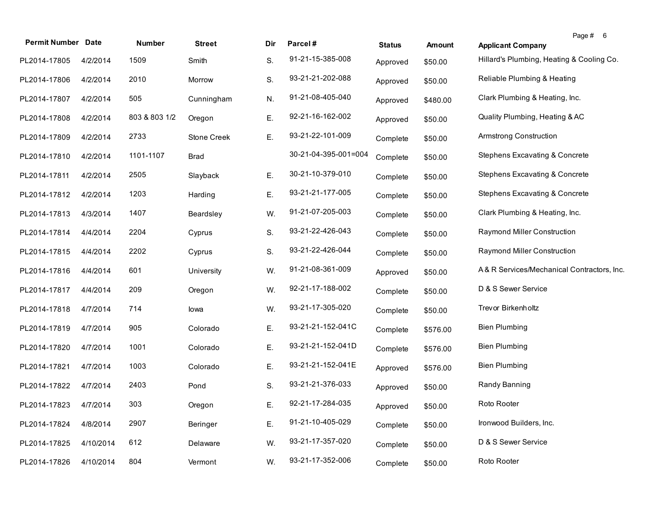| <b>Permit Number Date</b> |           | Number        | <b>Street</b> | Dir | Parcel#              | <b>Status</b> | <b>Amount</b> | Page # 6<br><b>Applicant Company</b>       |
|---------------------------|-----------|---------------|---------------|-----|----------------------|---------------|---------------|--------------------------------------------|
| PL2014-17805              | 4/2/2014  | 1509          | Smith         | S.  | 91-21-15-385-008     | Approved      | \$50.00       | Hillard's Plumbing, Heating & Cooling Co.  |
| PL2014-17806              | 4/2/2014  | 2010          | Morrow        | S.  | 93-21-21-202-088     | Approved      | \$50.00       | Reliable Plumbing & Heating                |
| PL2014-17807              | 4/2/2014  | 505           | Cunningham    | N.  | 91-21-08-405-040     | Approved      | \$480.00      | Clark Plumbing & Heating, Inc.             |
| PL2014-17808              | 4/2/2014  | 803 & 803 1/2 | Oregon        | Ε.  | 92-21-16-162-002     | Approved      | \$50.00       | Quality Plumbing, Heating & AC             |
| PL2014-17809              | 4/2/2014  | 2733          | Stone Creek   | Ε.  | 93-21-22-101-009     | Complete      | \$50.00       | Armstrong Construction                     |
| PL2014-17810              | 4/2/2014  | 1101-1107     | <b>Brad</b>   |     | 30-21-04-395-001=004 | Complete      | \$50.00       | Stephens Excavating & Concrete             |
| PL2014-17811              | 4/2/2014  | 2505          | Slayback      | Ε.  | 30-21-10-379-010     | Complete      | \$50.00       | Stephens Excavating & Concrete             |
| PL2014-17812              | 4/2/2014  | 1203          | Harding       | Ε.  | 93-21-21-177-005     | Complete      | \$50.00       | Stephens Excavating & Concrete             |
| PL2014-17813              | 4/3/2014  | 1407          | Beardsley     | W.  | 91-21-07-205-003     | Complete      | \$50.00       | Clark Plumbing & Heating, Inc.             |
| PL2014-17814              | 4/4/2014  | 2204          | Cyprus        | S.  | 93-21-22-426-043     | Complete      | \$50.00       | Raymond Miller Construction                |
| PL2014-17815              | 4/4/2014  | 2202          | Cyprus        | S.  | 93-21-22-426-044     | Complete      | \$50.00       | Raymond Miller Construction                |
| PL2014-17816              | 4/4/2014  | 601           | University    | W.  | 91-21-08-361-009     | Approved      | \$50.00       | A& R Services/Mechanical Contractors, Inc. |
| PL2014-17817              | 4/4/2014  | 209           | Oregon        | W.  | 92-21-17-188-002     | Complete      | \$50.00       | D & S Sewer Service                        |
| PL2014-17818              | 4/7/2014  | 714           | lowa          | W.  | 93-21-17-305-020     | Complete      | \$50.00       | Trevor Birkenholtz                         |
| PL2014-17819              | 4/7/2014  | 905           | Colorado      | Ε.  | 93-21-21-152-041C    | Complete      | \$576.00      | <b>Bien Plumbing</b>                       |
| PL2014-17820              | 4/7/2014  | 1001          | Colorado      | Ε.  | 93-21-21-152-041D    | Complete      | \$576.00      | <b>Bien Plumbing</b>                       |
| PL2014-17821              | 4/7/2014  | 1003          | Colorado      | Е.  | 93-21-21-152-041E    | Approved      | \$576.00      | <b>Bien Plumbing</b>                       |
| PL2014-17822              | 4/7/2014  | 2403          | Pond          | S.  | 93-21-21-376-033     | Approved      | \$50.00       | Randy Banning                              |
| PL2014-17823              | 4/7/2014  | 303           | Oregon        | Е.  | 92-21-17-284-035     | Approved      | \$50.00       | Roto Rooter                                |
| PL2014-17824              | 4/8/2014  | 2907          | Beringer      | Ε.  | 91-21-10-405-029     | Complete      | \$50.00       | Ironwood Builders, Inc.                    |
| PL2014-17825              | 4/10/2014 | 612           | Delaware      | W.  | 93-21-17-357-020     | Complete      | \$50.00       | D & S Sewer Service                        |
| PL2014-17826              | 4/10/2014 | 804           | Vermont       | W.  | 93-21-17-352-006     | Complete      | \$50.00       | Roto Rooter                                |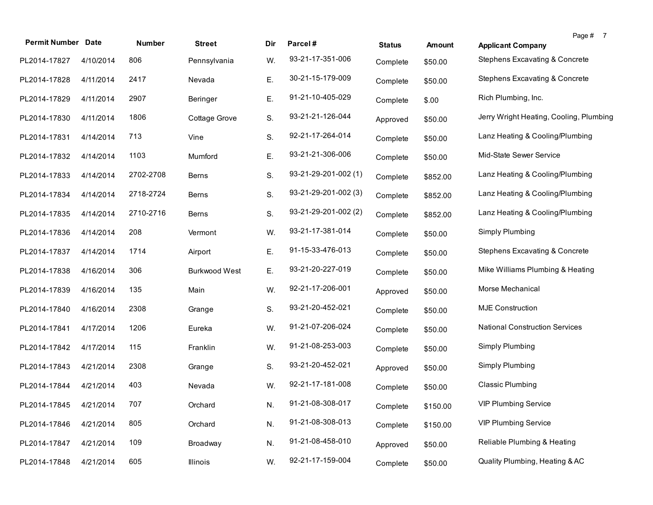| <b>Permit Number Date</b> |           | Number    | <b>Street</b> | Dir | Parcel#              | <b>Status</b> | <b>Amount</b> | Page # 7<br><b>Applicant Company</b>      |
|---------------------------|-----------|-----------|---------------|-----|----------------------|---------------|---------------|-------------------------------------------|
| PL2014-17827              | 4/10/2014 | 806       | Pennsylvania  | W.  | 93-21-17-351-006     | Complete      | \$50.00       | Stephens Excavating & Concrete            |
| PL2014-17828              | 4/11/2014 | 2417      | Nevada        | Ε.  | 30-21-15-179-009     | Complete      | \$50.00       | <b>Stephens Excavating &amp; Concrete</b> |
| PL2014-17829              | 4/11/2014 | 2907      | Beringer      | Ε.  | 91-21-10-405-029     | Complete      | \$.00         | Rich Plumbing, Inc.                       |
| PL2014-17830              | 4/11/2014 | 1806      | Cottage Grove | S.  | 93-21-21-126-044     | Approved      | \$50.00       | Jerry Wright Heating, Cooling, Plumbing   |
| PL2014-17831              | 4/14/2014 | 713       | Vine          | S.  | 92-21-17-264-014     | Complete      | \$50.00       | Lanz Heating & Cooling/Plumbing           |
| PL2014-17832              | 4/14/2014 | 1103      | Mumford       | Ε.  | 93-21-21-306-006     | Complete      | \$50.00       | Mid-State Sewer Service                   |
| PL2014-17833              | 4/14/2014 | 2702-2708 | <b>Berns</b>  | S.  | 93-21-29-201-002 (1) | Complete      | \$852.00      | Lanz Heating & Cooling/Plumbing           |
| PL2014-17834              | 4/14/2014 | 2718-2724 | <b>Berns</b>  | S.  | 93-21-29-201-002 (3) | Complete      | \$852.00      | Lanz Heating & Cooling/Plumbing           |
| PL2014-17835              | 4/14/2014 | 2710-2716 | <b>Berns</b>  | S.  | 93-21-29-201-002 (2) | Complete      | \$852.00      | Lanz Heating & Cooling/Plumbing           |
| PL2014-17836              | 4/14/2014 | 208       | Vermont       | W.  | 93-21-17-381-014     | Complete      | \$50.00       | Simply Plumbing                           |
| PL2014-17837              | 4/14/2014 | 1714      | Airport       | Ε.  | 91-15-33-476-013     | Complete      | \$50.00       | Stephens Excavating & Concrete            |
| PL2014-17838              | 4/16/2014 | 306       | Burkwood West | Ε.  | 93-21-20-227-019     | Complete      | \$50.00       | Mike Williams Plumbing & Heating          |
| PL2014-17839              | 4/16/2014 | 135       | Main          | W.  | 92-21-17-206-001     | Approved      | \$50.00       | Morse Mechanical                          |
| PL2014-17840              | 4/16/2014 | 2308      | Grange        | S.  | 93-21-20-452-021     | Complete      | \$50.00       | <b>MJE Construction</b>                   |
| PL2014-17841              | 4/17/2014 | 1206      | Eureka        | W.  | 91-21-07-206-024     | Complete      | \$50.00       | <b>National Construction Services</b>     |
| PL2014-17842              | 4/17/2014 | 115       | Franklin      | W.  | 91-21-08-253-003     | Complete      | \$50.00       | Simply Plumbing                           |
| PL2014-17843              | 4/21/2014 | 2308      | Grange        | S.  | 93-21-20-452-021     | Approved      | \$50.00       | Simply Plumbing                           |
| PL2014-17844              | 4/21/2014 | 403       | Nevada        | W.  | 92-21-17-181-008     | Complete      | \$50.00       | <b>Classic Plumbing</b>                   |
| PL2014-17845 4/21/2014    |           | 707       | Orchard       | N.  | 91-21-08-308-017     | Complete      | \$150.00      | <b>VIP Plumbing Service</b>               |
| PL2014-17846              | 4/21/2014 | 805       | Orchard       | N.  | 91-21-08-308-013     | Complete      | \$150.00      | <b>VIP Plumbing Service</b>               |
| PL2014-17847              | 4/21/2014 | 109       | Broadway      | N.  | 91-21-08-458-010     | Approved      | \$50.00       | Reliable Plumbing & Heating               |
| PL2014-17848              | 4/21/2014 | 605       | Illinois      | W.  | 92-21-17-159-004     | Complete      | \$50.00       | Quality Plumbing, Heating & AC            |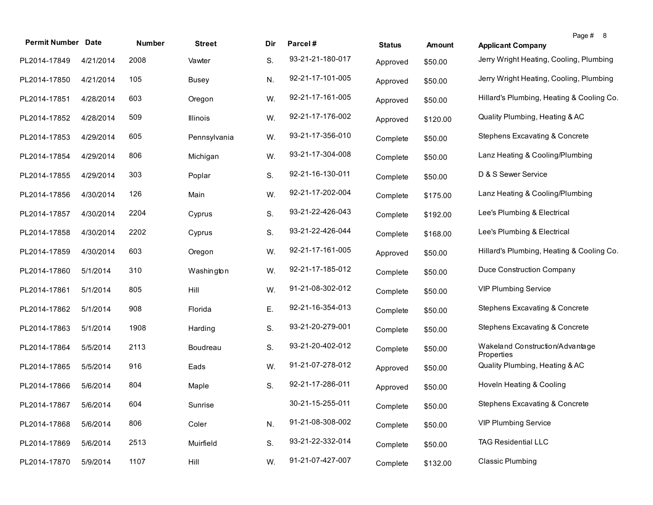| <b>Permit Number Date</b> |           | <b>Number</b> | <b>Street</b> | Dir | Parcel#          | <b>Status</b> | Amount   | <b>Applicant Company</b>                      | Page # 8 |
|---------------------------|-----------|---------------|---------------|-----|------------------|---------------|----------|-----------------------------------------------|----------|
| PL2014-17849              | 4/21/2014 | 2008          | Vawter        | S.  | 93-21-21-180-017 | Approved      | \$50.00  | Jerry Wright Heating, Cooling, Plumbing       |          |
| PL2014-17850              | 4/21/2014 | 105           | <b>Busey</b>  | N.  | 92-21-17-101-005 | Approved      | \$50.00  | Jerry Wright Heating, Cooling, Plumbing       |          |
| PL2014-17851              | 4/28/2014 | 603           | Oregon        | W.  | 92-21-17-161-005 | Approved      | \$50.00  | Hillard's Plumbing, Heating & Cooling Co.     |          |
| PL2014-17852              | 4/28/2014 | 509           | Illinois      | W.  | 92-21-17-176-002 | Approved      | \$120.00 | Quality Plumbing, Heating & AC                |          |
| PL2014-17853              | 4/29/2014 | 605           | Pennsylvania  | W.  | 93-21-17-356-010 | Complete      | \$50.00  | Stephens Excavating & Concrete                |          |
| PL2014-17854              | 4/29/2014 | 806           | Michigan      | W.  | 93-21-17-304-008 | Complete      | \$50.00  | Lanz Heating & Cooling/Plumbing               |          |
| PL2014-17855              | 4/29/2014 | 303           | Poplar        | S.  | 92-21-16-130-011 | Complete      | \$50.00  | D & S Sewer Service                           |          |
| PL2014-17856              | 4/30/2014 | 126           | Main          | W.  | 92-21-17-202-004 | Complete      | \$175.00 | Lanz Heating & Cooling/Plumbing               |          |
| PL2014-17857              | 4/30/2014 | 2204          | Cyprus        | S.  | 93-21-22-426-043 | Complete      | \$192.00 | Lee's Plumbing & Electrical                   |          |
| PL2014-17858              | 4/30/2014 | 2202          | Cyprus        | S.  | 93-21-22-426-044 | Complete      | \$168.00 | Lee's Plumbing & Electrical                   |          |
| PL2014-17859              | 4/30/2014 | 603           | Oregon        | W.  | 92-21-17-161-005 | Approved      | \$50.00  | Hillard's Plumbing, Heating & Cooling Co.     |          |
| PL2014-17860              | 5/1/2014  | 310           | Washington    | W.  | 92-21-17-185-012 | Complete      | \$50.00  | Duce Construction Company                     |          |
| PL2014-17861              | 5/1/2014  | 805           | Hill          | W.  | 91-21-08-302-012 | Complete      | \$50.00  | <b>VIP Plumbing Service</b>                   |          |
| PL2014-17862              | 5/1/2014  | 908           | Florida       | Ε.  | 92-21-16-354-013 | Complete      | \$50.00  | Stephens Excavating & Concrete                |          |
| PL2014-17863              | 5/1/2014  | 1908          | Harding       | S.  | 93-21-20-279-001 | Complete      | \$50.00  | Stephens Excavating & Concrete                |          |
| PL2014-17864              | 5/5/2014  | 2113          | Boudreau      | S.  | 93-21-20-402-012 | Complete      | \$50.00  | Wakeland Construction/Advantage<br>Properties |          |
| PL2014-17865              | 5/5/2014  | 916           | Eads          | W.  | 91-21-07-278-012 | Approved      | \$50.00  | Quality Plumbing, Heating & AC                |          |
| PL2014-17866              | 5/6/2014  | 804           | Maple         | S.  | 92-21-17-286-011 | Approved      | \$50.00  | Hoveln Heating & Cooling                      |          |
| PL2014-17867 5/6/2014     |           | 604           | Sunrise       |     | 30-21-15-255-011 | Complete      | \$50.00  | Stephens Excavating & Concrete                |          |
| PL2014-17868              | 5/6/2014  | 806           | Coler         | N.  | 91-21-08-308-002 | Complete      | \$50.00  | <b>VIP Plumbing Service</b>                   |          |
| PL2014-17869              | 5/6/2014  | 2513          | Muirfield     | S.  | 93-21-22-332-014 | Complete      | \$50.00  | <b>TAG Residential LLC</b>                    |          |
| PL2014-17870              | 5/9/2014  | 1107          | Hill          | W.  | 91-21-07-427-007 | Complete      | \$132.00 | <b>Classic Plumbing</b>                       |          |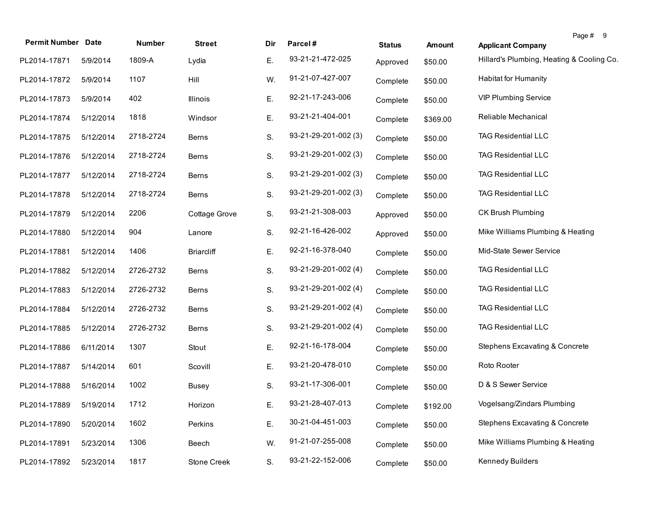| <b>Permit Number Date</b> |           | Number    | <b>Street</b>     | Dir | Parcel#              | <b>Status</b> | <b>Amount</b> | <b>Applicant Company</b>                  | Page # 9 |
|---------------------------|-----------|-----------|-------------------|-----|----------------------|---------------|---------------|-------------------------------------------|----------|
| PL2014-17871              | 5/9/2014  | 1809-A    | Lydia             | Е.  | 93-21-21-472-025     | Approved      | \$50.00       | Hillard's Plumbing, Heating & Cooling Co. |          |
| PL2014-17872              | 5/9/2014  | 1107      | Hill              | W.  | 91-21-07-427-007     | Complete      | \$50.00       | <b>Habitat for Humanity</b>               |          |
| PL2014-17873              | 5/9/2014  | 402       | Illinois          | Ε.  | 92-21-17-243-006     | Complete      | \$50.00       | <b>VIP Plumbing Service</b>               |          |
| PL2014-17874              | 5/12/2014 | 1818      | Windsor           | Е.  | 93-21-21-404-001     | Complete      | \$369.00      | Reliable Mechanical                       |          |
| PL2014-17875              | 5/12/2014 | 2718-2724 | Berns             | S.  | 93-21-29-201-002 (3) | Complete      | \$50.00       | <b>TAG Residential LLC</b>                |          |
| PL2014-17876              | 5/12/2014 | 2718-2724 | <b>Berns</b>      | S.  | 93-21-29-201-002 (3) | Complete      | \$50.00       | <b>TAG Residential LLC</b>                |          |
| PL2014-17877              | 5/12/2014 | 2718-2724 | Berns             | S.  | 93-21-29-201-002 (3) | Complete      | \$50.00       | <b>TAG Residential LLC</b>                |          |
| PL2014-17878              | 5/12/2014 | 2718-2724 | <b>Berns</b>      | S.  | 93-21-29-201-002 (3) | Complete      | \$50.00       | <b>TAG Residential LLC</b>                |          |
| PL2014-17879              | 5/12/2014 | 2206      | Cottage Grove     | S.  | 93-21-21-308-003     | Approved      | \$50.00       | CK Brush Plumbing                         |          |
| PL2014-17880              | 5/12/2014 | 904       | Lanore            | S.  | 92-21-16-426-002     | Approved      | \$50.00       | Mike Williams Plumbing & Heating          |          |
| PL2014-17881              | 5/12/2014 | 1406      | <b>Briarcliff</b> | Ε.  | 92-21-16-378-040     | Complete      | \$50.00       | Mid-State Sewer Service                   |          |
| PL2014-17882              | 5/12/2014 | 2726-2732 | Berns             | S.  | 93-21-29-201-002 (4) | Complete      | \$50.00       | <b>TAG Residential LLC</b>                |          |
| PL2014-17883              | 5/12/2014 | 2726-2732 | Berns             | S.  | 93-21-29-201-002 (4) | Complete      | \$50.00       | <b>TAG Residential LLC</b>                |          |
| PL2014-17884              | 5/12/2014 | 2726-2732 | Berns             | S.  | 93-21-29-201-002 (4) | Complete      | \$50.00       | <b>TAG Residential LLC</b>                |          |
| PL2014-17885              | 5/12/2014 | 2726-2732 | Berns             | S.  | 93-21-29-201-002 (4) | Complete      | \$50.00       | <b>TAG Residential LLC</b>                |          |
| PL2014-17886              | 6/11/2014 | 1307      | Stout             | Ε.  | 92-21-16-178-004     | Complete      | \$50.00       | <b>Stephens Excavating &amp; Concrete</b> |          |
| PL2014-17887              | 5/14/2014 | 601       | Scovill           | Ε.  | 93-21-20-478-010     | Complete      | \$50.00       | Roto Rooter                               |          |
| PL2014-17888              | 5/16/2014 | 1002      | <b>Busey</b>      | S.  | 93-21-17-306-001     | Complete      | \$50.00       | D & S Sewer Service                       |          |
| PL2014-17889              | 5/19/2014 | 1712      | Horizon           | Е.  | 93-21-28-407-013     | Complete      | \$192.00      | Vogelsang/Zindars Plumbing                |          |
| PL2014-17890              | 5/20/2014 | 1602      | Perkins           | Ε.  | 30-21-04-451-003     | Complete      | \$50.00       | Stephens Excavating & Concrete            |          |
| PL2014-17891              | 5/23/2014 | 1306      | Beech             | W.  | 91-21-07-255-008     | Complete      | \$50.00       | Mike Williams Plumbing & Heating          |          |
| PL2014-17892              | 5/23/2014 | 1817      | Stone Creek       | S.  | 93-21-22-152-006     | Complete      | \$50.00       | Kennedy Builders                          |          |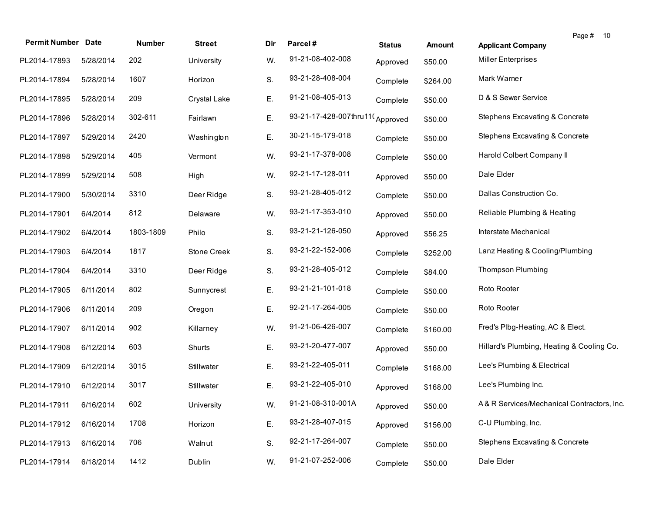| <b>Permit Number</b> | <b>Date</b> | <b>Number</b> | <b>Street</b> | Dir | Parcel#                         | <b>Status</b> | <b>Amount</b> | Page # 10<br><b>Applicant Company</b>      |
|----------------------|-------------|---------------|---------------|-----|---------------------------------|---------------|---------------|--------------------------------------------|
| PL2014-17893         | 5/28/2014   | 202           | University    | W.  | 91-21-08-402-008                | Approved      | \$50.00       | <b>Miller Enterprises</b>                  |
| PL2014-17894         | 5/28/2014   | 1607          | Horizon       | S.  | 93-21-28-408-004                | Complete      | \$264.00      | Mark Warner                                |
| PL2014-17895         | 5/28/2014   | 209           | Crystal Lake  | Ε.  | 91-21-08-405-013                | Complete      | \$50.00       | D & S Sewer Service                        |
| PL2014-17896         | 5/28/2014   | 302-611       | Fairlawn      | Е.  | 93-21-17-428-007thru11(Approved |               | \$50.00       | <b>Stephens Excavating &amp; Concrete</b>  |
| PL2014-17897         | 5/29/2014   | 2420          | Washington    | Ε.  | 30-21-15-179-018                | Complete      | \$50.00       | <b>Stephens Excavating &amp; Concrete</b>  |
| PL2014-17898         | 5/29/2014   | 405           | Vermont       | W.  | 93-21-17-378-008                | Complete      | \$50.00       | Harold Colbert Company II                  |
| PL2014-17899         | 5/29/2014   | 508           | High          | W.  | 92-21-17-128-011                | Approved      | \$50.00       | Dale Elder                                 |
| PL2014-17900         | 5/30/2014   | 3310          | Deer Ridge    | S.  | 93-21-28-405-012                | Complete      | \$50.00       | Dallas Construction Co.                    |
| PL2014-17901         | 6/4/2014    | 812           | Delaware      | W.  | 93-21-17-353-010                | Approved      | \$50.00       | Reliable Plumbing & Heating                |
| PL2014-17902         | 6/4/2014    | 1803-1809     | Philo         | S.  | 93-21-21-126-050                | Approved      | \$56.25       | Interstate Mechanical                      |
| PL2014-17903         | 6/4/2014    | 1817          | Stone Creek   | S.  | 93-21-22-152-006                | Complete      | \$252.00      | Lanz Heating & Cooling/Plumbing            |
| PL2014-17904         | 6/4/2014    | 3310          | Deer Ridge    | S.  | 93-21-28-405-012                | Complete      | \$84.00       | <b>Thompson Plumbing</b>                   |
| PL2014-17905         | 6/11/2014   | 802           | Sunnycrest    | Е.  | 93-21-21-101-018                | Complete      | \$50.00       | Roto Rooter                                |
| PL2014-17906         | 6/11/2014   | 209           | Oregon        | Ε.  | 92-21-17-264-005                | Complete      | \$50.00       | Roto Rooter                                |
| PL2014-17907         | 6/11/2014   | 902           | Killarney     | W.  | 91-21-06-426-007                | Complete      | \$160.00      | Fred's Plbg-Heating, AC & Elect.           |
| PL2014-17908         | 6/12/2014   | 603           | Shurts        | Ε.  | 93-21-20-477-007                | Approved      | \$50.00       | Hillard's Plumbing, Heating & Cooling Co.  |
| PL2014-17909         | 6/12/2014   | 3015          | Stillwater    | Ε.  | 93-21-22-405-011                | Complete      | \$168.00      | Lee's Plumbing & Electrical                |
| PL2014-17910         | 6/12/2014   | 3017          | Stillwater    | Е.  | 93-21-22-405-010                | Approved      | \$168.00      | Lee's Plumbing Inc.                        |
| PL2014-17911         | 6/16/2014   | 602           | University    | W.  | 91-21-08-310-001A               | Approved      | \$50.00       | A& R Services/Mechanical Contractors, Inc. |
| PL2014-17912         | 6/16/2014   | 1708          | Horizon       | Ε.  | 93-21-28-407-015                | Approved      | \$156.00      | C-U Plumbing, Inc.                         |
| PL2014-17913         | 6/16/2014   | 706           | Walnut        | S.  | 92-21-17-264-007                | Complete      | \$50.00       | Stephens Excavating & Concrete             |
| PL2014-17914         | 6/18/2014   | 1412          | Dublin        | W.  | 91-21-07-252-006                | Complete      | \$50.00       | Dale Elder                                 |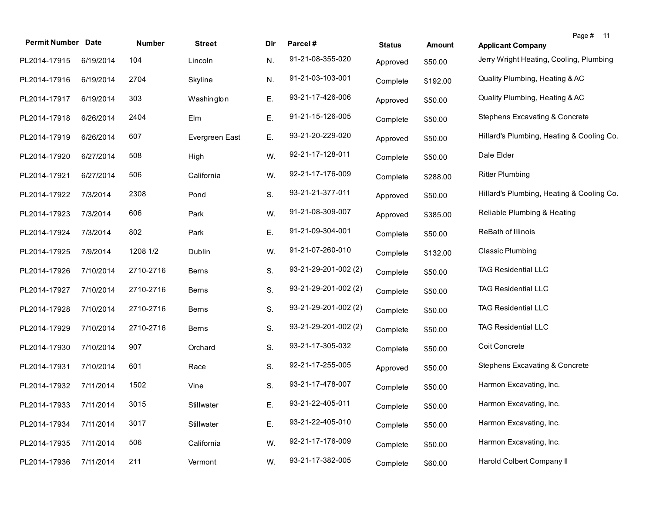| <b>Permit Number Date</b> |           | Number    | <b>Street</b>  | Dir | Parcel#              | <b>Status</b> | <b>Amount</b> | Page # 11<br><b>Applicant Company</b>     |
|---------------------------|-----------|-----------|----------------|-----|----------------------|---------------|---------------|-------------------------------------------|
| PL2014-17915              | 6/19/2014 | 104       | Lincoln        | N.  | 91-21-08-355-020     | Approved      | \$50.00       | Jerry Wright Heating, Cooling, Plumbing   |
| PL2014-17916              | 6/19/2014 | 2704      | Skyline        | N.  | 91-21-03-103-001     | Complete      | \$192.00      | Quality Plumbing, Heating & AC            |
| PL2014-17917              | 6/19/2014 | 303       | Washington     | Ε.  | 93-21-17-426-006     | Approved      | \$50.00       | Quality Plumbing, Heating & AC            |
| PL2014-17918              | 6/26/2014 | 2404      | Elm            | Ε.  | 91-21-15-126-005     | Complete      | \$50.00       | Stephens Excavating & Concrete            |
| PL2014-17919              | 6/26/2014 | 607       | Evergreen East | Ε.  | 93-21-20-229-020     | Approved      | \$50.00       | Hillard's Plumbing, Heating & Cooling Co. |
| PL2014-17920              | 6/27/2014 | 508       | High           | W.  | 92-21-17-128-011     | Complete      | \$50.00       | Dale Elder                                |
| PL2014-17921              | 6/27/2014 | 506       | California     | W.  | 92-21-17-176-009     | Complete      | \$288.00      | <b>Ritter Plumbing</b>                    |
| PL2014-17922              | 7/3/2014  | 2308      | Pond           | S.  | 93-21-21-377-011     | Approved      | \$50.00       | Hillard's Plumbing, Heating & Cooling Co. |
| PL2014-17923              | 7/3/2014  | 606       | Park           | W.  | 91-21-08-309-007     | Approved      | \$385.00      | Reliable Plumbing & Heating               |
| PL2014-17924              | 7/3/2014  | 802       | Park           | Ε.  | 91-21-09-304-001     | Complete      | \$50.00       | ReBath of Illinois                        |
| PL2014-17925              | 7/9/2014  | 1208 1/2  | Dublin         | W.  | 91-21-07-260-010     | Complete      | \$132.00      | <b>Classic Plumbing</b>                   |
| PL2014-17926              | 7/10/2014 | 2710-2716 | <b>Berns</b>   | S.  | 93-21-29-201-002 (2) | Complete      | \$50.00       | <b>TAG Residential LLC</b>                |
| PL2014-17927              | 7/10/2014 | 2710-2716 | Berns          | S.  | 93-21-29-201-002 (2) | Complete      | \$50.00       | <b>TAG Residential LLC</b>                |
| PL2014-17928              | 7/10/2014 | 2710-2716 | <b>Berns</b>   | S.  | 93-21-29-201-002 (2) | Complete      | \$50.00       | <b>TAG Residential LLC</b>                |
| PL2014-17929              | 7/10/2014 | 2710-2716 | Berns          | S.  | 93-21-29-201-002 (2) | Complete      | \$50.00       | <b>TAG Residential LLC</b>                |
| PL2014-17930              | 7/10/2014 | 907       | Orchard        | S.  | 93-21-17-305-032     | Complete      | \$50.00       | Coit Concrete                             |
| PL2014-17931              | 7/10/2014 | 601       | Race           | S.  | 92-21-17-255-005     | Approved      | \$50.00       | Stephens Excavating & Concrete            |
| PL2014-17932              | 7/11/2014 | 1502      | Vine           | S.  | 93-21-17-478-007     | Complete      | \$50.00       | Harmon Excavating, Inc.                   |
| PL2014-17933 7/11/2014    |           | 3015      | Stillwater     | Ε.  | 93-21-22-405-011     | Complete      | \$50.00       | Harmon Excavating, Inc.                   |
| PL2014-17934              | 7/11/2014 | 3017      | Stillwater     | Ε.  | 93-21-22-405-010     | Complete      | \$50.00       | Harmon Excavating, Inc.                   |
| PL2014-17935              | 7/11/2014 | 506       | California     | W.  | 92-21-17-176-009     | Complete      | \$50.00       | Harmon Excavating, Inc.                   |
| PL2014-17936              | 7/11/2014 | 211       | Vermont        | W.  | 93-21-17-382-005     | Complete      | \$60.00       | Harold Colbert Company II                 |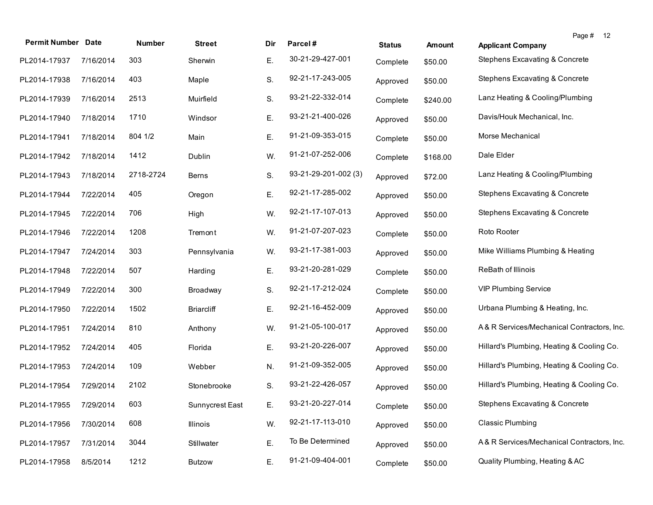| <b>Permit Number</b> | <b>Date</b> | <b>Number</b> | <b>Street</b>     | Dir | Parcel#              | <b>Status</b> | <b>Amount</b> | Page # 12<br><b>Applicant Company</b>      |  |
|----------------------|-------------|---------------|-------------------|-----|----------------------|---------------|---------------|--------------------------------------------|--|
| PL2014-17937         | 7/16/2014   | 303           | Sherwin           | Е.  | 30-21-29-427-001     | Complete      | \$50.00       | Stephens Excavating & Concrete             |  |
| PL2014-17938         | 7/16/2014   | 403           | Maple             | S.  | 92-21-17-243-005     | Approved      | \$50.00       | <b>Stephens Excavating &amp; Concrete</b>  |  |
| PL2014-17939         | 7/16/2014   | 2513          | Muirfield         | S.  | 93-21-22-332-014     | Complete      | \$240.00      | Lanz Heating & Cooling/Plumbing            |  |
| PL2014-17940         | 7/18/2014   | 1710          | Windsor           | Ε.  | 93-21-21-400-026     | Approved      | \$50.00       | Davis/Houk Mechanical, Inc.                |  |
| PL2014-17941         | 7/18/2014   | 804 1/2       | Main              | Ε.  | 91-21-09-353-015     | Complete      | \$50.00       | Morse Mechanical                           |  |
| PL2014-17942         | 7/18/2014   | 1412          | Dublin            | W.  | 91-21-07-252-006     | Complete      | \$168.00      | Dale Elder                                 |  |
| PL2014-17943         | 7/18/2014   | 2718-2724     | <b>Berns</b>      | S.  | 93-21-29-201-002 (3) | Approved      | \$72.00       | Lanz Heating & Cooling/Plumbing            |  |
| PL2014-17944         | 7/22/2014   | 405           | Oregon            | Ε.  | 92-21-17-285-002     | Approved      | \$50.00       | Stephens Excavating & Concrete             |  |
| PL2014-17945         | 7/22/2014   | 706           | High              | W.  | 92-21-17-107-013     | Approved      | \$50.00       | <b>Stephens Excavating &amp; Concrete</b>  |  |
| PL2014-17946         | 7/22/2014   | 1208          | Tremont           | W.  | 91-21-07-207-023     | Complete      | \$50.00       | Roto Rooter                                |  |
| PL2014-17947         | 7/24/2014   | 303           | Pennsylvania      | W.  | 93-21-17-381-003     | Approved      | \$50.00       | Mike Williams Plumbing & Heating           |  |
| PL2014-17948         | 7/22/2014   | 507           | Harding           | Ε.  | 93-21-20-281-029     | Complete      | \$50.00       | ReBath of Illinois                         |  |
| PL2014-17949         | 7/22/2014   | 300           | Broadway          | S.  | 92-21-17-212-024     | Complete      | \$50.00       | <b>VIP Plumbing Service</b>                |  |
| PL2014-17950         | 7/22/2014   | 1502          | <b>Briarcliff</b> | Ε.  | 92-21-16-452-009     | Approved      | \$50.00       | Urbana Plumbing & Heating, Inc.            |  |
| PL2014-17951         | 7/24/2014   | 810           | Anthony           | W.  | 91-21-05-100-017     | Approved      | \$50.00       | A&R Services/Mechanical Contractors, Inc.  |  |
| PL2014-17952         | 7/24/2014   | 405           | Florida           | Ε.  | 93-21-20-226-007     | Approved      | \$50.00       | Hillard's Plumbing, Heating & Cooling Co.  |  |
| PL2014-17953         | 7/24/2014   | 109           | Webber            | N.  | 91-21-09-352-005     | Approved      | \$50.00       | Hillard's Plumbing, Heating & Cooling Co.  |  |
| PL2014-17954         | 7/29/2014   | 2102          | Stonebrooke       | S.  | 93-21-22-426-057     | Approved      | \$50.00       | Hillard's Plumbing, Heating & Cooling Co.  |  |
| PL2014-17955         | 7/29/2014   | 603           | Sunnycrest East   | Ε.  | 93-21-20-227-014     | Complete      | \$50.00       | Stephens Excavating & Concrete             |  |
| PL2014-17956         | 7/30/2014   | 608           | Illinois          | W.  | 92-21-17-113-010     | Approved      | \$50.00       | <b>Classic Plumbing</b>                    |  |
| PL2014-17957         | 7/31/2014   | 3044          | Stillwater        | Е.  | To Be Determined     | Approved      | \$50.00       | A& R Services/Mechanical Contractors, Inc. |  |
| PL2014-17958         | 8/5/2014    | 1212          | <b>Butzow</b>     | Ε.  | 91-21-09-404-001     | Complete      | \$50.00       | Quality Plumbing, Heating & AC             |  |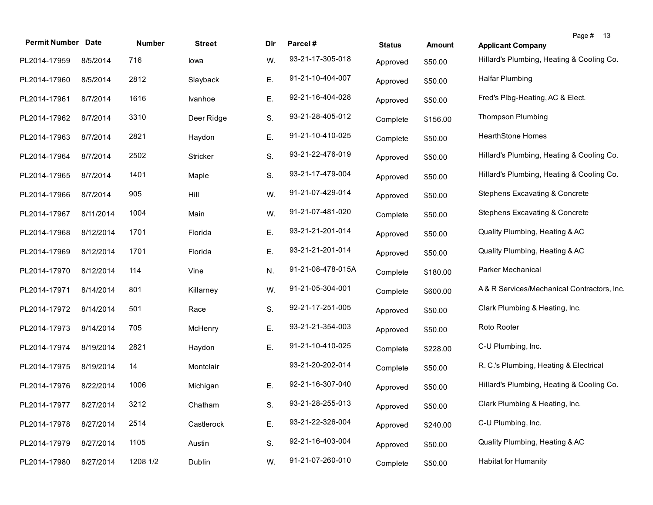| <b>Permit Number</b> | <b>Date</b> | Number   | <b>Street</b> | Dir | Parcel#           | <b>Status</b> | <b>Amount</b> | Page # 13<br><b>Applicant Company</b>      |
|----------------------|-------------|----------|---------------|-----|-------------------|---------------|---------------|--------------------------------------------|
| PL2014-17959         | 8/5/2014    | 716      | lowa          | W.  | 93-21-17-305-018  | Approved      | \$50.00       | Hillard's Plumbing, Heating & Cooling Co.  |
| PL2014-17960         | 8/5/2014    | 2812     | Slayback      | Ε.  | 91-21-10-404-007  | Approved      | \$50.00       | <b>Halfar Plumbing</b>                     |
| PL2014-17961         | 8/7/2014    | 1616     | Ivanhoe       | Ε.  | 92-21-16-404-028  | Approved      | \$50.00       | Fred's Plbg-Heating, AC & Elect.           |
| PL2014-17962         | 8/7/2014    | 3310     | Deer Ridge    | S.  | 93-21-28-405-012  | Complete      | \$156.00      | <b>Thompson Plumbing</b>                   |
| PL2014-17963         | 8/7/2014    | 2821     | Haydon        | Е.  | 91-21-10-410-025  | Complete      | \$50.00       | HearthStone Homes                          |
| PL2014-17964         | 8/7/2014    | 2502     | Stricker      | S.  | 93-21-22-476-019  | Approved      | \$50.00       | Hillard's Plumbing, Heating & Cooling Co.  |
| PL2014-17965         | 8/7/2014    | 1401     | Maple         | S.  | 93-21-17-479-004  | Approved      | \$50.00       | Hillard's Plumbing, Heating & Cooling Co.  |
| PL2014-17966         | 8/7/2014    | 905      | Hill          | W.  | 91-21-07-429-014  | Approved      | \$50.00       | Stephens Excavating & Concrete             |
| PL2014-17967         | 8/11/2014   | 1004     | Main          | W.  | 91-21-07-481-020  | Complete      | \$50.00       | Stephens Excavating & Concrete             |
| PL2014-17968         | 8/12/2014   | 1701     | Florida       | Ε.  | 93-21-21-201-014  | Approved      | \$50.00       | Quality Plumbing, Heating & AC             |
| PL2014-17969         | 8/12/2014   | 1701     | Florida       | Ε.  | 93-21-21-201-014  | Approved      | \$50.00       | Quality Plumbing, Heating & AC             |
| PL2014-17970         | 8/12/2014   | 114      | Vine          | N.  | 91-21-08-478-015A | Complete      | \$180.00      | Parker Mechanical                          |
| PL2014-17971         | 8/14/2014   | 801      | Killarney     | W.  | 91-21-05-304-001  | Complete      | \$600.00      | A& R Services/Mechanical Contractors, Inc. |
| PL2014-17972         | 8/14/2014   | 501      | Race          | S.  | 92-21-17-251-005  | Approved      | \$50.00       | Clark Plumbing & Heating, Inc.             |
| PL2014-17973         | 8/14/2014   | 705      | McHenry       | Е.  | 93-21-21-354-003  | Approved      | \$50.00       | Roto Rooter                                |
| PL2014-17974         | 8/19/2014   | 2821     | Haydon        | Ε.  | 91-21-10-410-025  | Complete      | \$228.00      | C-U Plumbing, Inc.                         |
| PL2014-17975         | 8/19/2014   | 14       | Montclair     |     | 93-21-20-202-014  | Complete      | \$50.00       | R. C.'s Plumbing, Heating & Electrical     |
| PL2014-17976         | 8/22/2014   | 1006     | Michigan      | Ε.  | 92-21-16-307-040  | Approved      | \$50.00       | Hillard's Plumbing, Heating & Cooling Co.  |
| PL2014-17977         | 8/27/2014   | 3212     | Chatham       | S.  | 93-21-28-255-013  | Approved      | \$50.00       | Clark Plumbing & Heating, Inc.             |
| PL2014-17978         | 8/27/2014   | 2514     | Castlerock    | Е.  | 93-21-22-326-004  | Approved      | \$240.00      | C-U Plumbing, Inc.                         |
| PL2014-17979         | 8/27/2014   | 1105     | Austin        | S.  | 92-21-16-403-004  | Approved      | \$50.00       | Quality Plumbing, Heating & AC             |
| PL2014-17980         | 8/27/2014   | 1208 1/2 | Dublin        | W.  | 91-21-07-260-010  | Complete      | \$50.00       | <b>Habitat for Humanity</b>                |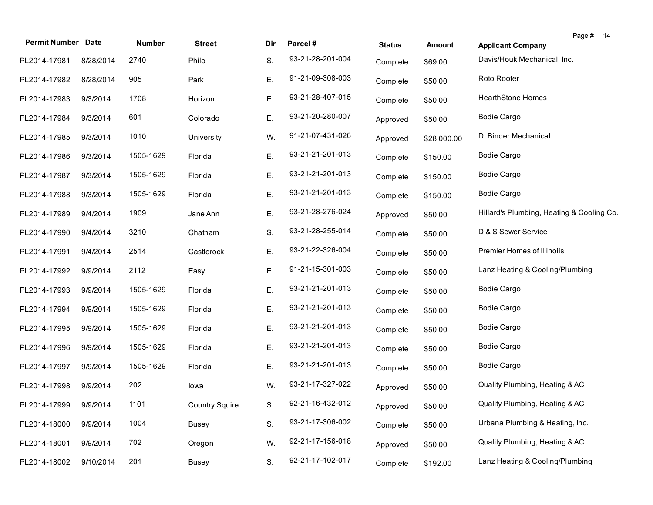| <b>Permit Number Date</b> |           | Number    | <b>Street</b>         | Dir | Parcel#          | <b>Status</b> | <b>Amount</b> | Page #<br>14<br><b>Applicant Company</b>  |
|---------------------------|-----------|-----------|-----------------------|-----|------------------|---------------|---------------|-------------------------------------------|
| PL2014-17981              | 8/28/2014 | 2740      | Philo                 | S.  | 93-21-28-201-004 | Complete      | \$69.00       | Davis/Houk Mechanical, Inc.               |
| PL2014-17982              | 8/28/2014 | 905       | Park                  | Ε.  | 91-21-09-308-003 | Complete      | \$50.00       | Roto Rooter                               |
| PL2014-17983              | 9/3/2014  | 1708      | Horizon               | Ε.  | 93-21-28-407-015 | Complete      | \$50.00       | <b>HearthStone Homes</b>                  |
| PL2014-17984              | 9/3/2014  | 601       | Colorado              | Ε.  | 93-21-20-280-007 | Approved      | \$50.00       | <b>Bodie Cargo</b>                        |
| PL2014-17985              | 9/3/2014  | 1010      | University            | W.  | 91-21-07-431-026 | Approved      | \$28,000.00   | D. Binder Mechanical                      |
| PL2014-17986              | 9/3/2014  | 1505-1629 | Florida               | Ε.  | 93-21-21-201-013 | Complete      | \$150.00      | <b>Bodie Cargo</b>                        |
| PL2014-17987              | 9/3/2014  | 1505-1629 | Florida               | Ε.  | 93-21-21-201-013 | Complete      | \$150.00      | <b>Bodie Cargo</b>                        |
| PL2014-17988              | 9/3/2014  | 1505-1629 | Florida               | Ε.  | 93-21-21-201-013 | Complete      | \$150.00      | <b>Bodie Cargo</b>                        |
| PL2014-17989              | 9/4/2014  | 1909      | Jane Ann              | Ε.  | 93-21-28-276-024 | Approved      | \$50.00       | Hillard's Plumbing, Heating & Cooling Co. |
| PL2014-17990              | 9/4/2014  | 3210      | Chatham               | S.  | 93-21-28-255-014 | Complete      | \$50.00       | D & S Sewer Service                       |
| PL2014-17991              | 9/4/2014  | 2514      | Castlerock            | Е.  | 93-21-22-326-004 | Complete      | \$50.00       | Premier Homes of Illinoiis                |
| PL2014-17992              | 9/9/2014  | 2112      | Easy                  | Ε.  | 91-21-15-301-003 | Complete      | \$50.00       | Lanz Heating & Cooling/Plumbing           |
| PL2014-17993              | 9/9/2014  | 1505-1629 | Florida               | Ε.  | 93-21-21-201-013 | Complete      | \$50.00       | <b>Bodie Cargo</b>                        |
| PL2014-17994              | 9/9/2014  | 1505-1629 | Florida               | Ε.  | 93-21-21-201-013 | Complete      | \$50.00       | <b>Bodie Cargo</b>                        |
| PL2014-17995              | 9/9/2014  | 1505-1629 | Florida               | Е.  | 93-21-21-201-013 | Complete      | \$50.00       | <b>Bodie Cargo</b>                        |
| PL2014-17996              | 9/9/2014  | 1505-1629 | Florida               | Е.  | 93-21-21-201-013 | Complete      | \$50.00       | <b>Bodie Cargo</b>                        |
| PL2014-17997              | 9/9/2014  | 1505-1629 | Florida               | Е.  | 93-21-21-201-013 | Complete      | \$50.00       | <b>Bodie Cargo</b>                        |
| PL2014-17998              | 9/9/2014  | 202       | lowa                  | W.  | 93-21-17-327-022 | Approved      | \$50.00       | Quality Plumbing, Heating & AC            |
| PL2014-17999 9/9/2014     |           | 1101      | <b>Country Squire</b> | S.  | 92-21-16-432-012 | Approved      | \$50.00       | Quality Plumbing, Heating & AC            |
| PL2014-18000              | 9/9/2014  | 1004      | <b>Busey</b>          | S.  | 93-21-17-306-002 | Complete      | \$50.00       | Urbana Plumbing & Heating, Inc.           |
| PL2014-18001              | 9/9/2014  | 702       | Oregon                | W.  | 92-21-17-156-018 | Approved      | \$50.00       | Quality Plumbing, Heating & AC            |
| PL2014-18002              | 9/10/2014 | 201       | <b>Busey</b>          | S.  | 92-21-17-102-017 | Complete      | \$192.00      | Lanz Heating & Cooling/Plumbing           |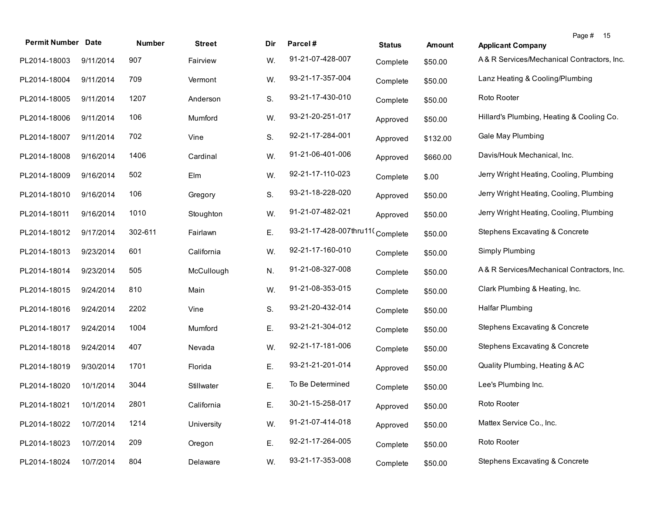| <b>Permit Number Date</b> |           | Number  | <b>Street</b> | Dir | Parcel#                         | <b>Status</b> | Amount   | Page # 15<br><b>Applicant Company</b>      |
|---------------------------|-----------|---------|---------------|-----|---------------------------------|---------------|----------|--------------------------------------------|
| PL2014-18003              | 9/11/2014 | 907     | Fairview      | W.  | 91-21-07-428-007                | Complete      | \$50.00  | A& R Services/Mechanical Contractors, Inc. |
| PL2014-18004              | 9/11/2014 | 709     | Vermont       | W.  | 93-21-17-357-004                | Complete      | \$50.00  | Lanz Heating & Cooling/Plumbing            |
| PL2014-18005              | 9/11/2014 | 1207    | Anderson      | S.  | 93-21-17-430-010                | Complete      | \$50.00  | Roto Rooter                                |
| PL2014-18006              | 9/11/2014 | 106     | Mumford       | W.  | 93-21-20-251-017                | Approved      | \$50.00  | Hillard's Plumbing, Heating & Cooling Co.  |
| PL2014-18007              | 9/11/2014 | 702     | Vine          | S.  | 92-21-17-284-001                | Approved      | \$132.00 | Gale May Plumbing                          |
| PL2014-18008              | 9/16/2014 | 1406    | Cardinal      | W.  | 91-21-06-401-006                | Approved      | \$660.00 | Davis/Houk Mechanical, Inc.                |
| PL2014-18009              | 9/16/2014 | 502     | Elm           | W.  | 92-21-17-110-023                | Complete      | \$.00    | Jerry Wright Heating, Cooling, Plumbing    |
| PL2014-18010              | 9/16/2014 | 106     | Gregory       | S.  | 93-21-18-228-020                | Approved      | \$50.00  | Jerry Wright Heating, Cooling, Plumbing    |
| PL2014-18011              | 9/16/2014 | 1010    | Stoughton     | W.  | 91-21-07-482-021                | Approved      | \$50.00  | Jerry Wright Heating, Cooling, Plumbing    |
| PL2014-18012              | 9/17/2014 | 302-611 | Fairlawn      | Ε.  | 93-21-17-428-007thru11(Complete |               | \$50.00  | <b>Stephens Excavating &amp; Concrete</b>  |
| PL2014-18013              | 9/23/2014 | 601     | California    | W.  | 92-21-17-160-010                | Complete      | \$50.00  | Simply Plumbing                            |
| PL2014-18014              | 9/23/2014 | 505     | McCullough    | N.  | 91-21-08-327-008                | Complete      | \$50.00  | A& R Services/Mechanical Contractors, Inc. |
| PL2014-18015              | 9/24/2014 | 810     | Main          | W.  | 91-21-08-353-015                | Complete      | \$50.00  | Clark Plumbing & Heating, Inc.             |
| PL2014-18016              | 9/24/2014 | 2202    | Vine          | S.  | 93-21-20-432-014                | Complete      | \$50.00  | <b>Halfar Plumbing</b>                     |
| PL2014-18017              | 9/24/2014 | 1004    | Mumford       | Ε.  | 93-21-21-304-012                | Complete      | \$50.00  | Stephens Excavating & Concrete             |
| PL2014-18018              | 9/24/2014 | 407     | Nevada        | W.  | 92-21-17-181-006                | Complete      | \$50.00  | Stephens Excavating & Concrete             |
| PL2014-18019              | 9/30/2014 | 1701    | Florida       | Е.  | 93-21-21-201-014                | Approved      | \$50.00  | Quality Plumbing, Heating & AC             |
| PL2014-18020              | 10/1/2014 | 3044    | Stillwater    | Ε.  | To Be Determined                | Complete      | \$50.00  | Lee's Plumbing Inc.                        |
| PL2014-18021 10/1/2014    |           | 2801    | California    | Е.  | 30-21-15-258-017                | Approved      | \$50.00  | Roto Rooter                                |
| PL2014-18022              | 10/7/2014 | 1214    | University    | W.  | 91-21-07-414-018                | Approved      | \$50.00  | Mattex Service Co., Inc.                   |
| PL2014-18023              | 10/7/2014 | 209     | Oregon        | Ε.  | 92-21-17-264-005                | Complete      | \$50.00  | Roto Rooter                                |
| PL2014-18024              | 10/7/2014 | 804     | Delaware      | W.  | 93-21-17-353-008                | Complete      | \$50.00  | <b>Stephens Excavating &amp; Concrete</b>  |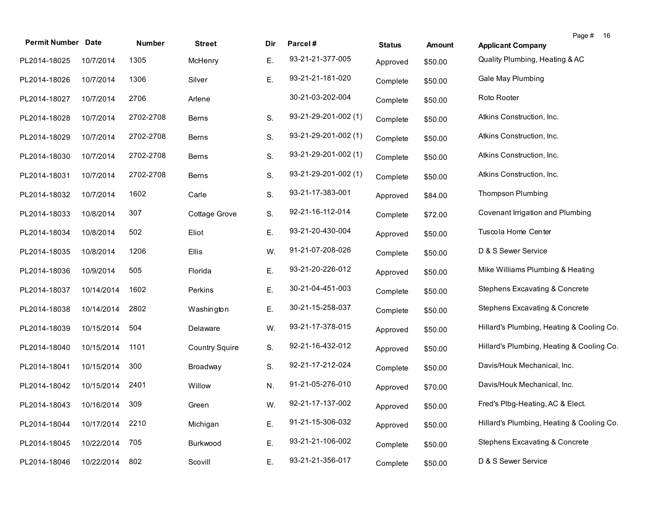|                           |            |           |                       |     |                      |               |               |                                           | Page # | 16 |
|---------------------------|------------|-----------|-----------------------|-----|----------------------|---------------|---------------|-------------------------------------------|--------|----|
| <b>Permit Number Date</b> |            | Number    | <b>Street</b>         | Dir | Parcel#              | <b>Status</b> | <b>Amount</b> | <b>Applicant Company</b>                  |        |    |
| PL2014-18025              | 10/7/2014  | 1305      | McHenry               | Е.  | 93-21-21-377-005     | Approved      | \$50.00       | Quality Plumbing, Heating & AC            |        |    |
| PL2014-18026              | 10/7/2014  | 1306      | Silver                | Ε.  | 93-21-21-181-020     | Complete      | \$50.00       | Gale May Plumbing                         |        |    |
| PL2014-18027              | 10/7/2014  | 2706      | Arlene                |     | 30-21-03-202-004     | Complete      | \$50.00       | Roto Rooter                               |        |    |
| PL2014-18028              | 10/7/2014  | 2702-2708 | Berns                 | S.  | 93-21-29-201-002 (1) | Complete      | \$50.00       | Atkins Construction, Inc.                 |        |    |
| PL2014-18029              | 10/7/2014  | 2702-2708 | <b>Berns</b>          | S.  | 93-21-29-201-002 (1) | Complete      | \$50.00       | Atkins Construction, Inc.                 |        |    |
| PL2014-18030              | 10/7/2014  | 2702-2708 | Berns                 | S.  | 93-21-29-201-002 (1) | Complete      | \$50.00       | Atkins Construction, Inc.                 |        |    |
| PL2014-18031              | 10/7/2014  | 2702-2708 | <b>Berns</b>          | S.  | 93-21-29-201-002 (1) | Complete      | \$50.00       | Atkins Construction, Inc.                 |        |    |
| PL2014-18032              | 10/7/2014  | 1602      | Carle                 | S.  | 93-21-17-383-001     | Approved      | \$84.00       | Thompson Plumbing                         |        |    |
| PL2014-18033              | 10/8/2014  | 307       | Cottage Grove         | S.  | 92-21-16-112-014     | Complete      | \$72.00       | Covenant Irrigation and Plumbing          |        |    |
| PL2014-18034              | 10/8/2014  | 502       | Eliot                 | Ε.  | 93-21-20-430-004     | Approved      | \$50.00       | Tuscola Home Center                       |        |    |
| PL2014-18035              | 10/8/2014  | 1206      | Ellis                 | W.  | 91-21-07-208-026     | Complete      | \$50.00       | D & S Sewer Service                       |        |    |
| PL2014-18036              | 10/9/2014  | 505       | Florida               | Е.  | 93-21-20-226-012     | Approved      | \$50.00       | Mike Williams Plumbing & Heating          |        |    |
| PL2014-18037              | 10/14/2014 | 1602      | Perkins               | Е.  | 30-21-04-451-003     | Complete      | \$50.00       | Stephens Excavating & Concrete            |        |    |
| PL2014-18038              | 10/14/2014 | 2802      | Washington            | Е.  | 30-21-15-258-037     | Complete      | \$50.00       | Stephens Excavating & Concrete            |        |    |
| PL2014-18039              | 10/15/2014 | 504       | Delaware              | W.  | 93-21-17-378-015     | Approved      | \$50.00       | Hillard's Plumbing, Heating & Cooling Co. |        |    |
| PL2014-18040              | 10/15/2014 | 1101      | <b>Country Squire</b> | S.  | 92-21-16-432-012     | Approved      | \$50.00       | Hillard's Plumbing, Heating & Cooling Co. |        |    |
| PL2014-18041              | 10/15/2014 | 300       | Broadway              | S.  | 92-21-17-212-024     | Complete      | \$50.00       | Davis/Houk Mechanical, Inc.               |        |    |
| PL2014-18042              | 10/15/2014 | 2401      | Willow                | N.  | 91-21-05-276-010     | Approved      | \$70.00       | Davis/Houk Mechanical, Inc.               |        |    |
| PL2014-18043              | 10/16/2014 | 309       | Green                 | W.  | 92-21-17-137-002     | Approved      | \$50.00       | Fred's Plbg-Heating, AC & Elect.          |        |    |
| PL2014-18044              | 10/17/2014 | 2210      | Michigan              | Е.  | 91-21-15-306-032     | Approved      | \$50.00       | Hillard's Plumbing, Heating & Cooling Co. |        |    |
| PL2014-18045              | 10/22/2014 | 705       | Burkwood              | Е.  | 93-21-21-106-002     | Complete      | \$50.00       | Stephens Excavating & Concrete            |        |    |
| PL2014-18046              | 10/22/2014 | 802       | Scovill               | Е.  | 93-21-21-356-017     | Complete      | \$50.00       | D & S Sewer Service                       |        |    |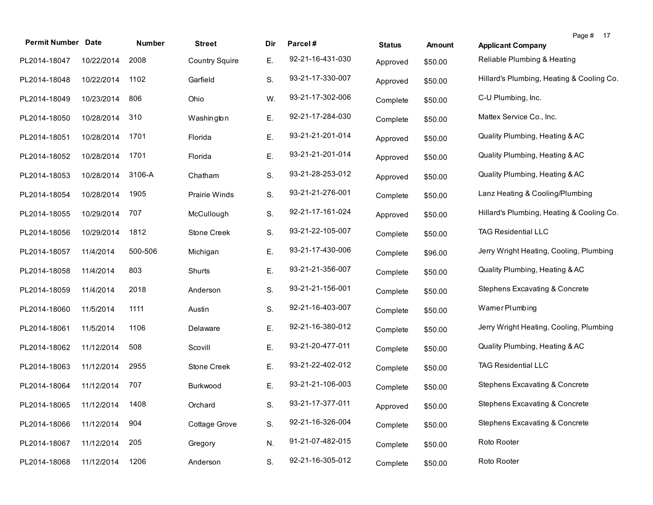| <b>Permit Number Date</b>    |            | Number  | <b>Street</b>         | Dir | Parcel#          | <b>Status</b> | Amount  | <b>Applicant Company</b>                  | Page #<br>17 |
|------------------------------|------------|---------|-----------------------|-----|------------------|---------------|---------|-------------------------------------------|--------------|
| PL2014-18047                 | 10/22/2014 | 2008    | <b>Country Squire</b> | Е.  | 92-21-16-431-030 | Approved      | \$50.00 | Reliable Plumbing & Heating               |              |
| PL2014-18048                 | 10/22/2014 | 1102    | Garfield              | S.  | 93-21-17-330-007 | Approved      | \$50.00 | Hillard's Plumbing, Heating & Cooling Co. |              |
| PL2014-18049                 | 10/23/2014 | 806     | Ohio                  | W.  | 93-21-17-302-006 | Complete      | \$50.00 | C-U Plumbing, Inc.                        |              |
| PL2014-18050                 | 10/28/2014 | 310     | Washington            | Ε.  | 92-21-17-284-030 | Complete      | \$50.00 | Mattex Service Co., Inc.                  |              |
| PL2014-18051                 | 10/28/2014 | 1701    | Florida               | Ε.  | 93-21-21-201-014 | Approved      | \$50.00 | Quality Plumbing, Heating & AC            |              |
| PL2014-18052                 | 10/28/2014 | 1701    | Florida               | Ε.  | 93-21-21-201-014 | Approved      | \$50.00 | Quality Plumbing, Heating & AC            |              |
| PL2014-18053                 | 10/28/2014 | 3106-A  | Chatham               | S.  | 93-21-28-253-012 | Approved      | \$50.00 | Quality Plumbing, Heating & AC            |              |
| PL2014-18054                 | 10/28/2014 | 1905    | Prairie Winds         | S.  | 93-21-21-276-001 | Complete      | \$50.00 | Lanz Heating & Cooling/Plumbing           |              |
| PL2014-18055                 | 10/29/2014 | 707     | McCullough            | S.  | 92-21-17-161-024 | Approved      | \$50.00 | Hillard's Plumbing, Heating & Cooling Co. |              |
| PL2014-18056                 | 10/29/2014 | 1812    | <b>Stone Creek</b>    | S.  | 93-21-22-105-007 | Complete      | \$50.00 | <b>TAG Residential LLC</b>                |              |
| PL2014-18057                 | 11/4/2014  | 500-506 | Michigan              | Ε.  | 93-21-17-430-006 | Complete      | \$96.00 | Jerry Wright Heating, Cooling, Plumbing   |              |
| PL2014-18058                 | 11/4/2014  | 803     | Shurts                | Е.  | 93-21-21-356-007 | Complete      | \$50.00 | Quality Plumbing, Heating & AC            |              |
| PL2014-18059                 | 11/4/2014  | 2018    | Anderson              | S.  | 93-21-21-156-001 | Complete      | \$50.00 | Stephens Excavating & Concrete            |              |
| PL2014-18060                 | 11/5/2014  | 1111    | Austin                | S.  | 92-21-16-403-007 | Complete      | \$50.00 | Wamer Plumbing                            |              |
| PL2014-18061                 | 11/5/2014  | 1106    | Delaware              | Е.  | 92-21-16-380-012 | Complete      | \$50.00 | Jerry Wright Heating, Cooling, Plumbing   |              |
| PL2014-18062                 | 11/12/2014 | 508     | Scovill               | Е.  | 93-21-20-477-011 | Complete      | \$50.00 | Quality Plumbing, Heating & AC            |              |
| PL2014-18063                 | 11/12/2014 | 2955    | Stone Creek           | Е.  | 93-21-22-402-012 | Complete      | \$50.00 | <b>TAG Residential LLC</b>                |              |
| PL2014-18064                 | 11/12/2014 | 707     | Burkwood              | Е.  | 93-21-21-106-003 | Complete      | \$50.00 | Stephens Excavating & Concrete            |              |
| PL2014-18065 11/12/2014 1408 |            |         | Orchard               | S.  | 93-21-17-377-011 | Approved      | \$50.00 | Stephens Excavating & Concrete            |              |
| PL2014-18066                 | 11/12/2014 | 904     | Cottage Grove         | S.  | 92-21-16-326-004 | Complete      | \$50.00 | Stephens Excavating & Concrete            |              |
| PL2014-18067                 | 11/12/2014 | 205     | Gregory               | N.  | 91-21-07-482-015 | Complete      | \$50.00 | Roto Rooter                               |              |
| PL2014-18068                 | 11/12/2014 | 1206    | Anderson              | S.  | 92-21-16-305-012 | Complete      | \$50.00 | Roto Rooter                               |              |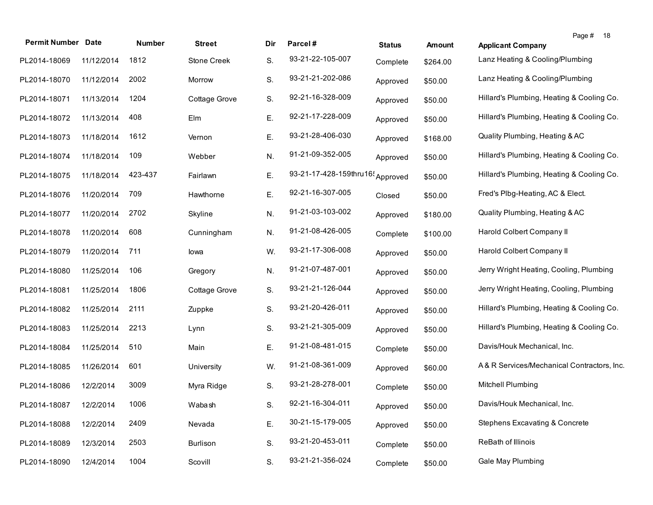| <b>Permit Number Date</b> |            | Number  | <b>Street</b> | Dir | Parcel#                                      | <b>Status</b> | <b>Amount</b> | Page # 18<br><b>Applicant Company</b>     |
|---------------------------|------------|---------|---------------|-----|----------------------------------------------|---------------|---------------|-------------------------------------------|
| PL2014-18069              | 11/12/2014 | 1812    | Stone Creek   | S.  | 93-21-22-105-007                             | Complete      | \$264.00      | Lanz Heating & Cooling/Plumbing           |
| PL2014-18070              | 11/12/2014 | 2002    | Morrow        | S.  | 93-21-21-202-086                             | Approved      | \$50.00       | Lanz Heating & Cooling/Plumbing           |
| PL2014-18071              | 11/13/2014 | 1204    | Cottage Grove | S.  | 92-21-16-328-009                             | Approved      | \$50.00       | Hillard's Plumbing, Heating & Cooling Co. |
| PL2014-18072              | 11/13/2014 | 408     | Elm           | Ε.  | 92-21-17-228-009                             | Approved      | \$50.00       | Hillard's Plumbing, Heating & Cooling Co. |
| PL2014-18073              | 11/18/2014 | 1612    | Vernon        | Ε.  | 93-21-28-406-030                             | Approved      | \$168.00      | Quality Plumbing, Heating & AC            |
| PL2014-18074              | 11/18/2014 | 109     | Webber        | N.  | 91-21-09-352-005                             | Approved      | \$50.00       | Hillard's Plumbing, Heating & Cooling Co. |
| PL2014-18075              | 11/18/2014 | 423-437 | Fairlawn      | Ε.  | 93-21-17-428-159thru16 <sup>1</sup> Approved |               | \$50.00       | Hillard's Plumbing, Heating & Cooling Co. |
| PL2014-18076              | 11/20/2014 | 709     | Hawthorne     | Ε.  | 92-21-16-307-005                             | Closed        | \$50.00       | Fred's Plbg-Heating, AC & Elect.          |
| PL2014-18077              | 11/20/2014 | 2702    | Skyline       | N.  | 91-21-03-103-002                             | Approved      | \$180.00      | Quality Plumbing, Heating & AC            |
| PL2014-18078              | 11/20/2014 | 608     | Cunningham    | N.  | 91-21-08-426-005                             | Complete      | \$100.00      | Harold Colbert Company II                 |
| PL2014-18079              | 11/20/2014 | 711     | lowa          | W.  | 93-21-17-306-008                             | Approved      | \$50.00       | Harold Colbert Company II                 |
| PL2014-18080              | 11/25/2014 | 106     | Gregory       | N.  | 91-21-07-487-001                             | Approved      | \$50.00       | Jerry Wright Heating, Cooling, Plumbing   |
| PL2014-18081              | 11/25/2014 | 1806    | Cottage Grove | S.  | 93-21-21-126-044                             | Approved      | \$50.00       | Jerry Wright Heating, Cooling, Plumbing   |
| PL2014-18082              | 11/25/2014 | 2111    | Zuppke        | S.  | 93-21-20-426-011                             | Approved      | \$50.00       | Hillard's Plumbing, Heating & Cooling Co. |
| PL2014-18083              | 11/25/2014 | 2213    | Lynn          | S.  | 93-21-21-305-009                             | Approved      | \$50.00       | Hillard's Plumbing, Heating & Cooling Co. |
| PL2014-18084              | 11/25/2014 | 510     | Main          | Ε.  | 91-21-08-481-015                             | Complete      | \$50.00       | Davis/Houk Mechanical, Inc.               |
| PL2014-18085              | 11/26/2014 | 601     | University    | W.  | 91-21-08-361-009                             | Approved      | \$60.00       | A&R Services/Mechanical Contractors, Inc. |
| PL2014-18086              | 12/2/2014  | 3009    | Myra Ridge    | S.  | 93-21-28-278-001                             | Complete      | \$50.00       | Mitchell Plumbing                         |
| PL2014-18087              | 12/2/2014  | 1006    | Wabash        | S.  | 92-21-16-304-011                             | Approved      | \$50.00       | Davis/Houk Mechanical, Inc.               |
| PL2014-18088              | 12/2/2014  | 2409    | Nevada        | Ε.  | 30-21-15-179-005                             | Approved      | \$50.00       | Stephens Excavating & Concrete            |
| PL2014-18089              | 12/3/2014  | 2503    | Burlison      | S.  | 93-21-20-453-011                             | Complete      | \$50.00       | ReBath of Illinois                        |
| PL2014-18090              | 12/4/2014  | 1004    | Scovill       | S.  | 93-21-21-356-024                             | Complete      | \$50.00       | <b>Gale May Plumbing</b>                  |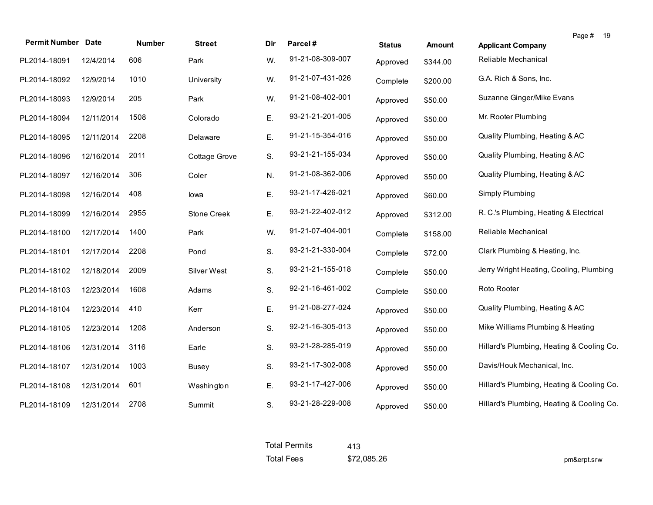| <b>Permit Number Date</b> |            | <b>Number</b> | <b>Street</b> | Dir | Parcel#          | <b>Status</b> | <b>Amount</b> | Page #<br>- 19<br><b>Applicant Company</b> |
|---------------------------|------------|---------------|---------------|-----|------------------|---------------|---------------|--------------------------------------------|
| PL2014-18091              | 12/4/2014  | 606           | Park          | W.  | 91-21-08-309-007 | Approved      | \$344.00      | Reliable Mechanical                        |
| PL2014-18092              | 12/9/2014  | 1010          | University    | W.  | 91-21-07-431-026 | Complete      | \$200.00      | G.A. Rich & Sons, Inc.                     |
| PL2014-18093              | 12/9/2014  | 205           | Park          | W.  | 91-21-08-402-001 | Approved      | \$50.00       | Suzanne Ginger/Mike Evans                  |
| PL2014-18094              | 12/11/2014 | 1508          | Colorado      | Ε.  | 93-21-21-201-005 | Approved      | \$50.00       | Mr. Rooter Plumbing                        |
| PL2014-18095              | 12/11/2014 | 2208          | Delaware      | Ε.  | 91-21-15-354-016 | Approved      | \$50.00       | Quality Plumbing, Heating & AC             |
| PL2014-18096              | 12/16/2014 | 2011          | Cottage Grove | S.  | 93-21-21-155-034 | Approved      | \$50.00       | Quality Plumbing, Heating & AC             |
| PL2014-18097              | 12/16/2014 | 306           | Coler         | N.  | 91-21-08-362-006 | Approved      | \$50.00       | Quality Plumbing, Heating & AC             |
| PL2014-18098              | 12/16/2014 | 408           | lowa          | Ε.  | 93-21-17-426-021 | Approved      | \$60.00       | Simply Plumbing                            |
| PL2014-18099              | 12/16/2014 | 2955          | Stone Creek   | Е.  | 93-21-22-402-012 | Approved      | \$312.00      | R. C.'s Plumbing, Heating & Electrical     |
| PL2014-18100              | 12/17/2014 | 1400          | Park          | W.  | 91-21-07-404-001 | Complete      | \$158.00      | Reliable Mechanical                        |
| PL2014-18101              | 12/17/2014 | 2208          | Pond          | S.  | 93-21-21-330-004 | Complete      | \$72.00       | Clark Plumbing & Heating, Inc.             |
| PL2014-18102              | 12/18/2014 | 2009          | Silver West   | S.  | 93-21-21-155-018 | Complete      | \$50.00       | Jerry Wright Heating, Cooling, Plumbing    |
| PL2014-18103              | 12/23/2014 | 1608          | Adams         | S.  | 92-21-16-461-002 | Complete      | \$50.00       | Roto Rooter                                |
| PL2014-18104              | 12/23/2014 | 410           | Kerr          | Ε.  | 91-21-08-277-024 | Approved      | \$50.00       | Quality Plumbing, Heating & AC             |
| PL2014-18105              | 12/23/2014 | 1208          | Anderson      | S.  | 92-21-16-305-013 | Approved      | \$50.00       | Mike Williams Plumbing & Heating           |
| PL2014-18106              | 12/31/2014 | 3116          | Earle         | S.  | 93-21-28-285-019 | Approved      | \$50.00       | Hillard's Plumbing, Heating & Cooling Co.  |
| PL2014-18107              | 12/31/2014 | 1003          | <b>Busey</b>  | S.  | 93-21-17-302-008 | Approved      | \$50.00       | Davis/Houk Mechanical, Inc.                |
| PL2014-18108              | 12/31/2014 | 601           | Washington    | Е.  | 93-21-17-427-006 | Approved      | \$50.00       | Hillard's Plumbing, Heating & Cooling Co.  |
| PL2014-18109              | 12/31/2014 | 2708          | Summit        | S.  | 93-21-28-229-008 | Approved      | \$50.00       | Hillard's Plumbing, Heating & Cooling Co.  |

| <b>Total Permits</b> | 413         |
|----------------------|-------------|
| <b>Total Fees</b>    | \$72,085.26 |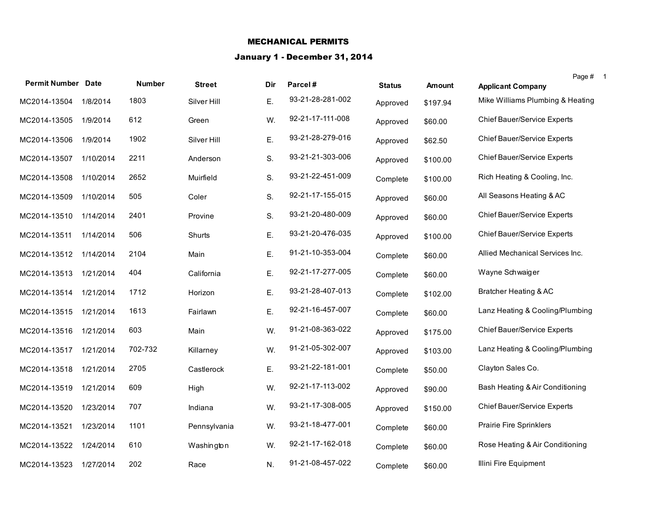## MECHANICAL PERMITS

## January 1 - December 31, 2014

|                           |           |               |               |     |                  |               |               | Page # 1                         |
|---------------------------|-----------|---------------|---------------|-----|------------------|---------------|---------------|----------------------------------|
| <b>Permit Number Date</b> |           | <b>Number</b> | <b>Street</b> | Dir | Parcel#          | <b>Status</b> | <b>Amount</b> | <b>Applicant Company</b>         |
| MC2014-13504              | 1/8/2014  | 1803          | Silver Hill   | Ε.  | 93-21-28-281-002 | Approved      | \$197.94      | Mike Williams Plumbing & Heating |
| MC2014-13505              | 1/9/2014  | 612           | Green         | W.  | 92-21-17-111-008 | Approved      | \$60.00       | Chief Bauer/Service Experts      |
| MC2014-13506              | 1/9/2014  | 1902          | Silver Hill   | Ε.  | 93-21-28-279-016 | Approved      | \$62.50       | Chief Bauer/Service Experts      |
| MC2014-13507              | 1/10/2014 | 2211          | Anderson      | S.  | 93-21-21-303-006 | Approved      | \$100.00      | Chief Bauer/Service Experts      |
| MC2014-13508              | 1/10/2014 | 2652          | Muirfield     | S.  | 93-21-22-451-009 | Complete      | \$100.00      | Rich Heating & Cooling, Inc.     |
| MC2014-13509              | 1/10/2014 | 505           | Coler         | S.  | 92-21-17-155-015 | Approved      | \$60.00       | All Seasons Heating & AC         |
| MC2014-13510              | 1/14/2014 | 2401          | Provine       | S.  | 93-21-20-480-009 | Approved      | \$60.00       | Chief Bauer/Service Experts      |
| MC2014-13511              | 1/14/2014 | 506           | Shurts        | Ε.  | 93-21-20-476-035 | Approved      | \$100.00      | Chief Bauer/Service Experts      |
| MC2014-13512              | 1/14/2014 | 2104          | Main          | Ε.  | 91-21-10-353-004 | Complete      | \$60.00       | Allied Mechanical Services Inc.  |
| MC2014-13513              | 1/21/2014 | 404           | California    | Ε.  | 92-21-17-277-005 | Complete      | \$60.00       | Wayne Schwaiger                  |
| MC2014-13514 1/21/2014    |           | 1712          | Horizon       | Ε.  | 93-21-28-407-013 | Complete      | \$102.00      | Bratcher Heating & AC            |
| MC2014-13515              | 1/21/2014 | 1613          | Fairlawn      | Ε.  | 92-21-16-457-007 | Complete      | \$60.00       | Lanz Heating & Cooling/Plumbing  |
| MC2014-13516              | 1/21/2014 | 603           | Main          | W.  | 91-21-08-363-022 | Approved      | \$175.00      | Chief Bauer/Service Experts      |
| MC2014-13517              | 1/21/2014 | 702-732       | Killarney     | W.  | 91-21-05-302-007 | Approved      | \$103.00      | Lanz Heating & Cooling/Plumbing  |
| MC2014-13518              | 1/21/2014 | 2705          | Castlerock    | Ε.  | 93-21-22-181-001 | Complete      | \$50.00       | Clayton Sales Co.                |
| MC2014-13519              | 1/21/2014 | 609           | High          | W.  | 92-21-17-113-002 | Approved      | \$90.00       | Bash Heating & Air Conditioning  |
| MC2014-13520              | 1/23/2014 | 707           | Indiana       | W.  | 93-21-17-308-005 | Approved      | \$150.00      | Chief Bauer/Service Experts      |
| MC2014-13521              | 1/23/2014 | 1101          | Pennsylvania  | W.  | 93-21-18-477-001 | Complete      | \$60.00       | <b>Prairie Fire Sprinklers</b>   |
| MC2014-13522              | 1/24/2014 | 610           | Washington    | W.  | 92-21-17-162-018 | Complete      | \$60.00       | Rose Heating & Air Conditioning  |
| MC2014-13523              | 1/27/2014 | 202           | Race          | N.  | 91-21-08-457-022 | Complete      | \$60.00       | Illini Fire Equipment            |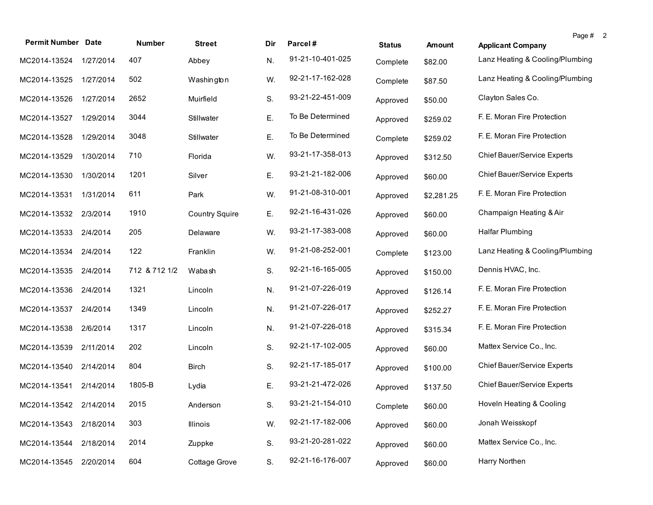| <b>Permit Number Date</b> |           | <b>Number</b> | <b>Street</b>         | Dir | Parcel#          | <b>Status</b> | <b>Amount</b> | Page #<br>$\overline{2}$<br><b>Applicant Company</b> |
|---------------------------|-----------|---------------|-----------------------|-----|------------------|---------------|---------------|------------------------------------------------------|
| MC2014-13524              | 1/27/2014 | 407           | Abbey                 | N.  | 91-21-10-401-025 | Complete      | \$82.00       | Lanz Heating & Cooling/Plumbing                      |
| MC2014-13525              | 1/27/2014 | 502           | Washington            | W.  | 92-21-17-162-028 | Complete      | \$87.50       | Lanz Heating & Cooling/Plumbing                      |
| MC2014-13526              | 1/27/2014 | 2652          | Muirfield             | S.  | 93-21-22-451-009 | Approved      | \$50.00       | Clayton Sales Co.                                    |
| MC2014-13527              | 1/29/2014 | 3044          | Stillwater            | Ε.  | To Be Determined | Approved      | \$259.02      | F. E. Moran Fire Protection                          |
| MC2014-13528              | 1/29/2014 | 3048          | Stillwater            | Ε.  | To Be Determined | Complete      | \$259.02      | F. E. Moran Fire Protection                          |
| MC2014-13529              | 1/30/2014 | 710           | Florida               | W.  | 93-21-17-358-013 | Approved      | \$312.50      | Chief Bauer/Service Experts                          |
| MC2014-13530              | 1/30/2014 | 1201          | Silver                | Ε.  | 93-21-21-182-006 | Approved      | \$60.00       | <b>Chief Bauer/Service Experts</b>                   |
| MC2014-13531              | 1/31/2014 | 611           | Park                  | W.  | 91-21-08-310-001 | Approved      | \$2,281.25    | F. E. Moran Fire Protection                          |
| MC2014-13532              | 2/3/2014  | 1910          | <b>Country Squire</b> | Ε.  | 92-21-16-431-026 | Approved      | \$60.00       | Champaign Heating & Air                              |
| MC2014-13533              | 2/4/2014  | 205           | Delaware              | W.  | 93-21-17-383-008 | Approved      | \$60.00       | <b>Halfar Plumbing</b>                               |
| MC2014-13534              | 2/4/2014  | 122           | Franklin              | W.  | 91-21-08-252-001 | Complete      | \$123.00      | Lanz Heating & Cooling/Plumbing                      |
| MC2014-13535              | 2/4/2014  | 712 & 712 1/2 | Wabash                | S.  | 92-21-16-165-005 | Approved      | \$150.00      | Dennis HVAC, Inc.                                    |
| MC2014-13536              | 2/4/2014  | 1321          | Lincoln               | N.  | 91-21-07-226-019 | Approved      | \$126.14      | F. E. Moran Fire Protection                          |
| MC2014-13537              | 2/4/2014  | 1349          | Lincoln               | N.  | 91-21-07-226-017 | Approved      | \$252.27      | F. E. Moran Fire Protection                          |
| MC2014-13538              | 2/6/2014  | 1317          | Lincoln               | N.  | 91-21-07-226-018 | Approved      | \$315.34      | F. E. Moran Fire Protection                          |
| MC2014-13539              | 2/11/2014 | 202           | Lincoln               | S.  | 92-21-17-102-005 | Approved      | \$60.00       | Mattex Service Co., Inc.                             |
| MC2014-13540              | 2/14/2014 | 804           | <b>Birch</b>          | S.  | 92-21-17-185-017 | Approved      | \$100.00      | Chief Bauer/Service Experts                          |
| MC2014-13541              | 2/14/2014 | 1805-B        | Lydia                 | Ε.  | 93-21-21-472-026 | Approved      | \$137.50      | <b>Chief Bauer/Service Experts</b>                   |
| MC2014-13542 2/14/2014    |           | 2015          | Anderson              | S.  | 93-21-21-154-010 | Complete      | \$60.00       | Hoveln Heating & Cooling                             |
| MC2014-13543              | 2/18/2014 | 303           | Illinois              | W.  | 92-21-17-182-006 | Approved      | \$60.00       | Jonah Weisskopf                                      |
| MC2014-13544              | 2/18/2014 | 2014          | Zuppke                | S.  | 93-21-20-281-022 | Approved      | \$60.00       | Mattex Service Co., Inc.                             |
| MC2014-13545              | 2/20/2014 | 604           | Cottage Grove         | S.  | 92-21-16-176-007 | Approved      | \$60.00       | Harry Northen                                        |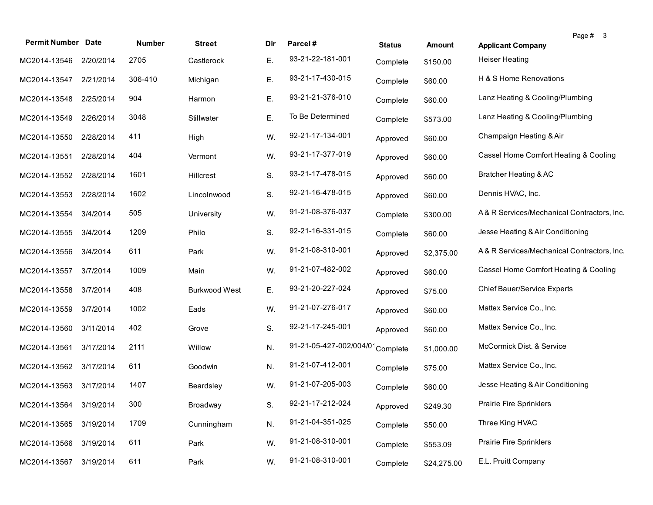| <b>Permit Number Date</b> |           | Number  | <b>Street</b>        | Dir. | Parcel#                | <b>Status</b> | Amount      | Page # 3<br><b>Applicant Company</b>       |
|---------------------------|-----------|---------|----------------------|------|------------------------|---------------|-------------|--------------------------------------------|
| MC2014-13546              | 2/20/2014 | 2705    | Castlerock           | Е.   | 93-21-22-181-001       | Complete      | \$150.00    | <b>Heiser Heating</b>                      |
| MC2014-13547              | 2/21/2014 | 306-410 | Michigan             | Е.   | 93-21-17-430-015       | Complete      | \$60.00     | H & S Home Renovations                     |
| MC2014-13548              | 2/25/2014 | 904     | Harmon               | Ε.   | 93-21-21-376-010       | Complete      | \$60.00     | Lanz Heating & Cooling/Plumbing            |
| MC2014-13549              | 2/26/2014 | 3048    | Stillwater           | Ε.   | To Be Determined       | Complete      | \$573.00    | Lanz Heating & Cooling/Plumbing            |
| MC2014-13550              | 2/28/2014 | 411     | High                 | W.   | 92-21-17-134-001       | Approved      | \$60.00     | Champaign Heating & Air                    |
| MC2014-13551              | 2/28/2014 | 404     | Vermont              | W.   | 93-21-17-377-019       | Approved      | \$60.00     | Cassel Home Comfort Heating & Cooling      |
| MC2014-13552              | 2/28/2014 | 1601    | Hillcrest            | S.   | 93-21-17-478-015       | Approved      | \$60.00     | Bratcher Heating & AC                      |
| MC2014-13553              | 2/28/2014 | 1602    | Lincolnwood          | S.   | 92-21-16-478-015       | Approved      | \$60.00     | Dennis HVAC, Inc.                          |
| MC2014-13554              | 3/4/2014  | 505     | University           | W.   | 91-21-08-376-037       | Complete      | \$300.00    | A& R Services/Mechanical Contractors, Inc. |
| MC2014-13555              | 3/4/2014  | 1209    | Philo                | S.   | 92-21-16-331-015       | Complete      | \$60.00     | Jesse Heating & Air Conditioning           |
| MC2014-13556              | 3/4/2014  | 611     | Park                 | W.   | 91-21-08-310-001       | Approved      | \$2,375.00  | A& R Services/Mechanical Contractors, Inc. |
| MC2014-13557              | 3/7/2014  | 1009    | Main                 | W.   | 91-21-07-482-002       | Approved      | \$60.00     | Cassel Home Comfort Heating & Cooling      |
| MC2014-13558              | 3/7/2014  | 408     | <b>Burkwood West</b> | Ε.   | 93-21-20-227-024       | Approved      | \$75.00     | Chief Bauer/Service Experts                |
| MC2014-13559              | 3/7/2014  | 1002    | Eads                 | W.   | 91-21-07-276-017       | Approved      | \$60.00     | Mattex Service Co., Inc.                   |
| MC2014-13560              | 3/11/2014 | 402     | Grove                | S.   | 92-21-17-245-001       | Approved      | \$60.00     | Mattex Service Co., Inc.                   |
| MC2014-13561              | 3/17/2014 | 2111    | Willow               | N.   | 91-21-05-427-002/004/0 | Complete      | \$1,000.00  | McCormick Dist. & Service                  |
| MC2014-13562 3/17/2014    |           | 611     | Goodwin              | N.   | 91-21-07-412-001       | Complete      | \$75.00     | Mattex Service Co., Inc.                   |
| MC2014-13563 3/17/2014    |           | 1407    | Beardsley            | W.   | 91-21-07-205-003       | Complete      | \$60.00     | Jesse Heating & Air Conditioning           |
| MC2014-13564 3/19/2014    |           | 300     | Broadway             | S.   | 92-21-17-212-024       | Approved      | \$249.30    | Prairie Fire Sprinklers                    |
| MC2014-13565              | 3/19/2014 | 1709    | Cunningham           | N.   | 91-21-04-351-025       | Complete      | \$50.00     | Three King HVAC                            |
| MC2014-13566              | 3/19/2014 | 611     | Park                 | W.   | 91-21-08-310-001       | Complete      | \$553.09    | <b>Prairie Fire Sprinklers</b>             |
| MC2014-13567              | 3/19/2014 | 611     | Park                 | W.   | 91-21-08-310-001       | Complete      | \$24,275.00 | E.L. Pruitt Company                        |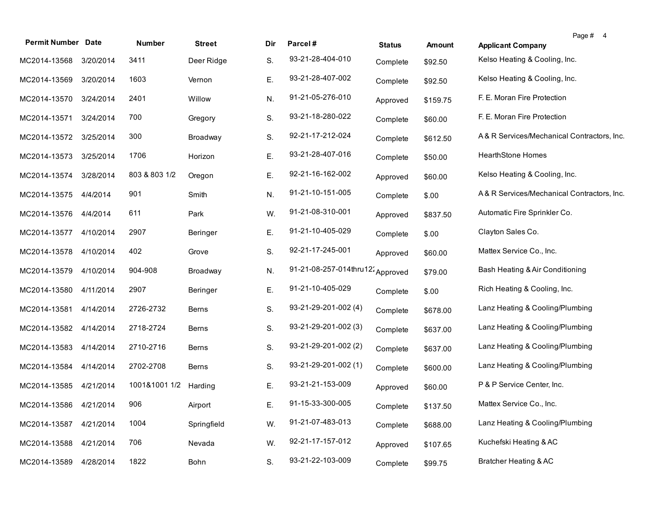| <b>Permit Number Date</b> |           | Number        | <b>Street</b> | Dir. | Parcel#                          | <b>Status</b> | Amount   | Page # 4<br><b>Applicant Company</b>      |
|---------------------------|-----------|---------------|---------------|------|----------------------------------|---------------|----------|-------------------------------------------|
| MC2014-13568              | 3/20/2014 | 3411          | Deer Ridge    | S.   | 93-21-28-404-010                 | Complete      | \$92.50  | Kelso Heating & Cooling, Inc.             |
| MC2014-13569              | 3/20/2014 | 1603          | Vernon        | Ε.   | 93-21-28-407-002                 | Complete      | \$92.50  | Kelso Heating & Cooling, Inc.             |
| MC2014-13570              | 3/24/2014 | 2401          | Willow        | N.   | 91-21-05-276-010                 | Approved      | \$159.75 | F. E. Moran Fire Protection               |
| MC2014-13571              | 3/24/2014 | 700           | Gregory       | S.   | 93-21-18-280-022                 | Complete      | \$60.00  | F. E. Moran Fire Protection               |
| MC2014-13572              | 3/25/2014 | 300           | Broadway      | S.   | 92-21-17-212-024                 | Complete      | \$612.50 | A&R Services/Mechanical Contractors, Inc. |
| MC2014-13573              | 3/25/2014 | 1706          | Horizon       | Ε.   | 93-21-28-407-016                 | Complete      | \$50.00  | <b>HearthStone Homes</b>                  |
| MC2014-13574              | 3/28/2014 | 803 & 803 1/2 | Oregon        | Ε.   | 92-21-16-162-002                 | Approved      | \$60.00  | Kelso Heating & Cooling, Inc.             |
| MC2014-13575              | 4/4/2014  | 901           | Smith         | N.   | 91-21-10-151-005                 | Complete      | \$.00    | A&R Services/Mechanical Contractors, Inc. |
| MC2014-13576              | 4/4/2014  | 611           | Park          | W.   | 91-21-08-310-001                 | Approved      | \$837.50 | Automatic Fire Sprinkler Co.              |
| MC2014-13577              | 4/10/2014 | 2907          | Beringer      | Ε.   | 91-21-10-405-029                 | Complete      | \$.00    | Clayton Sales Co.                         |
| MC2014-13578              | 4/10/2014 | 402           | Grove         | S.   | 92-21-17-245-001                 | Approved      | \$60.00  | Mattex Service Co., Inc.                  |
| MC2014-13579              | 4/10/2014 | 904-908       | Broadway      | N.   | 91-21-08-257-014thru12: Approved |               | \$79.00  | Bash Heating & Air Conditioning           |
| MC2014-13580              | 4/11/2014 | 2907          | Beringer      | Ε.   | 91-21-10-405-029                 | Complete      | \$.00    | Rich Heating & Cooling, Inc.              |
| MC2014-13581              | 4/14/2014 | 2726-2732     | <b>Berns</b>  | S.   | 93-21-29-201-002 (4)             | Complete      | \$678.00 | Lanz Heating & Cooling/Plumbing           |
| MC2014-13582              | 4/14/2014 | 2718-2724     | <b>Berns</b>  | S.   | 93-21-29-201-002 (3)             | Complete      | \$637.00 | Lanz Heating & Cooling/Plumbing           |
| MC2014-13583              | 4/14/2014 | 2710-2716     | <b>Berns</b>  | S.   | 93-21-29-201-002 (2)             | Complete      | \$637.00 | Lanz Heating & Cooling/Plumbing           |
| MC2014-13584              | 4/14/2014 | 2702-2708     | Berns         | S.   | 93-21-29-201-002 (1)             | Complete      | \$600.00 | Lanz Heating & Cooling/Plumbing           |
| MC2014-13585              | 4/21/2014 | 1001&1001 1/2 | Harding       | Е.   | 93-21-21-153-009                 | Approved      | \$60.00  | P & P Service Center, Inc.                |
| MC2014-13586 4/21/2014    |           | 906           | Airport       | Е.   | 91-15-33-300-005                 | Complete      | \$137.50 | Mattex Service Co., Inc.                  |
| MC2014-13587              | 4/21/2014 | 1004          | Springfield   | W.   | 91-21-07-483-013                 | Complete      | \$688.00 | Lanz Heating & Cooling/Plumbing           |
| MC2014-13588              | 4/21/2014 | 706           | Nevada        | W.   | 92-21-17-157-012                 | Approved      | \$107.65 | Kuchefski Heating & AC                    |
| MC2014-13589              | 4/28/2014 | 1822          | Bohn          | S.   | 93-21-22-103-009                 | Complete      | \$99.75  | Bratcher Heating & AC                     |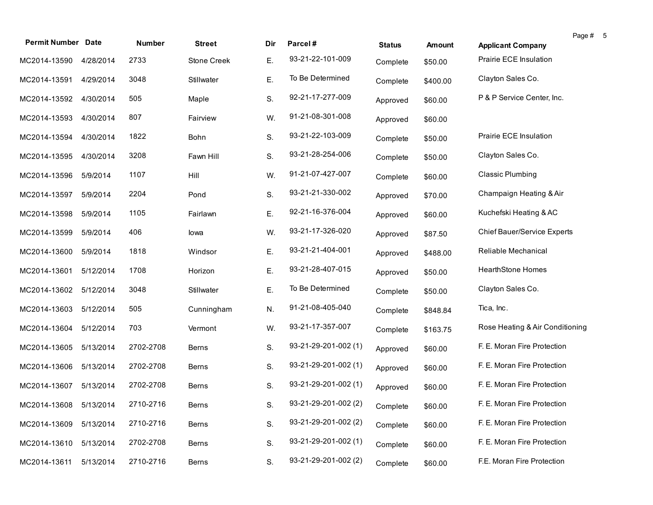| <b>Permit Number Date</b> |           | <b>Number</b> | <b>Street</b> | Dir | Parcel#              |               |          |                                    | Page # 5 |  |
|---------------------------|-----------|---------------|---------------|-----|----------------------|---------------|----------|------------------------------------|----------|--|
|                           |           |               |               |     | 93-21-22-101-009     | <b>Status</b> | Amount   | <b>Applicant Company</b>           |          |  |
| MC2014-13590              | 4/28/2014 | 2733          | Stone Creek   | Ε.  |                      | Complete      | \$50.00  | Prairie ECE Insulation             |          |  |
| MC2014-13591              | 4/29/2014 | 3048          | Stillwater    | Ε.  | To Be Determined     | Complete      | \$400.00 | Clayton Sales Co.                  |          |  |
| MC2014-13592              | 4/30/2014 | 505           | Maple         | S.  | 92-21-17-277-009     | Approved      | \$60.00  | P & P Service Center, Inc.         |          |  |
| MC2014-13593              | 4/30/2014 | 807           | Fairview      | W.  | 91-21-08-301-008     | Approved      | \$60.00  |                                    |          |  |
| MC2014-13594              | 4/30/2014 | 1822          | Bohn          | S.  | 93-21-22-103-009     | Complete      | \$50.00  | Prairie ECE Insulation             |          |  |
| MC2014-13595              | 4/30/2014 | 3208          | Fawn Hill     | S.  | 93-21-28-254-006     | Complete      | \$50.00  | Clayton Sales Co.                  |          |  |
| MC2014-13596              | 5/9/2014  | 1107          | Hill          | W.  | 91-21-07-427-007     | Complete      | \$60.00  | <b>Classic Plumbing</b>            |          |  |
| MC2014-13597              | 5/9/2014  | 2204          | Pond          | S.  | 93-21-21-330-002     | Approved      | \$70.00  | Champaign Heating & Air            |          |  |
| MC2014-13598              | 5/9/2014  | 1105          | Fairlawn      | Ε.  | 92-21-16-376-004     | Approved      | \$60.00  | Kuchefski Heating & AC             |          |  |
| MC2014-13599              | 5/9/2014  | 406           | lowa          | W.  | 93-21-17-326-020     | Approved      | \$87.50  | <b>Chief Bauer/Service Experts</b> |          |  |
| MC2014-13600              | 5/9/2014  | 1818          | Windsor       | Ε.  | 93-21-21-404-001     | Approved      | \$488.00 | Reliable Mechanical                |          |  |
| MC2014-13601              | 5/12/2014 | 1708          | Horizon       | Ε.  | 93-21-28-407-015     | Approved      | \$50.00  | <b>HearthStone Homes</b>           |          |  |
| MC2014-13602              | 5/12/2014 | 3048          | Stillwater    | Ε.  | To Be Determined     | Complete      | \$50.00  | Clayton Sales Co.                  |          |  |
| MC2014-13603              | 5/12/2014 | 505           | Cunningham    | N.  | 91-21-08-405-040     | Complete      | \$848.84 | Tica, Inc.                         |          |  |
| MC2014-13604              | 5/12/2014 | 703           | Vermont       | W.  | 93-21-17-357-007     | Complete      | \$163.75 | Rose Heating & Air Conditioning    |          |  |
| MC2014-13605              | 5/13/2014 | 2702-2708     | Berns         | S.  | 93-21-29-201-002 (1) | Approved      | \$60.00  | F. E. Moran Fire Protection        |          |  |
| MC2014-13606              | 5/13/2014 | 2702-2708     | <b>Berns</b>  | S.  | 93-21-29-201-002 (1) | Approved      | \$60.00  | F. E. Moran Fire Protection        |          |  |
| MC2014-13607              | 5/13/2014 | 2702-2708     | <b>Berns</b>  | S.  | 93-21-29-201-002 (1) | Approved      | \$60.00  | F. E. Moran Fire Protection        |          |  |
| MC2014-13608 5/13/2014    |           | 2710-2716     | <b>Berns</b>  | S.  | 93-21-29-201-002 (2) | Complete      | \$60.00  | F. E. Moran Fire Protection        |          |  |
| MC2014-13609              | 5/13/2014 | 2710-2716     | Berns         | S.  | 93-21-29-201-002 (2) | Complete      | \$60.00  | F. E. Moran Fire Protection        |          |  |
| MC2014-13610              | 5/13/2014 | 2702-2708     | Berns         | S.  | 93-21-29-201-002 (1) | Complete      | \$60.00  | F. E. Moran Fire Protection        |          |  |
| MC2014-13611              | 5/13/2014 | 2710-2716     | Berns         | S.  | 93-21-29-201-002 (2) | Complete      | \$60.00  | F.E. Moran Fire Protection         |          |  |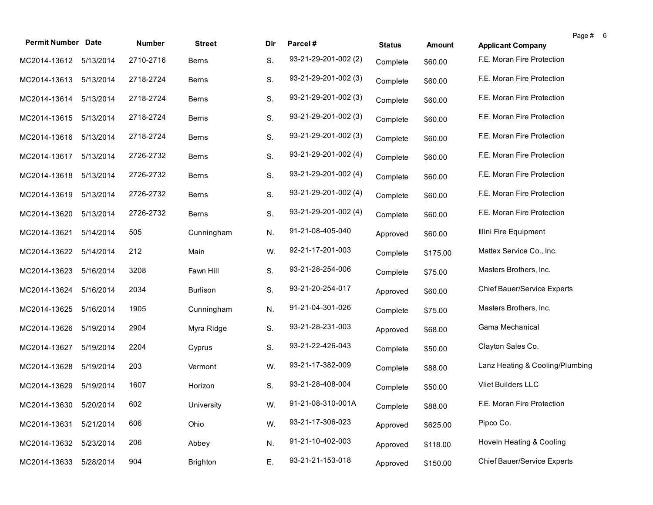| <b>Permit Number Date</b> |           |           |                 |      |                      |               |          |                                    | Page # | 6 |
|---------------------------|-----------|-----------|-----------------|------|----------------------|---------------|----------|------------------------------------|--------|---|
|                           |           | Number    | <b>Street</b>   | Dir. | Parcel#              | <b>Status</b> | Amount   | <b>Applicant Company</b>           |        |   |
| MC2014-13612 5/13/2014    |           | 2710-2716 | Berns           | S.   | 93-21-29-201-002 (2) | Complete      | \$60.00  | F.E. Moran Fire Protection         |        |   |
| MC2014-13613              | 5/13/2014 | 2718-2724 | Berns           | S.   | 93-21-29-201-002 (3) | Complete      | \$60.00  | F.E. Moran Fire Protection         |        |   |
| MC2014-13614              | 5/13/2014 | 2718-2724 | <b>Berns</b>    | S.   | 93-21-29-201-002 (3) | Complete      | \$60.00  | F.E. Moran Fire Protection         |        |   |
| MC2014-13615              | 5/13/2014 | 2718-2724 | Berns           | S.   | 93-21-29-201-002 (3) | Complete      | \$60.00  | F.E. Moran Fire Protection         |        |   |
| MC2014-13616              | 5/13/2014 | 2718-2724 | <b>Berns</b>    | S.   | 93-21-29-201-002 (3) | Complete      | \$60.00  | F.E. Moran Fire Protection         |        |   |
| MC2014-13617              | 5/13/2014 | 2726-2732 | <b>Berns</b>    | S.   | 93-21-29-201-002 (4) | Complete      | \$60.00  | F.E. Moran Fire Protection         |        |   |
| MC2014-13618              | 5/13/2014 | 2726-2732 | <b>Berns</b>    | S.   | 93-21-29-201-002 (4) | Complete      | \$60.00  | F.E. Moran Fire Protection         |        |   |
| MC2014-13619              | 5/13/2014 | 2726-2732 | <b>Berns</b>    | S.   | 93-21-29-201-002 (4) | Complete      | \$60.00  | F.E. Moran Fire Protection         |        |   |
| MC2014-13620              | 5/13/2014 | 2726-2732 | <b>Berns</b>    | S.   | 93-21-29-201-002 (4) | Complete      | \$60.00  | F.E. Moran Fire Protection         |        |   |
| MC2014-13621              | 5/14/2014 | 505       | Cunningham      | N.   | 91-21-08-405-040     | Approved      | \$60.00  | Illini Fire Equipment              |        |   |
| MC2014-13622              | 5/14/2014 | 212       | Main            | W.   | 92-21-17-201-003     | Complete      | \$175.00 | Mattex Service Co., Inc.           |        |   |
| MC2014-13623              | 5/16/2014 | 3208      | Fawn Hill       | S.   | 93-21-28-254-006     | Complete      | \$75.00  | Masters Brothers, Inc.             |        |   |
| MC2014-13624              | 5/16/2014 | 2034      | <b>Burlison</b> | S.   | 93-21-20-254-017     | Approved      | \$60.00  | Chief Bauer/Service Experts        |        |   |
| MC2014-13625              | 5/16/2014 | 1905      | Cunningham      | N.   | 91-21-04-301-026     | Complete      | \$75.00  | Masters Brothers, Inc.             |        |   |
| MC2014-13626              | 5/19/2014 | 2904      | Myra Ridge      | S.   | 93-21-28-231-003     | Approved      | \$68.00  | Gama Mechanical                    |        |   |
| MC2014-13627              | 5/19/2014 | 2204      | Cyprus          | S.   | 93-21-22-426-043     | Complete      | \$50.00  | Clayton Sales Co.                  |        |   |
| MC2014-13628              | 5/19/2014 | 203       | Vermont         | W.   | 93-21-17-382-009     | Complete      | \$88.00  | Lanz Heating & Cooling/Plumbing    |        |   |
| MC2014-13629              | 5/19/2014 | 1607      | Horizon         | S.   | 93-21-28-408-004     | Complete      | \$50.00  | Vliet Builders LLC                 |        |   |
| MC2014-13630 5/20/2014    |           | 602       | University      | W.   | 91-21-08-310-001A    | Complete      | \$88.00  | F.E. Moran Fire Protection         |        |   |
| MC2014-13631              | 5/21/2014 | 606       | Ohio            | W.   | 93-21-17-306-023     | Approved      | \$625.00 | Pipco Co.                          |        |   |
| MC2014-13632              | 5/23/2014 | 206       | Abbey           | N.   | 91-21-10-402-003     | Approved      | \$118.00 | Hoveln Heating & Cooling           |        |   |
| MC2014-13633              | 5/28/2014 | 904       | Brighton        | Ε.   | 93-21-21-153-018     | Approved      | \$150.00 | <b>Chief Bauer/Service Experts</b> |        |   |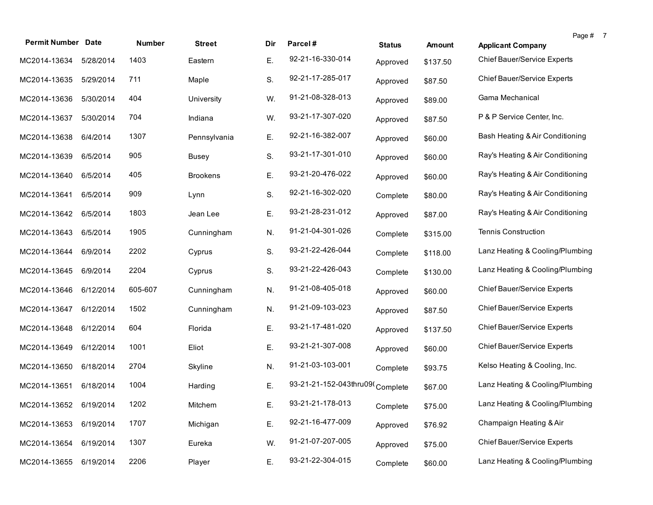| <b>Permit Number Date</b> |           | <b>Number</b> | <b>Street</b>   | Dir | Parcel#                         | <b>Status</b> | <b>Amount</b> | Page # 7<br><b>Applicant Company</b> |  |
|---------------------------|-----------|---------------|-----------------|-----|---------------------------------|---------------|---------------|--------------------------------------|--|
| MC2014-13634              | 5/28/2014 | 1403          | Eastern         | Ε.  | 92-21-16-330-014                | Approved      | \$137.50      | <b>Chief Bauer/Service Experts</b>   |  |
| MC2014-13635              | 5/29/2014 | 711           | Maple           | S.  | 92-21-17-285-017                | Approved      | \$87.50       | Chief Bauer/Service Experts          |  |
| MC2014-13636              | 5/30/2014 | 404           | University      | W.  | 91-21-08-328-013                | Approved      | \$89.00       | Gama Mechanical                      |  |
| MC2014-13637              | 5/30/2014 | 704           | Indiana         | W.  | 93-21-17-307-020                | Approved      | \$87.50       | P & P Service Center, Inc.           |  |
| MC2014-13638              | 6/4/2014  | 1307          | Pennsylvania    | Ε.  | 92-21-16-382-007                | Approved      | \$60.00       | Bash Heating & Air Conditioning      |  |
| MC2014-13639              | 6/5/2014  | 905           | <b>Busey</b>    | S.  | 93-21-17-301-010                | Approved      | \$60.00       | Ray's Heating & Air Conditioning     |  |
| MC2014-13640              | 6/5/2014  | 405           | <b>Brookens</b> | Ε.  | 93-21-20-476-022                | Approved      | \$60.00       | Ray's Heating & Air Conditioning     |  |
| MC2014-13641              | 6/5/2014  | 909           | Lynn            | S.  | 92-21-16-302-020                | Complete      | \$80.00       | Ray's Heating & Air Conditioning     |  |
| MC2014-13642              | 6/5/2014  | 1803          | Jean Lee        | Ε.  | 93-21-28-231-012                | Approved      | \$87.00       | Ray's Heating & Air Conditioning     |  |
| MC2014-13643              | 6/5/2014  | 1905          | Cunningham      | N.  | 91-21-04-301-026                | Complete      | \$315.00      | <b>Tennis Construction</b>           |  |
| MC2014-13644              | 6/9/2014  | 2202          | Cyprus          | S.  | 93-21-22-426-044                | Complete      | \$118.00      | Lanz Heating & Cooling/Plumbing      |  |
| MC2014-13645              | 6/9/2014  | 2204          | Cyprus          | S.  | 93-21-22-426-043                | Complete      | \$130.00      | Lanz Heating & Cooling/Plumbing      |  |
| MC2014-13646              | 6/12/2014 | 605-607       | Cunningham      | N.  | 91-21-08-405-018                | Approved      | \$60.00       | Chief Bauer/Service Experts          |  |
| MC2014-13647              | 6/12/2014 | 1502          | Cunningham      | N.  | 91-21-09-103-023                | Approved      | \$87.50       | Chief Bauer/Service Experts          |  |
| MC2014-13648              | 6/12/2014 | 604           | Florida         | Ε.  | 93-21-17-481-020                | Approved      | \$137.50      | Chief Bauer/Service Experts          |  |
| MC2014-13649              | 6/12/2014 | 1001          | Eliot           | Ε.  | 93-21-21-307-008                | Approved      | \$60.00       | <b>Chief Bauer/Service Experts</b>   |  |
| MC2014-13650              | 6/18/2014 | 2704          | Skyline         | N.  | 91-21-03-103-001                | Complete      | \$93.75       | Kelso Heating & Cooling, Inc.        |  |
| MC2014-13651              | 6/18/2014 | 1004          | Harding         | Ε.  | 93-21-21-152-043thru09(Complete |               | \$67.00       | Lanz Heating & Cooling/Plumbing      |  |
| MC2014-13652 6/19/2014    |           | 1202          | Mitchem         | Ε.  | 93-21-21-178-013                | Complete      | \$75.00       | Lanz Heating & Cooling/Plumbing      |  |
| MC2014-13653              | 6/19/2014 | 1707          | Michigan        | Ε.  | 92-21-16-477-009                | Approved      | \$76.92       | Champaign Heating & Air              |  |
| MC2014-13654              | 6/19/2014 | 1307          | Eureka          | W.  | 91-21-07-207-005                | Approved      | \$75.00       | <b>Chief Bauer/Service Experts</b>   |  |
| MC2014-13655              | 6/19/2014 | 2206          | Player          | Ε.  | 93-21-22-304-015                | Complete      | \$60.00       | Lanz Heating & Cooling/Plumbing      |  |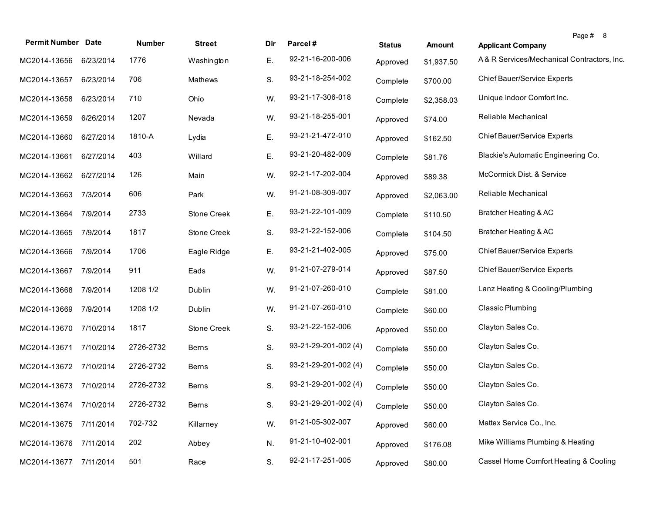| <b>Permit Number Date</b> |           | Number    | <b>Street</b> | Dir | Parcel#                       | <b>Status</b> | <b>Amount</b> | <b>Applicant Company</b>                   | Page # 8 |
|---------------------------|-----------|-----------|---------------|-----|-------------------------------|---------------|---------------|--------------------------------------------|----------|
| MC2014-13656              | 6/23/2014 | 1776      | Washington    | Ε.  | 92-21-16-200-006              | Approved      | \$1,937.50    | A& R Services/Mechanical Contractors, Inc. |          |
| MC2014-13657              | 6/23/2014 | 706       | Mathews       | S.  | 93-21-18-254-002              | Complete      | \$700.00      | Chief Bauer/Service Experts                |          |
| MC2014-13658              | 6/23/2014 | 710       | Ohio          | W.  | 93-21-17-306-018              | Complete      | \$2,358.03    | Unique Indoor Comfort Inc.                 |          |
| MC2014-13659              | 6/26/2014 | 1207      | Nevada        | W.  | 93-21-18-255-001              | Approved      | \$74.00       | Reliable Mechanical                        |          |
| MC2014-13660              | 6/27/2014 | 1810-A    | Lydia         | Ε.  | 93-21-21-472-010              | Approved      | \$162.50      | Chief Bauer/Service Experts                |          |
| MC2014-13661              | 6/27/2014 | 403       | Willard       | Ε.  | 93-21-20-482-009              | Complete      | \$81.76       | Blackie's Automatic Engineering Co.        |          |
| MC2014-13662              | 6/27/2014 | 126       | Main          | W.  | 92-21-17-202-004              | Approved      | \$89.38       | McCormick Dist. & Service                  |          |
| MC2014-13663              | 7/3/2014  | 606       | Park          | W.  | 91-21-08-309-007              | Approved      | \$2,063.00    | Reliable Mechanical                        |          |
| MC2014-13664              | 7/9/2014  | 2733      | Stone Creek   | Ε.  | 93-21-22-101-009              | Complete      | \$110.50      | Bratcher Heating & AC                      |          |
| MC2014-13665              | 7/9/2014  | 1817      | Stone Creek   | S.  | 93-21-22-152-006              | Complete      | \$104.50      | Bratcher Heating & AC                      |          |
| MC2014-13666              | 7/9/2014  | 1706      | Eagle Ridge   | Ε.  | 93-21-21-402-005              | Approved      | \$75.00       | Chief Bauer/Service Experts                |          |
| MC2014-13667              | 7/9/2014  | 911       | Eads          | W.  | 91-21-07-279-014              | Approved      | \$87.50       | Chief Bauer/Service Experts                |          |
| MC2014-13668              | 7/9/2014  | 1208 1/2  | Dublin        | W.  | 91-21-07-260-010              | Complete      | \$81.00       | Lanz Heating & Cooling/Plumbing            |          |
| MC2014-13669              | 7/9/2014  | 1208 1/2  | Dublin        | W.  | 91-21-07-260-010              | Complete      | \$60.00       | Classic Plumbing                           |          |
| MC2014-13670              | 7/10/2014 | 1817      | Stone Creek   | S.  | 93-21-22-152-006              | Approved      | \$50.00       | Clayton Sales Co.                          |          |
| MC2014-13671              | 7/10/2014 | 2726-2732 | <b>Berns</b>  | S.  | $93 - 21 - 29 - 201 - 002(4)$ | Complete      | \$50.00       | Clayton Sales Co.                          |          |
| MC2014-13672              | 7/10/2014 | 2726-2732 | <b>Berns</b>  | S.  | 93-21-29-201-002 (4)          | Complete      | \$50.00       | Clayton Sales Co.                          |          |
| MC2014-13673              | 7/10/2014 | 2726-2732 | Berns         | S.  | 93-21-29-201-002 (4)          | Complete      | \$50.00       | Clayton Sales Co.                          |          |
| MC2014-13674 7/10/2014    |           | 2726-2732 | Berns         | S.  | 93-21-29-201-002 (4)          | Complete      | \$50.00       | Clayton Sales Co.                          |          |
| MC2014-13675              | 7/11/2014 | 702-732   | Killarney     | W.  | 91-21-05-302-007              | Approved      | \$60.00       | Mattex Service Co., Inc.                   |          |
| MC2014-13676              | 7/11/2014 | 202       | Abbey         | N.  | 91-21-10-402-001              | Approved      | \$176.08      | Mike Williams Plumbing & Heating           |          |
| MC2014-13677              | 7/11/2014 | 501       | Race          | S.  | 92-21-17-251-005              | Approved      | \$80.00       | Cassel Home Comfort Heating & Cooling      |          |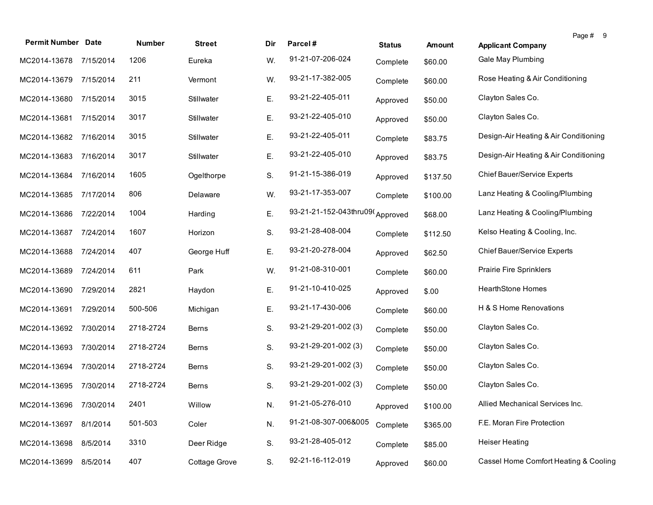| <b>Permit Number Date</b> |           | <b>Number</b> | <b>Street</b> | Dir | Parcel#                         | <b>Status</b> | <b>Amount</b> | Page # 9<br><b>Applicant Company</b>  |
|---------------------------|-----------|---------------|---------------|-----|---------------------------------|---------------|---------------|---------------------------------------|
| MC2014-13678              | 7/15/2014 | 1206          | Eureka        | W.  | 91-21-07-206-024                | Complete      | \$60.00       | Gale May Plumbing                     |
| MC2014-13679              | 7/15/2014 | 211           | Vermont       | W.  | 93-21-17-382-005                | Complete      | \$60.00       | Rose Heating & Air Conditioning       |
| MC2014-13680              | 7/15/2014 | 3015          | Stillwater    | Ε.  | 93-21-22-405-011                | Approved      | \$50.00       | Clayton Sales Co.                     |
| MC2014-13681              | 7/15/2014 | 3017          | Stillwater    | Ε.  | 93-21-22-405-010                | Approved      | \$50.00       | Clayton Sales Co.                     |
| MC2014-13682              | 7/16/2014 | 3015          | Stillwater    | Ε.  | 93-21-22-405-011                | Complete      | \$83.75       | Design-Air Heating & Air Conditioning |
| MC2014-13683              | 7/16/2014 | 3017          | Stillwater    | Ε.  | 93-21-22-405-010                | Approved      | \$83.75       | Design-Air Heating & Air Conditioning |
| MC2014-13684              | 7/16/2014 | 1605          | Ogelthorpe    | S.  | 91-21-15-386-019                | Approved      | \$137.50      | Chief Bauer/Service Experts           |
| MC2014-13685              | 7/17/2014 | 806           | Delaware      | W.  | 93-21-17-353-007                | Complete      | \$100.00      | Lanz Heating & Cooling/Plumbing       |
| MC2014-13686              | 7/22/2014 | 1004          | Harding       | E.  | 93-21-21-152-043thru09(Approved |               | \$68.00       | Lanz Heating & Cooling/Plumbing       |
| MC2014-13687              | 7/24/2014 | 1607          | Horizon       | S.  | 93-21-28-408-004                | Complete      | \$112.50      | Kelso Heating & Cooling, Inc.         |
| MC2014-13688              | 7/24/2014 | 407           | George Huff   | Ε.  | 93-21-20-278-004                | Approved      | \$62.50       | Chief Bauer/Service Experts           |
| MC2014-13689              | 7/24/2014 | 611           | Park          | W.  | 91-21-08-310-001                | Complete      | \$60.00       | Prairie Fire Sprinklers               |
| MC2014-13690              | 7/29/2014 | 2821          | Haydon        | E.  | 91-21-10-410-025                | Approved      | \$.00         | <b>HearthStone Homes</b>              |
| MC2014-13691              | 7/29/2014 | 500-506       | Michigan      | Ε.  | 93-21-17-430-006                | Complete      | \$60.00       | H & S Home Renovations                |
| MC2014-13692              | 7/30/2014 | 2718-2724     | Berns         | S.  | 93-21-29-201-002 (3)            | Complete      | \$50.00       | Clayton Sales Co.                     |
| MC2014-13693              | 7/30/2014 | 2718-2724     | <b>Berns</b>  | S.  | 93-21-29-201-002 (3)            | Complete      | \$50.00       | Clayton Sales Co.                     |
| MC2014-13694              | 7/30/2014 | 2718-2724     | Berns         | S.  | 93-21-29-201-002 (3)            | Complete      | \$50.00       | Clayton Sales Co.                     |
| MC2014-13695              | 7/30/2014 | 2718-2724     | <b>Berns</b>  | S.  | 93-21-29-201-002 (3)            | Complete      | \$50.00       | Clayton Sales Co.                     |
| MC2014-13696 7/30/2014    |           | 2401          | Willow        | N.  | 91-21-05-276-010                | Approved      | \$100.00      | Allied Mechanical Services Inc.       |
| MC2014-13697              | 8/1/2014  | 501-503       | Coler         | N.  | 91-21-08-307-006&005            | Complete      | \$365.00      | F.E. Moran Fire Protection            |
| MC2014-13698              | 8/5/2014  | 3310          | Deer Ridge    | S.  | 93-21-28-405-012                | Complete      | \$85.00       | <b>Heiser Heating</b>                 |
| MC2014-13699              | 8/5/2014  | 407           | Cottage Grove | S.  | 92-21-16-112-019                | Approved      | \$60.00       | Cassel Home Comfort Heating & Cooling |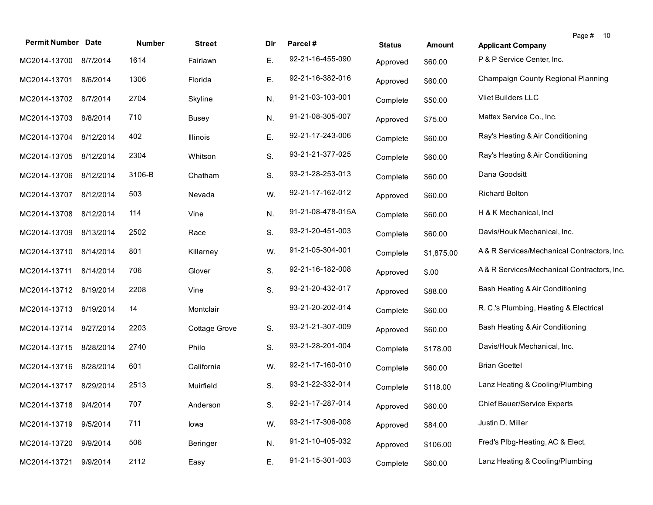| <b>Permit Number</b>   | <b>Date</b> | Number | <b>Street</b> | Dir | Parcel#           | <b>Status</b> | <b>Amount</b> | Page # 10<br><b>Applicant Company</b>     |
|------------------------|-------------|--------|---------------|-----|-------------------|---------------|---------------|-------------------------------------------|
| MC2014-13700           | 8/7/2014    | 1614   | Fairlawn      | Е.  | 92-21-16-455-090  | Approved      | \$60.00       | P & P Service Center, Inc.                |
| MC2014-13701           | 8/6/2014    | 1306   | Florida       | Ε.  | 92-21-16-382-016  | Approved      | \$60.00       | Champaign County Regional Planning        |
| MC2014-13702           | 8/7/2014    | 2704   | Skyline       | N.  | 91-21-03-103-001  | Complete      | \$50.00       | Vliet Builders LLC                        |
| MC2014-13703           | 8/8/2014    | 710    | <b>Busey</b>  | N.  | 91-21-08-305-007  | Approved      | \$75.00       | Mattex Service Co., Inc.                  |
| MC2014-13704 8/12/2014 |             | 402    | Illinois      | Е.  | 92-21-17-243-006  | Complete      | \$60.00       | Ray's Heating & Air Conditioning          |
| MC2014-13705           | 8/12/2014   | 2304   | Whitson       | S.  | 93-21-21-377-025  | Complete      | \$60.00       | Ray's Heating & Air Conditioning          |
| MC2014-13706           | 8/12/2014   | 3106-B | Chatham       | S.  | 93-21-28-253-013  | Complete      | \$60.00       | Dana Goodsitt                             |
| MC2014-13707           | 8/12/2014   | 503    | Nevada        | W.  | 92-21-17-162-012  | Approved      | \$60.00       | <b>Richard Bolton</b>                     |
| MC2014-13708           | 8/12/2014   | 114    | Vine          | N.  | 91-21-08-478-015A | Complete      | \$60.00       | H & K Mechanical, Incl                    |
| MC2014-13709           | 8/13/2014   | 2502   | Race          | S.  | 93-21-20-451-003  | Complete      | \$60.00       | Davis/Houk Mechanical, Inc.               |
| MC2014-13710           | 8/14/2014   | 801    | Killarney     | W.  | 91-21-05-304-001  | Complete      | \$1,875.00    | A&R Services/Mechanical Contractors, Inc. |
| MC2014-13711           | 8/14/2014   | 706    | Glover        | S.  | 92-21-16-182-008  | Approved      | \$.00         | A&R Services/Mechanical Contractors, Inc. |
| MC2014-13712 8/19/2014 |             | 2208   | Vine          | S.  | 93-21-20-432-017  | Approved      | \$88.00       | Bash Heating & Air Conditioning           |
| MC2014-13713           | 8/19/2014   | 14     | Montclair     |     | 93-21-20-202-014  | Complete      | \$60.00       | R. C.'s Plumbing, Heating & Electrical    |
| MC2014-13714           | 8/27/2014   | 2203   | Cottage Grove | S.  | 93-21-21-307-009  | Approved      | \$60.00       | Bash Heating & Air Conditioning           |
| MC2014-13715           | 8/28/2014   | 2740   | Philo         | S.  | 93-21-28-201-004  | Complete      | \$178.00      | Davis/Houk Mechanical, Inc.               |
| MC2014-13716           | 8/28/2014   | 601    | California    | W.  | 92-21-17-160-010  | Complete      | \$60.00       | <b>Brian Goettel</b>                      |
| MC2014-13717           | 8/29/2014   | 2513   | Muirfield     | S.  | 93-21-22-332-014  | Complete      | \$118.00      | Lanz Heating & Cooling/Plumbing           |
| MC2014-13718 9/4/2014  |             | 707    | Anderson      | S.  | 92-21-17-287-014  | Approved      | \$60.00       | <b>Chief Bauer/Service Experts</b>        |
| MC2014-13719           | 9/5/2014    | 711    | lowa          | W.  | 93-21-17-306-008  | Approved      | \$84.00       | Justin D. Miller                          |
| MC2014-13720           | 9/9/2014    | 506    | Beringer      | N.  | 91-21-10-405-032  | Approved      | \$106.00      | Fred's Plbg-Heating, AC & Elect.          |
| MC2014-13721           | 9/9/2014    | 2112   | Easy          | Ε.  | 91-21-15-301-003  | Complete      | \$60.00       | Lanz Heating & Cooling/Plumbing           |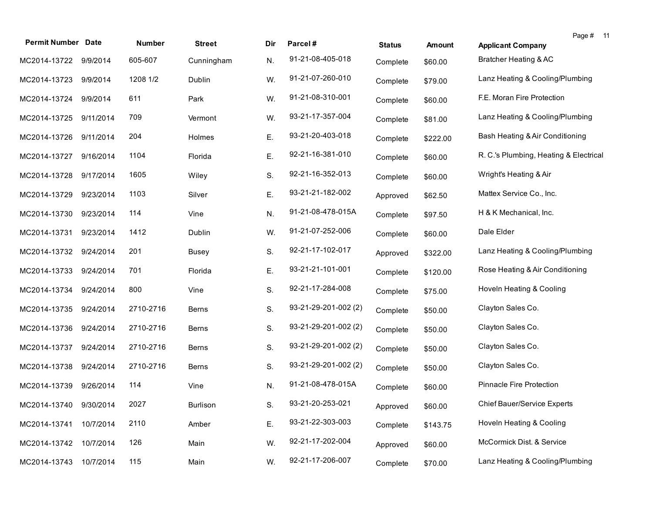| <b>Permit Number Date</b> |           | Number    | <b>Street</b> | Dir | Parcel#              | <b>Status</b> | <b>Amount</b> | Page # 11<br><b>Applicant Company</b>  |  |
|---------------------------|-----------|-----------|---------------|-----|----------------------|---------------|---------------|----------------------------------------|--|
| MC2014-13722 9/9/2014     |           | 605-607   | Cunningham    | N.  | 91-21-08-405-018     | Complete      | \$60.00       | Bratcher Heating & AC                  |  |
| MC2014-13723 9/9/2014     |           | 1208 1/2  | Dublin        | W.  | 91-21-07-260-010     | Complete      | \$79.00       | Lanz Heating & Cooling/Plumbing        |  |
| MC2014-13724 9/9/2014     |           | 611       | Park          | W.  | 91-21-08-310-001     | Complete      | \$60.00       | F.E. Moran Fire Protection             |  |
| MC2014-13725              | 9/11/2014 | 709       | Vermont       | W.  | 93-21-17-357-004     | Complete      | \$81.00       | Lanz Heating & Cooling/Plumbing        |  |
| MC2014-13726              | 9/11/2014 | 204       | Holmes        | Ε.  | 93-21-20-403-018     | Complete      | \$222.00      | Bash Heating & Air Conditioning        |  |
| MC2014-13727              | 9/16/2014 | 1104      | Florida       | Ε.  | 92-21-16-381-010     | Complete      | \$60.00       | R. C.'s Plumbing, Heating & Electrical |  |
| MC2014-13728              | 9/17/2014 | 1605      | Wiley         | S.  | 92-21-16-352-013     | Complete      | \$60.00       | Wright's Heating & Air                 |  |
| MC2014-13729              | 9/23/2014 | 1103      | Silver        | Ε.  | 93-21-21-182-002     | Approved      | \$62.50       | Mattex Service Co., Inc.               |  |
| MC2014-13730              | 9/23/2014 | 114       | Vine          | N.  | 91-21-08-478-015A    | Complete      | \$97.50       | H & K Mechanical, Inc.                 |  |
| MC2014-13731              | 9/23/2014 | 1412      | Dublin        | W.  | 91-21-07-252-006     | Complete      | \$60.00       | Dale Elder                             |  |
| MC2014-13732              | 9/24/2014 | 201       | Busey         | S.  | 92-21-17-102-017     | Approved      | \$322.00      | Lanz Heating & Cooling/Plumbing        |  |
| MC2014-13733              | 9/24/2014 | 701       | Florida       | Ε.  | 93-21-21-101-001     | Complete      | \$120.00      | Rose Heating & Air Conditioning        |  |
| MC2014-13734              | 9/24/2014 | 800       | Vine          | S.  | 92-21-17-284-008     | Complete      | \$75.00       | Hoveln Heating & Cooling               |  |
| MC2014-13735              | 9/24/2014 | 2710-2716 | <b>Berns</b>  | S.  | 93-21-29-201-002 (2) | Complete      | \$50.00       | Clayton Sales Co.                      |  |
| MC2014-13736              | 9/24/2014 | 2710-2716 | Berns         | S.  | 93-21-29-201-002 (2) | Complete      | \$50.00       | Clayton Sales Co.                      |  |
| MC2014-13737              | 9/24/2014 | 2710-2716 | <b>Berns</b>  | S.  | 93-21-29-201-002 (2) | Complete      | \$50.00       | Clayton Sales Co.                      |  |
| MC2014-13738              | 9/24/2014 | 2710-2716 | Berns         | S.  | 93-21-29-201-002 (2) | Complete      | \$50.00       | Clayton Sales Co.                      |  |
| MC2014-13739              | 9/26/2014 | 114       | Vine          | N.  | 91-21-08-478-015A    | Complete      | \$60.00       | Pinnacle Fire Protection               |  |
| MC2014-13740 9/30/2014    |           | 2027      | Burlison      | S.  | 93-21-20-253-021     | Approved      | \$60.00       | Chief Bauer/Service Experts            |  |
| MC2014-13741              | 10/7/2014 | 2110      | Amber         | Ε.  | 93-21-22-303-003     | Complete      | \$143.75      | Hoveln Heating & Cooling               |  |
| MC2014-13742              | 10/7/2014 | 126       | Main          | W.  | 92-21-17-202-004     | Approved      | \$60.00       | McCormick Dist. & Service              |  |
| MC2014-13743              | 10/7/2014 | 115       | Main          | W.  | 92-21-17-206-007     | Complete      | \$70.00       | Lanz Heating & Cooling/Plumbing        |  |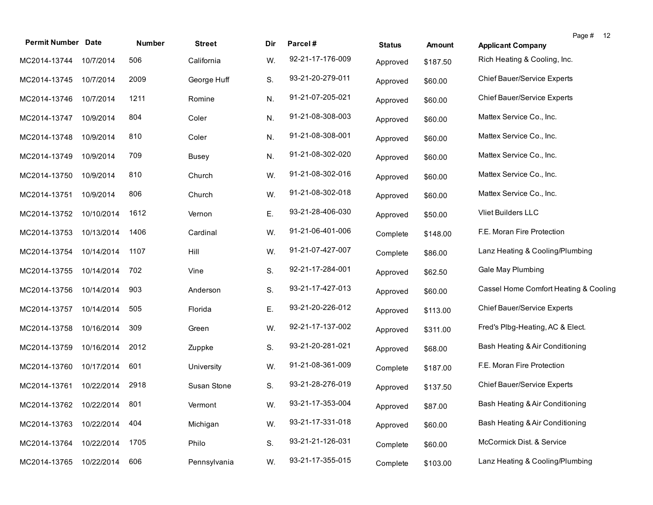|                           |            |        |               |     |                  |               |          |                                       | Page # | 12 |
|---------------------------|------------|--------|---------------|-----|------------------|---------------|----------|---------------------------------------|--------|----|
| <b>Permit Number Date</b> |            | Number | <b>Street</b> | Dir | Parcel#          | <b>Status</b> | Amount   | <b>Applicant Company</b>              |        |    |
| MC2014-13744              | 10/7/2014  | 506    | California    | W.  | 92-21-17-176-009 | Approved      | \$187.50 | Rich Heating & Cooling, Inc.          |        |    |
| MC2014-13745              | 10/7/2014  | 2009   | George Huff   | S.  | 93-21-20-279-011 | Approved      | \$60.00  | Chief Bauer/Service Experts           |        |    |
| MC2014-13746              | 10/7/2014  | 1211   | Romine        | N.  | 91-21-07-205-021 | Approved      | \$60.00  | Chief Bauer/Service Experts           |        |    |
| MC2014-13747              | 10/9/2014  | 804    | Coler         | N.  | 91-21-08-308-003 | Approved      | \$60.00  | Mattex Service Co., Inc.              |        |    |
| MC2014-13748              | 10/9/2014  | 810    | Coler         | N.  | 91-21-08-308-001 | Approved      | \$60.00  | Mattex Service Co., Inc.              |        |    |
| MC2014-13749              | 10/9/2014  | 709    | <b>Busey</b>  | N.  | 91-21-08-302-020 | Approved      | \$60.00  | Mattex Service Co., Inc.              |        |    |
| MC2014-13750              | 10/9/2014  | 810    | Church        | W.  | 91-21-08-302-016 | Approved      | \$60.00  | Mattex Service Co., Inc.              |        |    |
| MC2014-13751              | 10/9/2014  | 806    | Church        | W.  | 91-21-08-302-018 | Approved      | \$60.00  | Mattex Service Co., Inc.              |        |    |
| MC2014-13752              | 10/10/2014 | 1612   | Vernon        | Ε.  | 93-21-28-406-030 | Approved      | \$50.00  | <b>Vliet Builders LLC</b>             |        |    |
| MC2014-13753              | 10/13/2014 | 1406   | Cardinal      | W.  | 91-21-06-401-006 | Complete      | \$148.00 | F.E. Moran Fire Protection            |        |    |
| MC2014-13754              | 10/14/2014 | 1107   | Hill          | W.  | 91-21-07-427-007 | Complete      | \$86.00  | Lanz Heating & Cooling/Plumbing       |        |    |
| MC2014-13755              | 10/14/2014 | 702    | Vine          | S.  | 92-21-17-284-001 | Approved      | \$62.50  | Gale May Plumbing                     |        |    |
| MC2014-13756              | 10/14/2014 | 903    | Anderson      | S.  | 93-21-17-427-013 | Approved      | \$60.00  | Cassel Home Comfort Heating & Cooling |        |    |
| MC2014-13757              | 10/14/2014 | 505    | Florida       | Ε.  | 93-21-20-226-012 | Approved      | \$113.00 | Chief Bauer/Service Experts           |        |    |
| MC2014-13758              | 10/16/2014 | 309    | Green         | W.  | 92-21-17-137-002 | Approved      | \$311.00 | Fred's Plbg-Heating, AC & Elect.      |        |    |
| MC2014-13759              | 10/16/2014 | 2012   | Zuppke        | S.  | 93-21-20-281-021 | Approved      | \$68.00  | Bash Heating & Air Conditioning       |        |    |
| MC2014-13760              | 10/17/2014 | 601    | University    | W.  | 91-21-08-361-009 | Complete      | \$187.00 | F.E. Moran Fire Protection            |        |    |
| MC2014-13761              | 10/22/2014 | 2918   | Susan Stone   | S.  | 93-21-28-276-019 | Approved      | \$137.50 | <b>Chief Bauer/Service Experts</b>    |        |    |
| MC2014-13762 10/22/2014   |            | -801   | Vermont       | W.  | 93-21-17-353-004 | Approved      | \$87.00  | Bash Heating & Air Conditioning       |        |    |
| MC2014-13763              | 10/22/2014 | 404    | Michigan      | W.  | 93-21-17-331-018 | Approved      | \$60.00  | Bash Heating & Air Conditioning       |        |    |
| MC2014-13764              | 10/22/2014 | 1705   | Philo         | S.  | 93-21-21-126-031 | Complete      | \$60.00  | McCormick Dist. & Service             |        |    |
| MC2014-13765              | 10/22/2014 | 606    | Pennsylvania  | W.  | 93-21-17-355-015 | Complete      | \$103.00 | Lanz Heating & Cooling/Plumbing       |        |    |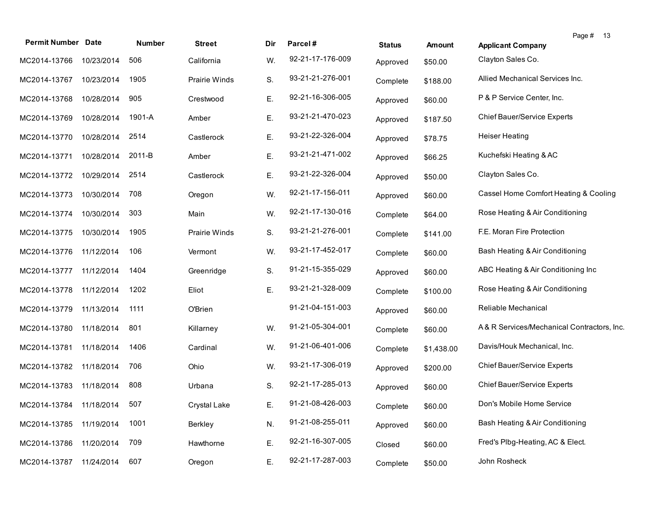|                           |            |               |                      |     |                  |               |            | Page # 13                                  |
|---------------------------|------------|---------------|----------------------|-----|------------------|---------------|------------|--------------------------------------------|
| <b>Permit Number Date</b> |            | <b>Number</b> | <b>Street</b>        | Dir | Parcel#          | <b>Status</b> | Amount     | <b>Applicant Company</b>                   |
| MC2014-13766              | 10/23/2014 | 506           | California           | W.  | 92-21-17-176-009 | Approved      | \$50.00    | Clayton Sales Co.                          |
| MC2014-13767              | 10/23/2014 | 1905          | <b>Prairie Winds</b> | S.  | 93-21-21-276-001 | Complete      | \$188.00   | Allied Mechanical Services Inc.            |
| MC2014-13768              | 10/28/2014 | 905           | Crestwood            | Ε.  | 92-21-16-306-005 | Approved      | \$60.00    | P & P Service Center, Inc.                 |
| MC2014-13769              | 10/28/2014 | 1901-A        | Amber                | Ε.  | 93-21-21-470-023 | Approved      | \$187.50   | Chief Bauer/Service Experts                |
| MC2014-13770              | 10/28/2014 | 2514          | Castlerock           | Ε.  | 93-21-22-326-004 | Approved      | \$78.75    | <b>Heiser Heating</b>                      |
| MC2014-13771              | 10/28/2014 | 2011-B        | Amber                | Ε.  | 93-21-21-471-002 | Approved      | \$66.25    | Kuchefski Heating & AC                     |
| MC2014-13772              | 10/29/2014 | 2514          | Castlerock           | Ε.  | 93-21-22-326-004 | Approved      | \$50.00    | Clayton Sales Co.                          |
| MC2014-13773              | 10/30/2014 | 708           | Oregon               | W.  | 92-21-17-156-011 | Approved      | \$60.00    | Cassel Home Comfort Heating & Cooling      |
| MC2014-13774              | 10/30/2014 | 303           | Main                 | W.  | 92-21-17-130-016 | Complete      | \$64.00    | Rose Heating & Air Conditioning            |
| MC2014-13775              | 10/30/2014 | 1905          | Prairie Winds        | S.  | 93-21-21-276-001 | Complete      | \$141.00   | F.E. Moran Fire Protection                 |
| MC2014-13776              | 11/12/2014 | 106           | Vermont              | W.  | 93-21-17-452-017 | Complete      | \$60.00    | Bash Heating & Air Conditioning            |
| MC2014-13777              | 11/12/2014 | 1404          | Greenridge           | S.  | 91-21-15-355-029 | Approved      | \$60.00    | ABC Heating & Air Conditioning Inc         |
| MC2014-13778              | 11/12/2014 | 1202          | Eliot                | Ε.  | 93-21-21-328-009 | Complete      | \$100.00   | Rose Heating & Air Conditioning            |
| MC2014-13779              | 11/13/2014 | 1111          | O'Brien              |     | 91-21-04-151-003 | Approved      | \$60.00    | Reliable Mechanical                        |
| MC2014-13780              | 11/18/2014 | 801           | Killarney            | W.  | 91-21-05-304-001 | Complete      | \$60.00    | A& R Services/Mechanical Contractors, Inc. |
| MC2014-13781              | 11/18/2014 | 1406          | Cardinal             | W.  | 91-21-06-401-006 | Complete      | \$1,438.00 | Davis/Houk Mechanical, Inc.                |
| MC2014-13782              | 11/18/2014 | 706           | Ohio                 | W.  | 93-21-17-306-019 | Approved      | \$200.00   | Chief Bauer/Service Experts                |
| MC2014-13783              | 11/18/2014 | 808           | Urbana               | S.  | 92-21-17-285-013 | Approved      | \$60.00    | Chief Bauer/Service Experts                |
| MC2014-13784 11/18/2014   |            | 507           | Crystal Lake         | Ε.  | 91-21-08-426-003 | Complete      | \$60.00    | Don's Mobile Home Service                  |
| MC2014-13785              | 11/19/2014 | 1001          | Berkley              | N.  | 91-21-08-255-011 | Approved      | \$60.00    | Bash Heating & Air Conditioning            |
| MC2014-13786              | 11/20/2014 | 709           | Hawthorne            | Ε.  | 92-21-16-307-005 | Closed        | \$60.00    | Fred's Plbg-Heating, AC & Elect.           |
| MC2014-13787              | 11/24/2014 | 607           | Oregon               | Ε.  | 92-21-17-287-003 | Complete      | \$50.00    | John Rosheck                               |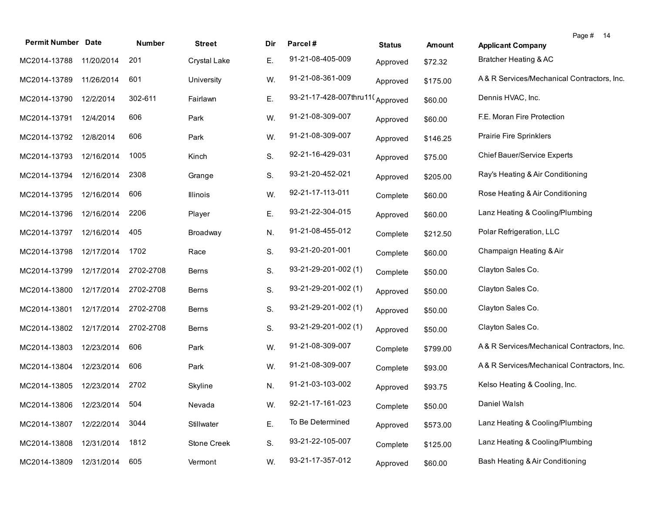| <b>Permit Number Date</b>   |            | Number    | <b>Street</b> | Dir | Parcel#                         | <b>Status</b> | Amount   | Page # 14<br><b>Applicant Company</b>      |
|-----------------------------|------------|-----------|---------------|-----|---------------------------------|---------------|----------|--------------------------------------------|
| MC2014-13788                | 11/20/2014 | 201       | Crystal Lake  | Е.  | 91-21-08-405-009                | Approved      | \$72.32  | Bratcher Heating & AC                      |
| MC2014-13789                | 11/26/2014 | 601       | University    | W.  | 91-21-08-361-009                | Approved      | \$175.00 | A& R Services/Mechanical Contractors, Inc. |
| MC2014-13790                | 12/2/2014  | 302-611   | Fairlawn      | Ε.  | 93-21-17-428-007thru11(Approved |               | \$60.00  | Dennis HVAC, Inc.                          |
| MC2014-13791                | 12/4/2014  | 606       | Park          | W.  | 91-21-08-309-007                | Approved      | \$60.00  | F.E. Moran Fire Protection                 |
| MC2014-13792                | 12/8/2014  | 606       | Park          | W.  | 91-21-08-309-007                | Approved      | \$146.25 | <b>Prairie Fire Sprinklers</b>             |
| MC2014-13793                | 12/16/2014 | 1005      | Kinch         | S.  | 92-21-16-429-031                | Approved      | \$75.00  | Chief Bauer/Service Experts                |
| MC2014-13794                | 12/16/2014 | 2308      | Grange        | S.  | 93-21-20-452-021                | Approved      | \$205.00 | Ray's Heating & Air Conditioning           |
| MC2014-13795                | 12/16/2014 | 606       | Illinois      | W.  | 92-21-17-113-011                | Complete      | \$60.00  | Rose Heating & Air Conditioning            |
| MC2014-13796                | 12/16/2014 | 2206      | Player        | Е.  | 93-21-22-304-015                | Approved      | \$60.00  | Lanz Heating & Cooling/Plumbing            |
| MC2014-13797                | 12/16/2014 | 405       | Broadway      | N.  | 91-21-08-455-012                | Complete      | \$212.50 | Polar Refrigeration, LLC                   |
| MC2014-13798                | 12/17/2014 | 1702      | Race          | S.  | 93-21-20-201-001                | Complete      | \$60.00  | Champaign Heating & Air                    |
| MC2014-13799                | 12/17/2014 | 2702-2708 | <b>Berns</b>  | S.  | 93-21-29-201-002 (1)            | Complete      | \$50.00  | Clayton Sales Co.                          |
| MC2014-13800                | 12/17/2014 | 2702-2708 | <b>Berns</b>  | S.  | 93-21-29-201-002 (1)            | Approved      | \$50.00  | Clayton Sales Co.                          |
| MC2014-13801                | 12/17/2014 | 2702-2708 | <b>Berns</b>  | S.  | 93-21-29-201-002 (1)            | Approved      | \$50.00  | Clayton Sales Co.                          |
| MC2014-13802                | 12/17/2014 | 2702-2708 | Berns         | S.  | 93-21-29-201-002 (1)            | Approved      | \$50.00  | Clayton Sales Co.                          |
| MC2014-13803                | 12/23/2014 | 606       | Park          | W.  | 91-21-08-309-007                | Complete      | \$799.00 | A& R Services/Mechanical Contractors, Inc. |
| MC2014-13804                | 12/23/2014 | 606       | Park          | W.  | 91-21-08-309-007                | Complete      | \$93.00  | A& R Services/Mechanical Contractors, Inc. |
| MC2014-13805                | 12/23/2014 | 2702      | Skyline       | N.  | 91-21-03-103-002                | Approved      | \$93.75  | Kelso Heating & Cooling, Inc.              |
| MC2014-13806 12/23/2014 504 |            |           | Nevada        | W.  | 92-21-17-161-023                | Complete      | \$50.00  | Daniel Walsh                               |
| MC2014-13807                | 12/22/2014 | 3044      | Stillwater    | Ε.  | To Be Determined                | Approved      | \$573.00 | Lanz Heating & Cooling/Plumbing            |
| MC2014-13808                | 12/31/2014 | 1812      | Stone Creek   | S.  | 93-21-22-105-007                | Complete      | \$125.00 | Lanz Heating & Cooling/Plumbing            |
| MC2014-13809                | 12/31/2014 | 605       | Vermont       | W.  | 93-21-17-357-012                | Approved      | \$60.00  | Bash Heating & Air Conditioning            |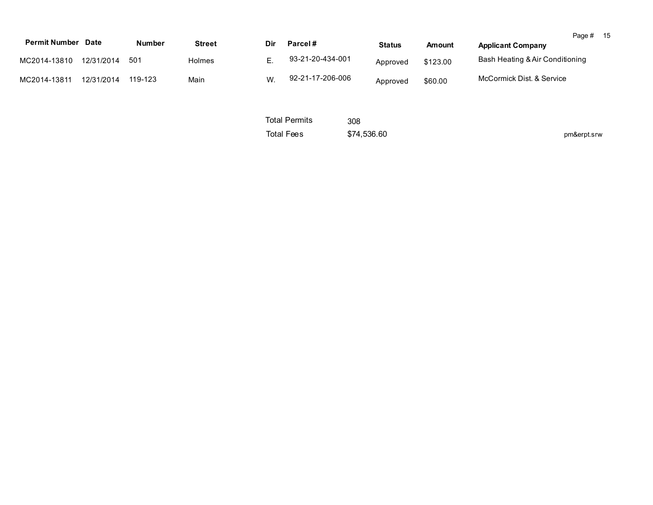| <b>Permit Number Date</b> |            |               |               |     |                             |               |               |                                 | Page # 15   |  |
|---------------------------|------------|---------------|---------------|-----|-----------------------------|---------------|---------------|---------------------------------|-------------|--|
|                           |            | <b>Number</b> | <b>Street</b> | Dir | Parcel#                     | <b>Status</b> | <b>Amount</b> | <b>Applicant Company</b>        |             |  |
| MC2014-13810              | 12/31/2014 | 501           | <b>Holmes</b> | Ε.  | 93-21-20-434-001            | Approved      | \$123.00      | Bash Heating & Air Conditioning |             |  |
| MC2014-13811              | 12/31/2014 | 119-123       | Main          | W.  | 92-21-17-206-006            | Approved      | \$60.00       | McCormick Dist, & Service       |             |  |
|                           |            |               |               |     | <b>Total Permits</b><br>308 |               |               |                                 |             |  |
|                           |            |               |               |     | <b>Total Fees</b>           | \$74,536.60   |               |                                 | pm&erpt.srw |  |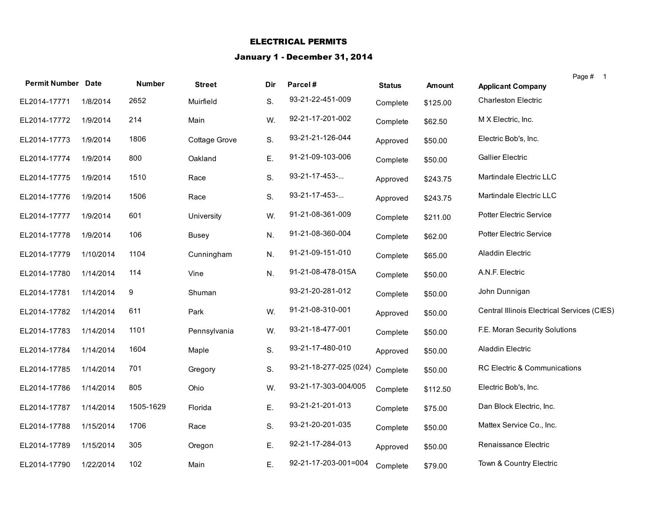## ELECTRICAL PERMITS

## January 1 - December 31, 2014

| <b>Permit Number Date</b> |           | <b>Number</b> | <b>Street</b> | Dir | Parcel#                | <b>Status</b> | <b>Amount</b> | <b>Applicant Company</b>                    | Page # 1 |
|---------------------------|-----------|---------------|---------------|-----|------------------------|---------------|---------------|---------------------------------------------|----------|
| EL2014-17771              | 1/8/2014  | 2652          | Muirfield     | S.  | 93-21-22-451-009       | Complete      | \$125.00      | <b>Charleston Electric</b>                  |          |
| EL2014-17772              | 1/9/2014  | 214           | Main          | W.  | 92-21-17-201-002       | Complete      | \$62.50       | M X Electric, Inc.                          |          |
| EL2014-17773              | 1/9/2014  | 1806          | Cottage Grove | S.  | 93-21-21-126-044       | Approved      | \$50.00       | Electric Bob's, Inc.                        |          |
| EL2014-17774              | 1/9/2014  | 800           | Oakland       | Ε.  | 91-21-09-103-006       | Complete      | \$50.00       | <b>Gallier Electric</b>                     |          |
| EL2014-17775              | 1/9/2014  | 1510          | Race          | S.  | 93-21-17-453-          | Approved      | \$243.75      | Martindale Electric LLC                     |          |
| EL2014-17776              | 1/9/2014  | 1506          | Race          | S.  | 93-21-17-453-          | Approved      | \$243.75      | Martindale Electric LLC                     |          |
| EL2014-17777              | 1/9/2014  | 601           | University    | W.  | 91-21-08-361-009       | Complete      | \$211.00      | Potter Electric Service                     |          |
| EL2014-17778              | 1/9/2014  | 106           | Busey         | N.  | 91-21-08-360-004       | Complete      | \$62.00       | Potter Electric Service                     |          |
| EL2014-17779              | 1/10/2014 | 1104          | Cunningham    | N.  | 91-21-09-151-010       | Complete      | \$65.00       | Aladdin Electric                            |          |
| EL2014-17780              | 1/14/2014 | 114           | Vine          | N.  | 91-21-08-478-015A      | Complete      | \$50.00       | A.N.F. Electric                             |          |
| EL2014-17781              | 1/14/2014 | 9             | Shuman        |     | 93-21-20-281-012       | Complete      | \$50.00       | John Dunnigan                               |          |
| EL2014-17782              | 1/14/2014 | 611           | Park          | W.  | 91-21-08-310-001       | Approved      | \$50.00       | Central Illinois Electrical Services (CIES) |          |
| EL2014-17783              | 1/14/2014 | 1101          | Pennsylvania  | W.  | 93-21-18-477-001       | Complete      | \$50.00       | F.E. Moran Security Solutions               |          |
| EL2014-17784              | 1/14/2014 | 1604          | Maple         | S.  | 93-21-17-480-010       | Approved      | \$50.00       | Aladdin Electric                            |          |
| EL2014-17785              | 1/14/2014 | 701           | Gregory       | S.  | 93-21-18-277-025 (024) | Complete      | \$50.00       | RC Electric & Communications                |          |
| EL2014-17786              | 1/14/2014 | 805           | Ohio          | W.  | 93-21-17-303-004/005   | Complete      | \$112.50      | Electric Bob's, Inc.                        |          |
| EL2014-17787              | 1/14/2014 | 1505-1629     | Florida       | Ε.  | 93-21-21-201-013       | Complete      | \$75.00       | Dan Block Electric, Inc.                    |          |
| EL2014-17788              | 1/15/2014 | 1706          | Race          | S.  | 93-21-20-201-035       | Complete      | \$50.00       | Mattex Service Co., Inc.                    |          |
| EL2014-17789              | 1/15/2014 | 305           | Oregon        | Ε.  | 92-21-17-284-013       | Approved      | \$50.00       | Renaissance Electric                        |          |
| EL2014-17790              | 1/22/2014 | 102           | Main          | Ε.  | 92-21-17-203-001=004   | Complete      | \$79.00       | Town & Country Electric                     |          |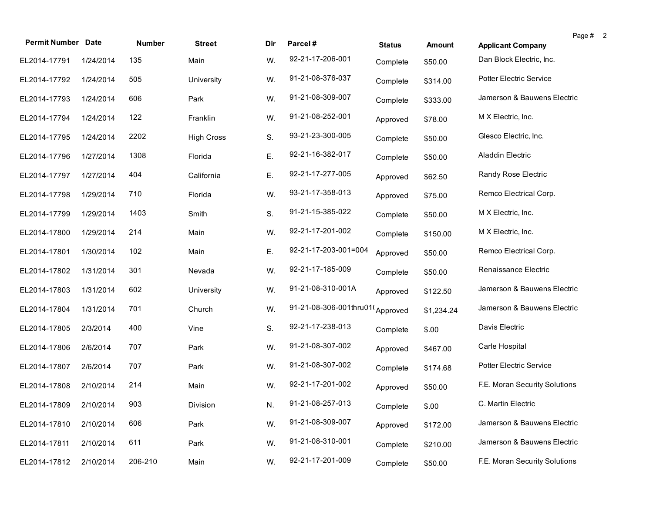| <b>Permit Number Date</b> |           | Number  | <b>Street</b>     | Dir | Parcel#                         |               |            |                               | Page # 2 |
|---------------------------|-----------|---------|-------------------|-----|---------------------------------|---------------|------------|-------------------------------|----------|
|                           |           |         |                   |     |                                 | <b>Status</b> | Amount     | <b>Applicant Company</b>      |          |
| EL2014-17791              | 1/24/2014 | 135     | Main              | W.  | 92-21-17-206-001                | Complete      | \$50.00    | Dan Block Electric, Inc.      |          |
| EL2014-17792              | 1/24/2014 | 505     | University        | W.  | 91-21-08-376-037                | Complete      | \$314.00   | Potter Electric Service       |          |
| EL2014-17793              | 1/24/2014 | 606     | Park              | W.  | 91-21-08-309-007                | Complete      | \$333.00   | Jamerson & Bauwens Electric   |          |
| EL2014-17794              | 1/24/2014 | 122     | Franklin          | W.  | 91-21-08-252-001                | Approved      | \$78.00    | M X Electric, Inc.            |          |
| EL2014-17795              | 1/24/2014 | 2202    | <b>High Cross</b> | S.  | 93-21-23-300-005                | Complete      | \$50.00    | Glesco Electric, Inc.         |          |
| EL2014-17796              | 1/27/2014 | 1308    | Florida           | Ε.  | 92-21-16-382-017                | Complete      | \$50.00    | Aladdin Electric              |          |
| EL2014-17797              | 1/27/2014 | 404     | California        | Ε.  | 92-21-17-277-005                | Approved      | \$62.50    | Randy Rose Electric           |          |
| EL2014-17798              | 1/29/2014 | 710     | Florida           | W.  | 93-21-17-358-013                | Approved      | \$75.00    | Remco Electrical Corp.        |          |
| EL2014-17799              | 1/29/2014 | 1403    | Smith             | S.  | 91-21-15-385-022                | Complete      | \$50.00    | M X Electric, Inc.            |          |
| EL2014-17800              | 1/29/2014 | 214     | Main              | W.  | 92-21-17-201-002                | Complete      | \$150.00   | M X Electric, Inc.            |          |
| EL2014-17801              | 1/30/2014 | 102     | Main              | Ε.  | 92-21-17-203-001=004            | Approved      | \$50.00    | Remco Electrical Corp.        |          |
| EL2014-17802              | 1/31/2014 | 301     | Nevada            | W.  | 92-21-17-185-009                | Complete      | \$50.00    | Renaissance Electric          |          |
| EL2014-17803              | 1/31/2014 | 602     | University        | W.  | 91-21-08-310-001A               | Approved      | \$122.50   | Jamerson & Bauwens Electric   |          |
| EL2014-17804              | 1/31/2014 | 701     | Church            | W.  | 91-21-08-306-001thru01(Approved |               | \$1,234.24 | Jamerson & Bauwens Electric   |          |
| EL2014-17805              | 2/3/2014  | 400     | Vine              | S.  | 92-21-17-238-013                | Complete      | \$.00      | Davis Electric                |          |
| EL2014-17806              | 2/6/2014  | 707     | Park              | W.  | 91-21-08-307-002                | Approved      | \$467.00   | Carle Hospital                |          |
| EL2014-17807              | 2/6/2014  | 707     | Park              | W.  | 91-21-08-307-002                | Complete      | \$174.68   | Potter Electric Service       |          |
| EL2014-17808              | 2/10/2014 | 214     | Main              | W.  | 92-21-17-201-002                | Approved      | \$50.00    | F.E. Moran Security Solutions |          |
| EL2014-17809 2/10/2014    |           | 903     | Division          | N.  | 91-21-08-257-013                | Complete      | \$.00      | C. Martin Electric            |          |
| EL2014-17810              | 2/10/2014 | 606     | Park              | W.  | 91-21-08-309-007                | Approved      | \$172.00   | Jamerson & Bauwens Electric   |          |
| EL2014-17811              | 2/10/2014 | 611     | Park              | W.  | 91-21-08-310-001                | Complete      | \$210.00   | Jamerson & Bauwens Electric   |          |
| EL2014-17812              | 2/10/2014 | 206-210 | Main              | W.  | 92-21-17-201-009                | Complete      | \$50.00    | F.E. Moran Security Solutions |          |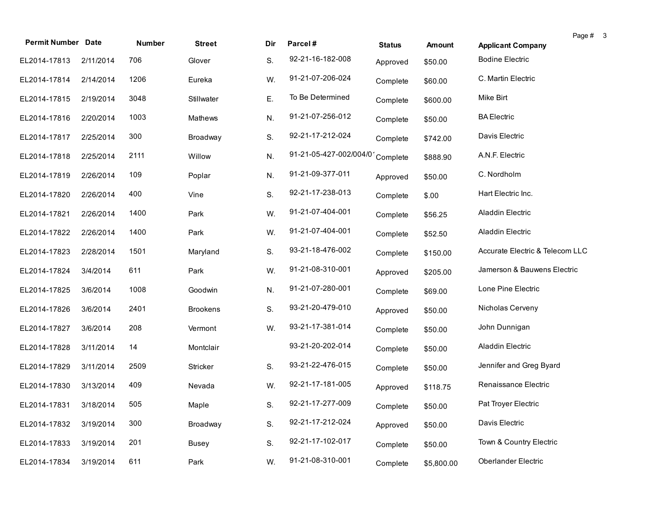| <b>Permit Number Date</b> |           | Number | <b>Street</b>   | Dir | Parcel#                | <b>Status</b> | Amount     | <b>Applicant Company</b>        | Page # 3 |  |
|---------------------------|-----------|--------|-----------------|-----|------------------------|---------------|------------|---------------------------------|----------|--|
| EL2014-17813              | 2/11/2014 | 706    | Glover          | S.  | 92-21-16-182-008       | Approved      | \$50.00    | <b>Bodine Electric</b>          |          |  |
| EL2014-17814              | 2/14/2014 | 1206   | Eureka          | W.  | 91-21-07-206-024       | Complete      | \$60.00    | C. Martin Electric              |          |  |
| EL2014-17815              | 2/19/2014 | 3048   | Stillwater      | Ε.  | To Be Determined       | Complete      | \$600.00   | Mike Birt                       |          |  |
| EL2014-17816              | 2/20/2014 | 1003   | <b>Mathews</b>  | N.  | 91-21-07-256-012       | Complete      | \$50.00    | <b>BA</b> Electric              |          |  |
| EL2014-17817              | 2/25/2014 | 300    | Broadway        | S.  | 92-21-17-212-024       | Complete      | \$742.00   | Davis Electric                  |          |  |
| EL2014-17818              | 2/25/2014 | 2111   | Willow          | N.  | 91-21-05-427-002/004/0 | Complete      | \$888.90   | A.N.F. Electric                 |          |  |
| EL2014-17819              | 2/26/2014 | 109    | Poplar          | N.  | 91-21-09-377-011       | Approved      | \$50.00    | C. Nordholm                     |          |  |
| EL2014-17820              | 2/26/2014 | 400    | Vine            | S.  | 92-21-17-238-013       | Complete      | \$.00      | Hart Electric Inc.              |          |  |
| EL2014-17821              | 2/26/2014 | 1400   | Park            | W.  | 91-21-07-404-001       | Complete      | \$56.25    | Aladdin Electric                |          |  |
| EL2014-17822              | 2/26/2014 | 1400   | Park            | W.  | 91-21-07-404-001       | Complete      | \$52.50    | Aladdin Electric                |          |  |
| EL2014-17823              | 2/28/2014 | 1501   | Maryland        | S.  | 93-21-18-476-002       | Complete      | \$150.00   | Accurate Electric & Telecom LLC |          |  |
| EL2014-17824              | 3/4/2014  | 611    | Park            | W.  | 91-21-08-310-001       | Approved      | \$205.00   | Jamerson & Bauwens Electric     |          |  |
| EL2014-17825              | 3/6/2014  | 1008   | Goodwin         | N.  | 91-21-07-280-001       | Complete      | \$69.00    | Lone Pine Electric              |          |  |
| EL2014-17826              | 3/6/2014  | 2401   | <b>Brookens</b> | S.  | 93-21-20-479-010       | Approved      | \$50.00    | Nicholas Cerveny                |          |  |
| EL2014-17827              | 3/6/2014  | 208    | Vermont         | W.  | 93-21-17-381-014       | Complete      | \$50.00    | John Dunnigan                   |          |  |
| EL2014-17828              | 3/11/2014 | 14     | Montclair       |     | 93-21-20-202-014       | Complete      | \$50.00    | Aladdin Electric                |          |  |
| EL2014-17829              | 3/11/2014 | 2509   | <b>Stricker</b> | S.  | 93-21-22-476-015       | Complete      | \$50.00    | Jennifer and Greg Byard         |          |  |
| EL2014-17830              | 3/13/2014 | 409    | Nevada          | W.  | 92-21-17-181-005       | Approved      | \$118.75   | Renaissance Electric            |          |  |
| EL2014-17831 3/18/2014    |           | 505    | Maple           | S.  | 92-21-17-277-009       | Complete      | \$50.00    | Pat Troyer Electric             |          |  |
| EL2014-17832              | 3/19/2014 | 300    | Broadway        | S.  | 92-21-17-212-024       | Approved      | \$50.00    | Davis Electric                  |          |  |
| EL2014-17833              | 3/19/2014 | 201    | <b>Busey</b>    | S.  | 92-21-17-102-017       | Complete      | \$50.00    | Town & Country Electric         |          |  |
| EL2014-17834              | 3/19/2014 | 611    | Park            | W.  | 91-21-08-310-001       | Complete      | \$5,800.00 | Oberlander Electric             |          |  |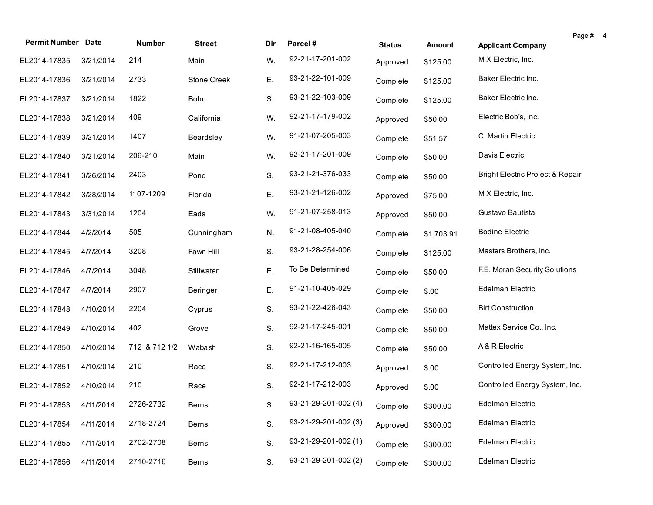| <b>Permit Number Date</b> |           | Number        | <b>Street</b> | Dir | Parcel#              | <b>Status</b> | Amount     | Page #<br><b>Applicant Company</b> | $\overline{4}$ |
|---------------------------|-----------|---------------|---------------|-----|----------------------|---------------|------------|------------------------------------|----------------|
| EL2014-17835              | 3/21/2014 | 214           | Main          | W.  | 92-21-17-201-002     | Approved      | \$125.00   | M X Electric, Inc.                 |                |
| EL2014-17836              | 3/21/2014 | 2733          | Stone Creek   | Ε.  | 93-21-22-101-009     | Complete      | \$125.00   | Baker Electric Inc.                |                |
| EL2014-17837              | 3/21/2014 | 1822          | Bohn          | S.  | 93-21-22-103-009     | Complete      | \$125.00   | Baker Electric Inc.                |                |
| EL2014-17838              | 3/21/2014 | 409           | California    | W.  | 92-21-17-179-002     | Approved      | \$50.00    | Electric Bob's, Inc.               |                |
| EL2014-17839              | 3/21/2014 | 1407          | Beardsley     | W.  | 91-21-07-205-003     | Complete      | \$51.57    | C. Martin Electric                 |                |
| EL2014-17840              | 3/21/2014 | 206-210       | Main          | W.  | 92-21-17-201-009     | Complete      | \$50.00    | Davis Electric                     |                |
| EL2014-17841              | 3/26/2014 | 2403          | Pond          | S.  | 93-21-21-376-033     | Complete      | \$50.00    | Bright Electric Project & Repair   |                |
| EL2014-17842              | 3/28/2014 | 1107-1209     | Florida       | Ε.  | 93-21-21-126-002     | Approved      | \$75.00    | M X Electric, Inc.                 |                |
| EL2014-17843              | 3/31/2014 | 1204          | Eads          | W.  | 91-21-07-258-013     | Approved      | \$50.00    | Gustavo Bautista                   |                |
| EL2014-17844              | 4/2/2014  | 505           | Cunningham    | N.  | 91-21-08-405-040     | Complete      | \$1,703.91 | <b>Bodine Electric</b>             |                |
| EL2014-17845              | 4/7/2014  | 3208          | Fawn Hill     | S.  | 93-21-28-254-006     | Complete      | \$125.00   | Masters Brothers, Inc.             |                |
| EL2014-17846              | 4/7/2014  | 3048          | Stillwater    | Ε.  | To Be Determined     | Complete      | \$50.00    | F.E. Moran Security Solutions      |                |
| EL2014-17847              | 4/7/2014  | 2907          | Beringer      | Ε.  | 91-21-10-405-029     | Complete      | \$.00      | Edelman Electric                   |                |
| EL2014-17848              | 4/10/2014 | 2204          | Cyprus        | S.  | 93-21-22-426-043     | Complete      | \$50.00    | <b>Birt Construction</b>           |                |
| EL2014-17849              | 4/10/2014 | 402           | Grove         | S.  | 92-21-17-245-001     | Complete      | \$50.00    | Mattex Service Co., Inc.           |                |
| EL2014-17850              | 4/10/2014 | 712 & 712 1/2 | Wabash        | S.  | 92-21-16-165-005     | Complete      | \$50.00    | A & R Electric                     |                |
| EL2014-17851              | 4/10/2014 | 210           | Race          | S.  | 92-21-17-212-003     | Approved      | \$.00      | Controlled Energy System, Inc.     |                |
| EL2014-17852              | 4/10/2014 | 210           | Race          | S.  | 92-21-17-212-003     | Approved      | \$.00      | Controlled Energy System, Inc.     |                |
| EL2014-17853 4/11/2014    |           | 2726-2732     | Berns         | S.  | 93-21-29-201-002 (4) | Complete      | \$300.00   | Edelman Electric                   |                |
| EL2014-17854              | 4/11/2014 | 2718-2724     | Berns         | S.  | 93-21-29-201-002 (3) | Approved      | \$300.00   | Edelman Electric                   |                |
| EL2014-17855              | 4/11/2014 | 2702-2708     | Berns         | S.  | 93-21-29-201-002 (1) | Complete      | \$300.00   | Edelman Electric                   |                |
| EL2014-17856              | 4/11/2014 | 2710-2716     | Berns         | S.  | 93-21-29-201-002 (2) | Complete      | \$300.00   | Edelman Electric                   |                |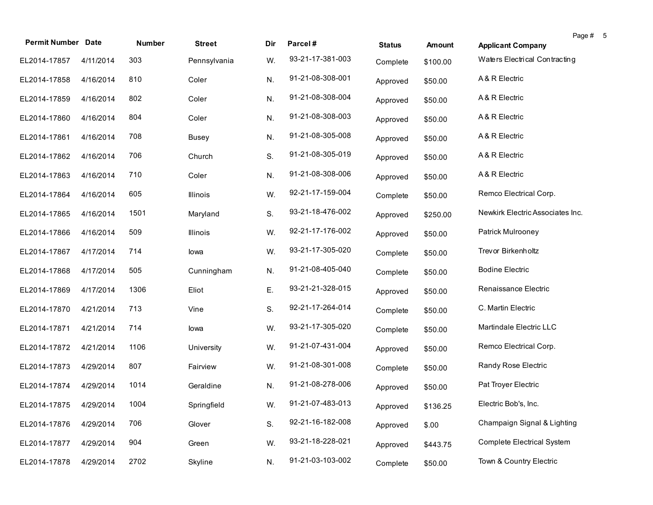| <b>Permit Number Date</b> |           | Number | <b>Street</b> | Dir | Parcel#          | <b>Status</b> | Amount   | <b>Applicant Company</b>          | Page #<br>5 |
|---------------------------|-----------|--------|---------------|-----|------------------|---------------|----------|-----------------------------------|-------------|
| EL2014-17857              | 4/11/2014 | 303    | Pennsylvania  | W.  | 93-21-17-381-003 | Complete      | \$100.00 | Waters Electrical Contracting     |             |
| EL2014-17858              | 4/16/2014 | 810    | Coler         | N.  | 91-21-08-308-001 | Approved      | \$50.00  | A & R Electric                    |             |
| EL2014-17859              | 4/16/2014 | 802    | Coler         | N.  | 91-21-08-308-004 | Approved      | \$50.00  | A & R Electric                    |             |
| EL2014-17860              | 4/16/2014 | 804    | Coler         | N.  | 91-21-08-308-003 | Approved      | \$50.00  | A & R Electric                    |             |
| EL2014-17861              | 4/16/2014 | 708    | <b>Busey</b>  | N.  | 91-21-08-305-008 | Approved      | \$50.00  | A & R Electric                    |             |
| EL2014-17862              | 4/16/2014 | 706    | Church        | S.  | 91-21-08-305-019 | Approved      | \$50.00  | A & R Electric                    |             |
| EL2014-17863              | 4/16/2014 | 710    | Coler         | N.  | 91-21-08-308-006 | Approved      | \$50.00  | A & R Electric                    |             |
| EL2014-17864              | 4/16/2014 | 605    | Illinois      | W.  | 92-21-17-159-004 | Complete      | \$50.00  | Remco Electrical Corp.            |             |
| EL2014-17865              | 4/16/2014 | 1501   | Maryland      | S.  | 93-21-18-476-002 | Approved      | \$250.00 | Newkirk Electric Associates Inc.  |             |
| EL2014-17866              | 4/16/2014 | 509    | Illinois      | W.  | 92-21-17-176-002 | Approved      | \$50.00  | Patrick Mulrooney                 |             |
| EL2014-17867              | 4/17/2014 | 714    | lowa          | W.  | 93-21-17-305-020 | Complete      | \$50.00  | Trevor Birkenholtz                |             |
| EL2014-17868              | 4/17/2014 | 505    | Cunningham    | N.  | 91-21-08-405-040 | Complete      | \$50.00  | <b>Bodine Electric</b>            |             |
| EL2014-17869              | 4/17/2014 | 1306   | Eliot         | Ε.  | 93-21-21-328-015 | Approved      | \$50.00  | Renaissance Electric              |             |
| EL2014-17870              | 4/21/2014 | 713    | Vine          | S.  | 92-21-17-264-014 | Complete      | \$50.00  | C. Martin Electric                |             |
| EL2014-17871              | 4/21/2014 | 714    | lowa          | W.  | 93-21-17-305-020 | Complete      | \$50.00  | Martindale Electric LLC           |             |
| EL2014-17872              | 4/21/2014 | 1106   | University    | W.  | 91-21-07-431-004 | Approved      | \$50.00  | Remco Electrical Corp.            |             |
| EL2014-17873              | 4/29/2014 | 807    | Fairview      | W.  | 91-21-08-301-008 | Complete      | \$50.00  | Randy Rose Electric               |             |
| EL2014-17874              | 4/29/2014 | 1014   | Geraldine     | N.  | 91-21-08-278-006 | Approved      | \$50.00  | Pat Troyer Electric               |             |
| EL2014-17875 4/29/2014    |           | 1004   | Springfield   | W.  | 91-21-07-483-013 | Approved      | \$136.25 | Electric Bob's, Inc.              |             |
| EL2014-17876              | 4/29/2014 | 706    | Glover        | S.  | 92-21-16-182-008 | Approved      | \$.00    | Champaign Signal & Lighting       |             |
| EL2014-17877              | 4/29/2014 | 904    | Green         | W.  | 93-21-18-228-021 | Approved      | \$443.75 | <b>Complete Electrical System</b> |             |
| EL2014-17878              | 4/29/2014 | 2702   | Skyline       | N.  | 91-21-03-103-002 | Complete      | \$50.00  | Town & Country Electric           |             |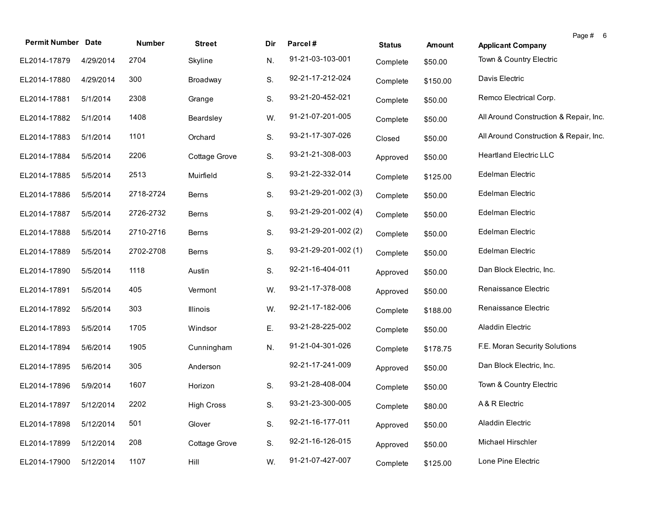| <b>Permit Number Date</b> |           | Number    | <b>Street</b>     | Dir | Parcel#              | <b>Status</b> | <b>Amount</b> | Page # 6<br><b>Applicant Company</b>   |
|---------------------------|-----------|-----------|-------------------|-----|----------------------|---------------|---------------|----------------------------------------|
| EL2014-17879              | 4/29/2014 | 2704      | Skyline           | N.  | 91-21-03-103-001     | Complete      | \$50.00       | Town & Country Electric                |
| EL2014-17880              | 4/29/2014 | 300       | Broadway          | S.  | 92-21-17-212-024     | Complete      | \$150.00      | Davis Electric                         |
| EL2014-17881              | 5/1/2014  | 2308      | Grange            | S.  | 93-21-20-452-021     | Complete      | \$50.00       | Remco Electrical Corp.                 |
| EL2014-17882              | 5/1/2014  | 1408      | Beardsley         | W.  | 91-21-07-201-005     | Complete      | \$50.00       | All Around Construction & Repair, Inc. |
| EL2014-17883              | 5/1/2014  | 1101      | Orchard           | S.  | 93-21-17-307-026     | Closed        | \$50.00       | All Around Construction & Repair, Inc. |
| EL2014-17884              | 5/5/2014  | 2206      | Cottage Grove     | S.  | 93-21-21-308-003     | Approved      | \$50.00       | <b>Heartland Electric LLC</b>          |
| EL2014-17885              | 5/5/2014  | 2513      | Muirfield         | S.  | 93-21-22-332-014     | Complete      | \$125.00      | Edelman Electric                       |
| EL2014-17886              | 5/5/2014  | 2718-2724 | Berns             | S.  | 93-21-29-201-002 (3) | Complete      | \$50.00       | Edelman Electric                       |
| EL2014-17887              | 5/5/2014  | 2726-2732 | Berns             | S.  | 93-21-29-201-002 (4) | Complete      | \$50.00       | Edelman Electric                       |
| EL2014-17888              | 5/5/2014  | 2710-2716 | Berns             | S.  | 93-21-29-201-002 (2) | Complete      | \$50.00       | Edelman Electric                       |
| EL2014-17889              | 5/5/2014  | 2702-2708 | Berns             | S.  | 93-21-29-201-002 (1) | Complete      | \$50.00       | Edelman Electric                       |
| EL2014-17890              | 5/5/2014  | 1118      | Austin            | S.  | 92-21-16-404-011     | Approved      | \$50.00       | Dan Block Electric, Inc.               |
| EL2014-17891              | 5/5/2014  | 405       | Vermont           | W.  | 93-21-17-378-008     | Approved      | \$50.00       | Renaissance Electric                   |
| EL2014-17892              | 5/5/2014  | 303       | Illinois          | W.  | 92-21-17-182-006     | Complete      | \$188.00      | Renaissance Electric                   |
| EL2014-17893              | 5/5/2014  | 1705      | Windsor           | Ε.  | 93-21-28-225-002     | Complete      | \$50.00       | Aladdin Electric                       |
| EL2014-17894              | 5/6/2014  | 1905      | Cunningham        | N.  | 91-21-04-301-026     | Complete      | \$178.75      | F.E. Moran Security Solutions          |
| EL2014-17895              | 5/6/2014  | 305       | Anderson          |     | 92-21-17-241-009     | Approved      | \$50.00       | Dan Block Electric, Inc.               |
| EL2014-17896              | 5/9/2014  | 1607      | Horizon           | S.  | 93-21-28-408-004     | Complete      | \$50.00       | Town & Country Electric                |
| EL2014-17897 5/12/2014    |           | 2202      | <b>High Cross</b> | S.  | 93-21-23-300-005     | Complete      | \$80.00       | A& R Electric                          |
| EL2014-17898              | 5/12/2014 | 501       | Glover            | S.  | 92-21-16-177-011     | Approved      | \$50.00       | Aladdin Electric                       |
| EL2014-17899              | 5/12/2014 | 208       | Cottage Grove     | S.  | 92-21-16-126-015     | Approved      | \$50.00       | Michael Hirschler                      |
| EL2014-17900              | 5/12/2014 | 1107      | Hill              | W.  | 91-21-07-427-007     | Complete      | \$125.00      | Lone Pine Electric                     |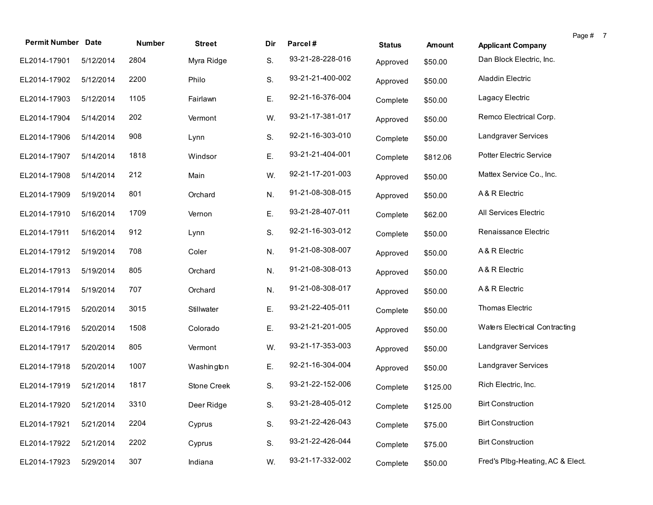| <b>Permit Number Date</b> |           | Number | <b>Street</b> | Dir | Parcel#          |               |          |                                  | Page # 7 |
|---------------------------|-----------|--------|---------------|-----|------------------|---------------|----------|----------------------------------|----------|
|                           |           |        |               |     | 93-21-28-228-016 | <b>Status</b> | Amount   | <b>Applicant Company</b>         |          |
| EL2014-17901              | 5/12/2014 | 2804   | Myra Ridge    | S.  |                  | Approved      | \$50.00  | Dan Block Electric, Inc.         |          |
| EL2014-17902              | 5/12/2014 | 2200   | Philo         | S.  | 93-21-21-400-002 | Approved      | \$50.00  | Aladdin Electric                 |          |
| EL2014-17903              | 5/12/2014 | 1105   | Fairlawn      | Ε.  | 92-21-16-376-004 | Complete      | \$50.00  | Lagacy Electric                  |          |
| EL2014-17904              | 5/14/2014 | 202    | Vermont       | W.  | 93-21-17-381-017 | Approved      | \$50.00  | Remco Electrical Corp.           |          |
| EL2014-17906              | 5/14/2014 | 908    | Lynn          | S.  | 92-21-16-303-010 | Complete      | \$50.00  | Landgraver Services              |          |
| EL2014-17907              | 5/14/2014 | 1818   | Windsor       | Ε.  | 93-21-21-404-001 | Complete      | \$812.06 | Potter Electric Service          |          |
| EL2014-17908              | 5/14/2014 | 212    | Main          | W.  | 92-21-17-201-003 | Approved      | \$50.00  | Mattex Service Co., Inc.         |          |
| EL2014-17909              | 5/19/2014 | 801    | Orchard       | N.  | 91-21-08-308-015 | Approved      | \$50.00  | A & R Electric                   |          |
| EL2014-17910              | 5/16/2014 | 1709   | Vernon        | Ε.  | 93-21-28-407-011 | Complete      | \$62.00  | All Services Electric            |          |
| EL2014-17911              | 5/16/2014 | 912    | Lynn          | S.  | 92-21-16-303-012 | Complete      | \$50.00  | Renaissance Electric             |          |
| EL2014-17912              | 5/19/2014 | 708    | Coler         | N.  | 91-21-08-308-007 | Approved      | \$50.00  | A & R Electric                   |          |
| EL2014-17913              | 5/19/2014 | 805    | Orchard       | N.  | 91-21-08-308-013 | Approved      | \$50.00  | A & R Electric                   |          |
| EL2014-17914              | 5/19/2014 | 707    | Orchard       | N.  | 91-21-08-308-017 | Approved      | \$50.00  | A & R Electric                   |          |
| EL2014-17915              | 5/20/2014 | 3015   | Stillwater    | Е.  | 93-21-22-405-011 | Complete      | \$50.00  | Thomas Electric                  |          |
| EL2014-17916              | 5/20/2014 | 1508   | Colorado      | Ε.  | 93-21-21-201-005 | Approved      | \$50.00  | Waters Electrical Contracting    |          |
| EL2014-17917              | 5/20/2014 | 805    | Vermont       | W.  | 93-21-17-353-003 | Approved      | \$50.00  | Landgraver Services              |          |
| EL2014-17918              | 5/20/2014 | 1007   | Washington    | Ε.  | 92-21-16-304-004 | Approved      | \$50.00  | Landgraver Services              |          |
| EL2014-17919              | 5/21/2014 | 1817   | Stone Creek   | S.  | 93-21-22-152-006 | Complete      | \$125.00 | Rich Electric, Inc.              |          |
| EL2014-17920 5/21/2014    |           | 3310   | Deer Ridge    | S.  | 93-21-28-405-012 | Complete      | \$125.00 | <b>Birt Construction</b>         |          |
| EL2014-17921              | 5/21/2014 | 2204   | Cyprus        | S.  | 93-21-22-426-043 | Complete      | \$75.00  | <b>Birt Construction</b>         |          |
| EL2014-17922              | 5/21/2014 | 2202   | Cyprus        | S.  | 93-21-22-426-044 | Complete      | \$75.00  | <b>Birt Construction</b>         |          |
| EL2014-17923              | 5/29/2014 | 307    | Indiana       | W.  | 93-21-17-332-002 | Complete      | \$50.00  | Fred's Plbg-Heating, AC & Elect. |          |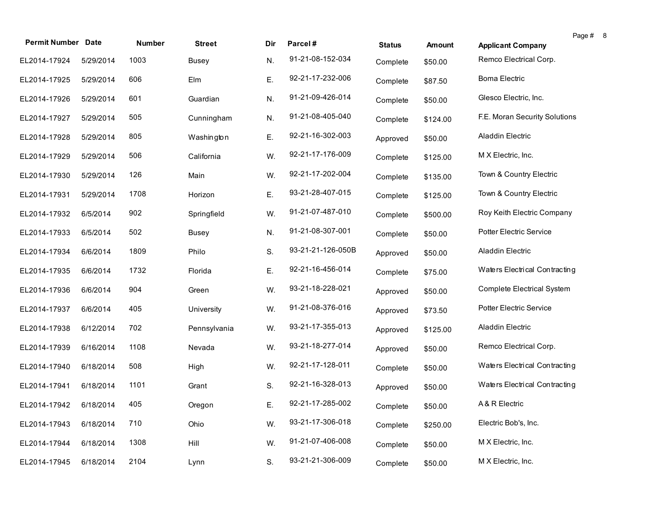| <b>Permit Number Date</b> |           | Number | <b>Street</b> | Dir | Parcel#           | <b>Status</b> | Amount   | <b>Applicant Company</b>          | Page # 8 |  |
|---------------------------|-----------|--------|---------------|-----|-------------------|---------------|----------|-----------------------------------|----------|--|
| EL2014-17924              | 5/29/2014 | 1003   | <b>Busey</b>  | N.  | 91-21-08-152-034  | Complete      | \$50.00  | Remco Electrical Corp.            |          |  |
| EL2014-17925              | 5/29/2014 | 606    | Elm           | Ε.  | 92-21-17-232-006  | Complete      | \$87.50  | Boma Electric                     |          |  |
| EL2014-17926              | 5/29/2014 | 601    | Guardian      | N.  | 91-21-09-426-014  | Complete      | \$50.00  | Glesco Electric, Inc.             |          |  |
| EL2014-17927              | 5/29/2014 | 505    | Cunningham    | N.  | 91-21-08-405-040  | Complete      | \$124.00 | F.E. Moran Security Solutions     |          |  |
| EL2014-17928              | 5/29/2014 | 805    | Washington    | Ε.  | 92-21-16-302-003  | Approved      | \$50.00  | Aladdin Electric                  |          |  |
| EL2014-17929              | 5/29/2014 | 506    | California    | W.  | 92-21-17-176-009  | Complete      | \$125.00 | M X Electric, Inc.                |          |  |
| EL2014-17930              | 5/29/2014 | 126    | Main          | W.  | 92-21-17-202-004  | Complete      | \$135.00 | Town & Country Electric           |          |  |
| EL2014-17931              | 5/29/2014 | 1708   | Horizon       | Ε.  | 93-21-28-407-015  | Complete      | \$125.00 | Town & Country Electric           |          |  |
| EL2014-17932              | 6/5/2014  | 902    | Springfield   | W.  | 91-21-07-487-010  | Complete      | \$500.00 | Roy Keith Electric Company        |          |  |
| EL2014-17933              | 6/5/2014  | 502    | <b>Busey</b>  | N.  | 91-21-08-307-001  | Complete      | \$50.00  | Potter Electric Service           |          |  |
| EL2014-17934              | 6/6/2014  | 1809   | Philo         | S.  | 93-21-21-126-050B | Approved      | \$50.00  | Aladdin Electric                  |          |  |
| EL2014-17935              | 6/6/2014  | 1732   | Florida       | Ε.  | 92-21-16-456-014  | Complete      | \$75.00  | Waters Electrical Contracting     |          |  |
| EL2014-17936              | 6/6/2014  | 904    | Green         | W.  | 93-21-18-228-021  | Approved      | \$50.00  | <b>Complete Electrical System</b> |          |  |
| EL2014-17937              | 6/6/2014  | 405    | University    | W.  | 91-21-08-376-016  | Approved      | \$73.50  | <b>Potter Electric Service</b>    |          |  |
| EL2014-17938              | 6/12/2014 | 702    | Pennsylvania  | W.  | 93-21-17-355-013  | Approved      | \$125.00 | Aladdin Electric                  |          |  |
| EL2014-17939              | 6/16/2014 | 1108   | Nevada        | W.  | 93-21-18-277-014  | Approved      | \$50.00  | Remco Electrical Corp.            |          |  |
| EL2014-17940              | 6/18/2014 | 508    | High          | W.  | 92-21-17-128-011  | Complete      | \$50.00  | Waters Electrical Contracting     |          |  |
| EL2014-17941              | 6/18/2014 | 1101   | Grant         | S.  | 92-21-16-328-013  | Approved      | \$50.00  | Waters Electrical Contracting     |          |  |
| EL2014-17942 6/18/2014    |           | 405    | Oregon        | Е.  | 92-21-17-285-002  | Complete      | \$50.00  | A & R Electric                    |          |  |
| EL2014-17943              | 6/18/2014 | 710    | Ohio          | W.  | 93-21-17-306-018  | Complete      | \$250.00 | Electric Bob's, Inc.              |          |  |
| EL2014-17944              | 6/18/2014 | 1308   | Hill          | W.  | 91-21-07-406-008  | Complete      | \$50.00  | M X Electric, Inc.                |          |  |
| EL2014-17945              | 6/18/2014 | 2104   | Lynn          | S.  | 93-21-21-306-009  | Complete      | \$50.00  | M X Electric, Inc.                |          |  |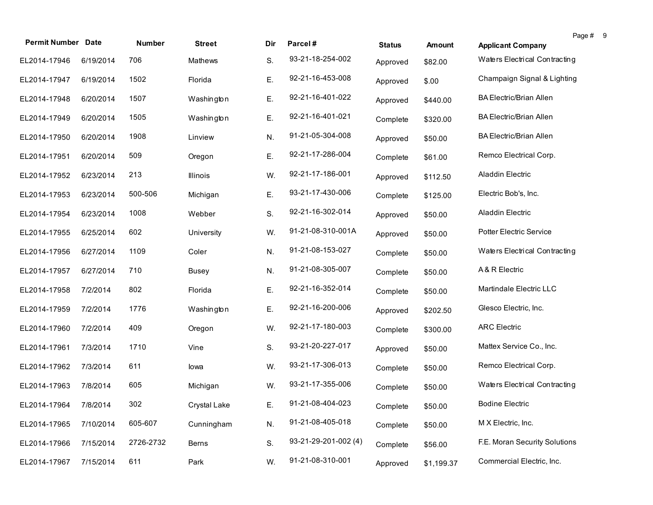| <b>Permit Number Date</b> |           | Number    | <b>Street</b>   | Dir | Parcel#              | <b>Status</b> | Amount     |                                | Page # | -9 |
|---------------------------|-----------|-----------|-----------------|-----|----------------------|---------------|------------|--------------------------------|--------|----|
|                           |           |           |                 |     | 93-21-18-254-002     |               |            | <b>Applicant Company</b>       |        |    |
| EL2014-17946              | 6/19/2014 | 706       | Mathews         | S.  |                      | Approved      | \$82.00    | Waters Electrical Contracting  |        |    |
| EL2014-17947              | 6/19/2014 | 1502      | Florida         | Ε.  | 92-21-16-453-008     | Approved      | \$.00      | Champaign Signal & Lighting    |        |    |
| EL2014-17948              | 6/20/2014 | 1507      | Washington      | Ε.  | 92-21-16-401-022     | Approved      | \$440.00   | <b>BA Electric/Brian Allen</b> |        |    |
| EL2014-17949              | 6/20/2014 | 1505      | Washington      | Ε.  | 92-21-16-401-021     | Complete      | \$320.00   | <b>BA Electric/Brian Allen</b> |        |    |
| EL2014-17950              | 6/20/2014 | 1908      | Linview         | N.  | 91-21-05-304-008     | Approved      | \$50.00    | <b>BA Electric/Brian Allen</b> |        |    |
| EL2014-17951              | 6/20/2014 | 509       | Oregon          | Ε.  | 92-21-17-286-004     | Complete      | \$61.00    | Remco Electrical Corp.         |        |    |
| EL2014-17952              | 6/23/2014 | 213       | <b>Illinois</b> | W.  | 92-21-17-186-001     | Approved      | \$112.50   | Aladdin Electric               |        |    |
| EL2014-17953              | 6/23/2014 | 500-506   | Michigan        | Ε.  | 93-21-17-430-006     | Complete      | \$125.00   | Electric Bob's, Inc.           |        |    |
| EL2014-17954              | 6/23/2014 | 1008      | Webber          | S.  | 92-21-16-302-014     | Approved      | \$50.00    | Aladdin Electric               |        |    |
| EL2014-17955              | 6/25/2014 | 602       | University      | W.  | 91-21-08-310-001A    | Approved      | \$50.00    | Potter Electric Service        |        |    |
| EL2014-17956              | 6/27/2014 | 1109      | Coler           | N.  | 91-21-08-153-027     | Complete      | \$50.00    | Waters Electrical Contracting  |        |    |
| EL2014-17957              | 6/27/2014 | 710       | <b>Busey</b>    | N.  | 91-21-08-305-007     | Complete      | \$50.00    | A & R Electric                 |        |    |
| EL2014-17958              | 7/2/2014  | 802       | Florida         | Ε.  | 92-21-16-352-014     | Complete      | \$50.00    | Martindale Electric LLC        |        |    |
| EL2014-17959              | 7/2/2014  | 1776      | Washington      | Е.  | 92-21-16-200-006     | Approved      | \$202.50   | Glesco Electric, Inc.          |        |    |
| EL2014-17960              | 7/2/2014  | 409       | Oregon          | W.  | 92-21-17-180-003     | Complete      | \$300.00   | <b>ARC Electric</b>            |        |    |
| EL2014-17961              | 7/3/2014  | 1710      | Vine            | S.  | 93-21-20-227-017     | Approved      | \$50.00    | Mattex Service Co., Inc.       |        |    |
| EL2014-17962              | 7/3/2014  | 611       | lowa            | W.  | 93-21-17-306-013     | Complete      | \$50.00    | Remco Electrical Corp.         |        |    |
| EL2014-17963              | 7/8/2014  | 605       | Michigan        | W.  | 93-21-17-355-006     | Complete      | \$50.00    | Waters Electrical Contracting  |        |    |
| EL2014-17964 7/8/2014     |           | 302       | Crystal Lake    | Е.  | 91-21-08-404-023     | Complete      | \$50.00    | <b>Bodine Electric</b>         |        |    |
| EL2014-17965              | 7/10/2014 | 605-607   | Cunningham      | N.  | 91-21-08-405-018     | Complete      | \$50.00    | M X Electric, Inc.             |        |    |
| EL2014-17966              | 7/15/2014 | 2726-2732 | Berns           | S.  | 93-21-29-201-002 (4) | Complete      | \$56.00    | F.E. Moran Security Solutions  |        |    |
| EL2014-17967              | 7/15/2014 | 611       | Park            | W.  | 91-21-08-310-001     | Approved      | \$1,199.37 | Commercial Electric, Inc.      |        |    |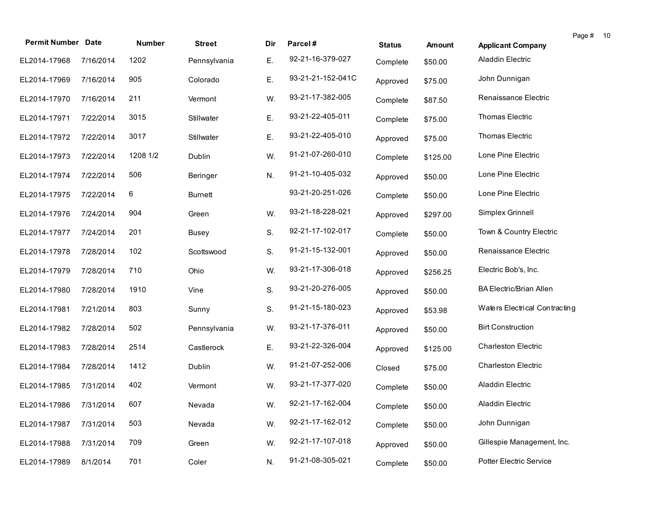| <b>Permit Number Date</b> |           | Number   | <b>Street</b>  | Dir | Parcel#           | <b>Status</b> | <b>Amount</b> | <b>Applicant Company</b>       | Page # 10 |  |
|---------------------------|-----------|----------|----------------|-----|-------------------|---------------|---------------|--------------------------------|-----------|--|
| EL2014-17968              | 7/16/2014 | 1202     | Pennsylvania   | Ε.  | 92-21-16-379-027  | Complete      | \$50.00       | Aladdin Electric               |           |  |
| EL2014-17969              | 7/16/2014 | 905      | Colorado       | Ε.  | 93-21-21-152-041C | Approved      | \$75.00       | John Dunnigan                  |           |  |
| EL2014-17970              | 7/16/2014 | 211      | Vermont        | W.  | 93-21-17-382-005  | Complete      | \$87.50       | Renaissance Electric           |           |  |
| EL2014-17971              | 7/22/2014 | 3015     | Stillwater     | Ε.  | 93-21-22-405-011  | Complete      | \$75.00       | Thomas Electric                |           |  |
| EL2014-17972              | 7/22/2014 | 3017     | Stillwater     | Ε.  | 93-21-22-405-010  | Approved      | \$75.00       | Thomas Electric                |           |  |
| EL2014-17973              | 7/22/2014 | 1208 1/2 | Dublin         | W.  | 91-21-07-260-010  | Complete      | \$125.00      | Lone Pine Electric             |           |  |
| EL2014-17974              | 7/22/2014 | 506      | Beringer       | N.  | 91-21-10-405-032  | Approved      | \$50.00       | Lone Pine Electric             |           |  |
| EL2014-17975              | 7/22/2014 | 6        | <b>Burnett</b> |     | 93-21-20-251-026  | Complete      | \$50.00       | Lone Pine Electric             |           |  |
| EL2014-17976              | 7/24/2014 | 904      | Green          | W.  | 93-21-18-228-021  | Approved      | \$297.00      | Simplex Grinnell               |           |  |
| EL2014-17977              | 7/24/2014 | 201      | <b>Busey</b>   | S.  | 92-21-17-102-017  | Complete      | \$50.00       | Town & Country Electric        |           |  |
| EL2014-17978              | 7/28/2014 | 102      | Scottswood     | S.  | 91-21-15-132-001  | Approved      | \$50.00       | Renaissance Electric           |           |  |
| EL2014-17979              | 7/28/2014 | 710      | Ohio           | W.  | 93-21-17-306-018  | Approved      | \$256.25      | Electric Bob's, Inc.           |           |  |
| EL2014-17980              | 7/28/2014 | 1910     | Vine           | S.  | 93-21-20-276-005  | Approved      | \$50.00       | <b>BA Electric/Brian Allen</b> |           |  |
| EL2014-17981              | 7/21/2014 | 803      | Sunny          | S.  | 91-21-15-180-023  | Approved      | \$53.98       | Waters Electrical Contracting  |           |  |
| EL2014-17982              | 7/28/2014 | 502      | Pennsylvania   | W.  | 93-21-17-376-011  | Approved      | \$50.00       | <b>Birt Construction</b>       |           |  |
| EL2014-17983              | 7/28/2014 | 2514     | Castlerock     | Ε.  | 93-21-22-326-004  | Approved      | \$125.00      | <b>Charleston Electric</b>     |           |  |
| EL2014-17984              | 7/28/2014 | 1412     | Dublin         | W.  | 91-21-07-252-006  | Closed        | \$75.00       | <b>Charleston Electric</b>     |           |  |
| EL2014-17985              | 7/31/2014 | 402      | Vermont        | W.  | 93-21-17-377-020  | Complete      | \$50.00       | Aladdin Electric               |           |  |
| EL2014-17986 7/31/2014    |           | 607      | Nevada         | W.  | 92-21-17-162-004  | Complete      | \$50.00       | Aladdin Electric               |           |  |
| EL2014-17987              | 7/31/2014 | 503      | Nevada         | W.  | 92-21-17-162-012  | Complete      | \$50.00       | John Dunnigan                  |           |  |
| EL2014-17988              | 7/31/2014 | 709      | Green          | W.  | 92-21-17-107-018  | Approved      | \$50.00       | Gillespie Management, Inc.     |           |  |
| EL2014-17989              | 8/1/2014  | 701      | Coler          | N.  | 91-21-08-305-021  | Complete      | \$50.00       | Potter Electric Service        |           |  |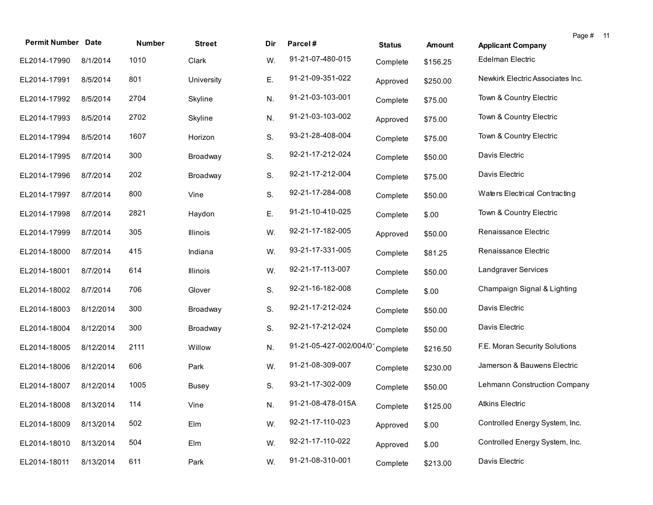| <b>Permit Number Date</b> |           | Number | <b>Street</b> | Dir | Parcel#                 | <b>Status</b> | Amount   | <b>Applicant Company</b>         | Page # 11 |  |
|---------------------------|-----------|--------|---------------|-----|-------------------------|---------------|----------|----------------------------------|-----------|--|
| EL2014-17990              | 8/1/2014  | 1010   | Clark         | W.  | 91-21-07-480-015        | Complete      | \$156.25 | Edelman Electric                 |           |  |
| EL2014-17991              | 8/5/2014  | 801    | University    | Ε.  | 91-21-09-351-022        | Approved      | \$250.00 | Newkirk Electric Associates Inc. |           |  |
| EL2014-17992              | 8/5/2014  | 2704   | Skyline       | N.  | 91-21-03-103-001        | Complete      | \$75.00  | Town & Country Electric          |           |  |
| EL2014-17993              | 8/5/2014  | 2702   | Skyline       | N.  | 91-21-03-103-002        | Approved      | \$75.00  | Town & Country Electric          |           |  |
| EL2014-17994              | 8/5/2014  | 1607   | Horizon       | S.  | 93-21-28-408-004        | Complete      | \$75.00  | Town & Country Electric          |           |  |
| EL2014-17995              | 8/7/2014  | 300    | Broadway      | S.  | 92-21-17-212-024        | Complete      | \$50.00  | Davis Electric                   |           |  |
| EL2014-17996              | 8/7/2014  | 202    | Broadway      | S.  | 92-21-17-212-004        | Complete      | \$75.00  | Davis Electric                   |           |  |
| EL2014-17997              | 8/7/2014  | 800    | Vine          | S.  | 92-21-17-284-008        | Complete      | \$50.00  | Waters Electrical Contracting    |           |  |
| EL2014-17998              | 8/7/2014  | 2821   | Haydon        | Ε.  | 91-21-10-410-025        | Complete      | \$.00    | Town & Country Electric          |           |  |
| EL2014-17999              | 8/7/2014  | 305    | Illinois      | W.  | 92-21-17-182-005        | Approved      | \$50.00  | Renaissance Electric             |           |  |
| EL2014-18000              | 8/7/2014  | 415    | Indiana       | W.  | 93-21-17-331-005        | Complete      | \$81.25  | Renaissance Electric             |           |  |
| EL2014-18001              | 8/7/2014  | 614    | Illinois      | W.  | 92-21-17-113-007        | Complete      | \$50.00  | Landgraver Services              |           |  |
| EL2014-18002              | 8/7/2014  | 706    | Glover        | S.  | 92-21-16-182-008        | Complete      | \$.00    | Champaign Signal & Lighting      |           |  |
| EL2014-18003              | 8/12/2014 | 300    | Broadway      | S.  | 92-21-17-212-024        | Complete      | \$50.00  | Davis Electric                   |           |  |
| EL2014-18004              | 8/12/2014 | 300    | Broadway      | S.  | 92-21-17-212-024        | Complete      | \$50.00  | Davis Electric                   |           |  |
| EL2014-18005              | 8/12/2014 | 2111   | Willow        | N.  | 91-21-05-427-002/004/01 | Complete      | \$216.50 | F.E. Moran Security Solutions    |           |  |
| EL2014-18006              | 8/12/2014 | 606    | Park          | W.  | 91-21-08-309-007        | Complete      | \$230.00 | Jamerson & Bauwens Electric      |           |  |
| EL2014-18007              | 8/12/2014 | 1005   | <b>Busey</b>  | S.  | 93-21-17-302-009        | Complete      | \$50.00  | Lehmann Construction Company     |           |  |
| EL2014-18008 8/13/2014    |           | 114    | Vine          | N.  | 91-21-08-478-015A       | Complete      | \$125.00 | <b>Atkins Electric</b>           |           |  |
| EL2014-18009              | 8/13/2014 | 502    | Elm           | W.  | 92-21-17-110-023        | Approved      | \$.00    | Controlled Energy System, Inc.   |           |  |
| EL2014-18010              | 8/13/2014 | 504    | Elm           | W.  | 92-21-17-110-022        | Approved      | \$.00    | Controlled Energy System, Inc.   |           |  |
| EL2014-18011              | 8/13/2014 | 611    | Park          | W.  | 91-21-08-310-001        | Complete      | \$213.00 | Davis Electric                   |           |  |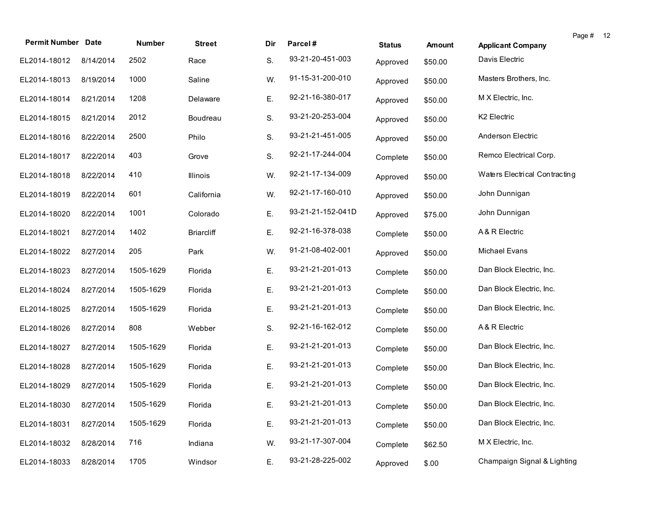| <b>Permit Number Date</b> |           | Number    | <b>Street</b>     | Dir | Parcel#           | <b>Status</b> | <b>Amount</b> | Page #<br>-12<br><b>Applicant Company</b> |
|---------------------------|-----------|-----------|-------------------|-----|-------------------|---------------|---------------|-------------------------------------------|
| EL2014-18012              | 8/14/2014 | 2502      | Race              | S.  | 93-21-20-451-003  | Approved      | \$50.00       | Davis Electric                            |
| EL2014-18013              | 8/19/2014 | 1000      | Saline            | W.  | 91-15-31-200-010  | Approved      | \$50.00       | Masters Brothers, Inc.                    |
| EL2014-18014              | 8/21/2014 | 1208      | Delaware          | Ε.  | 92-21-16-380-017  | Approved      | \$50.00       | M X Electric, Inc.                        |
| EL2014-18015              | 8/21/2014 | 2012      | Boudreau          | S.  | 93-21-20-253-004  | Approved      | \$50.00       | K2 Electric                               |
| EL2014-18016              | 8/22/2014 | 2500      | Philo             | S.  | 93-21-21-451-005  | Approved      | \$50.00       | Anderson Electric                         |
| EL2014-18017              | 8/22/2014 | 403       | Grove             | S.  | 92-21-17-244-004  | Complete      | \$50.00       | Remco Electrical Corp.                    |
| EL2014-18018              | 8/22/2014 | 410       | Illinois          | W.  | 92-21-17-134-009  | Approved      | \$50.00       | Waters Electrical Contracting             |
| EL2014-18019              | 8/22/2014 | 601       | California        | W.  | 92-21-17-160-010  | Approved      | \$50.00       | John Dunnigan                             |
| EL2014-18020              | 8/22/2014 | 1001      | Colorado          | Ε.  | 93-21-21-152-041D | Approved      | \$75.00       | John Dunnigan                             |
| EL2014-18021              | 8/27/2014 | 1402      | <b>Briarcliff</b> | Ε.  | 92-21-16-378-038  | Complete      | \$50.00       | A & R Electric                            |
| EL2014-18022              | 8/27/2014 | 205       | Park              | W.  | 91-21-08-402-001  | Approved      | \$50.00       | Michael Evans                             |
| EL2014-18023              | 8/27/2014 | 1505-1629 | Florida           | Ε.  | 93-21-21-201-013  | Complete      | \$50.00       | Dan Block Electric, Inc.                  |
| EL2014-18024              | 8/27/2014 | 1505-1629 | Florida           | Ε.  | 93-21-21-201-013  | Complete      | \$50.00       | Dan Block Electric, Inc.                  |
| EL2014-18025              | 8/27/2014 | 1505-1629 | Florida           | Ε.  | 93-21-21-201-013  | Complete      | \$50.00       | Dan Block Electric, Inc.                  |
| EL2014-18026              | 8/27/2014 | 808       | Webber            | S.  | 92-21-16-162-012  | Complete      | \$50.00       | A & R Electric                            |
| EL2014-18027              | 8/27/2014 | 1505-1629 | Florida           | Ε.  | 93-21-21-201-013  | Complete      | \$50.00       | Dan Block Electric, Inc.                  |
| EL2014-18028              | 8/27/2014 | 1505-1629 | Florida           | Ε.  | 93-21-21-201-013  | Complete      | \$50.00       | Dan Block Electric, Inc.                  |
| EL2014-18029              | 8/27/2014 | 1505-1629 | Florida           | Ε.  | 93-21-21-201-013  | Complete      | \$50.00       | Dan Block Electric, Inc.                  |
| EL2014-18030 8/27/2014    |           | 1505-1629 | Florida           | Ε.  | 93-21-21-201-013  | Complete      | \$50.00       | Dan Block Electric, Inc.                  |
| EL2014-18031              | 8/27/2014 | 1505-1629 | Florida           | Ε.  | 93-21-21-201-013  | Complete      | \$50.00       | Dan Block Electric, Inc.                  |
| EL2014-18032              | 8/28/2014 | 716       | Indiana           | W.  | 93-21-17-307-004  | Complete      | \$62.50       | M X Electric, Inc.                        |
| EL2014-18033              | 8/28/2014 | 1705      | Windsor           | Ε.  | 93-21-28-225-002  | Approved      | \$.00         | Champaign Signal & Lighting               |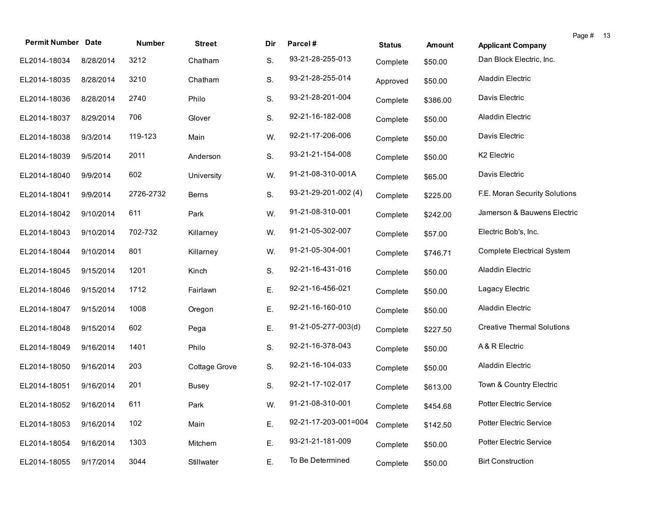| <b>Permit Number Date</b> |           | Number    | <b>Street</b> | Dir | Parcel#              | <b>Status</b> | <b>Amount</b> | Page # 13<br><b>Applicant Company</b> |
|---------------------------|-----------|-----------|---------------|-----|----------------------|---------------|---------------|---------------------------------------|
| EL2014-18034              | 8/28/2014 | 3212      | Chatham       | S.  | 93-21-28-255-013     | Complete      | \$50.00       | Dan Block Electric, Inc.              |
| EL2014-18035              | 8/28/2014 | 3210      | Chatham       | S.  | 93-21-28-255-014     | Approved      | \$50.00       | Aladdin Electric                      |
| EL2014-18036              | 8/28/2014 | 2740      | Philo         | S.  | 93-21-28-201-004     | Complete      | \$386.00      | Davis Electric                        |
| EL2014-18037              | 8/29/2014 | 706       | Glover        | S.  | 92-21-16-182-008     | Complete      | \$50.00       | Aladdin Electric                      |
| EL2014-18038              | 9/3/2014  | 119-123   | Main          | W.  | 92-21-17-206-006     | Complete      | \$50.00       | Davis Electric                        |
| EL2014-18039              | 9/5/2014  | 2011      | Anderson      | S.  | 93-21-21-154-008     | Complete      | \$50.00       | K <sub>2</sub> Electric               |
| EL2014-18040              | 9/9/2014  | 602       | University    | W.  | 91-21-08-310-001A    | Complete      | \$65.00       | Davis Electric                        |
| EL2014-18041              | 9/9/2014  | 2726-2732 | Berns         | S.  | 93-21-29-201-002 (4) | Complete      | \$225.00      | F.E. Moran Security Solutions         |
| EL2014-18042              | 9/10/2014 | 611       | Park          | W.  | 91-21-08-310-001     | Complete      | \$242.00      | Jamerson & Bauwens Electric           |
| EL2014-18043              | 9/10/2014 | 702-732   | Killarney     | W.  | 91-21-05-302-007     | Complete      | \$57.00       | Electric Bob's, Inc.                  |
| EL2014-18044              | 9/10/2014 | 801       | Killarney     | W.  | 91-21-05-304-001     | Complete      | \$746.71      | <b>Complete Electrical System</b>     |
| EL2014-18045              | 9/15/2014 | 1201      | Kinch         | S.  | 92-21-16-431-016     | Complete      | \$50.00       | Aladdin Electric                      |
| EL2014-18046              | 9/15/2014 | 1712      | Fairlawn      | Ε.  | 92-21-16-456-021     | Complete      | \$50.00       | Lagacy Electric                       |
| EL2014-18047              | 9/15/2014 | 1008      | Oregon        | Ε.  | 92-21-16-160-010     | Complete      | \$50.00       | Aladdin Electric                      |
| EL2014-18048              | 9/15/2014 | 602       | Pega          | Ε.  | 91-21-05-277-003(d)  | Complete      | \$227.50      | <b>Creative Thermal Solutions</b>     |
| EL2014-18049              | 9/16/2014 | 1401      | Philo         | S.  | 92-21-16-378-043     | Complete      | \$50.00       | A & R Electric                        |
| EL2014-18050              | 9/16/2014 | 203       | Cottage Grove | S.  | 92-21-16-104-033     | Complete      | \$50.00       | Aladdin Electric                      |
| EL2014-18051              | 9/16/2014 | 201       | Busey         | S.  | 92-21-17-102-017     | Complete      | \$613.00      | Town & Country Electric               |
| EL2014-18052 9/16/2014    |           | 611       | Park          | W.  | 91-21-08-310-001     | Complete      | \$454.68      | Potter Electric Service               |
| EL2014-18053              | 9/16/2014 | 102       | Main          | Ε.  | 92-21-17-203-001=004 | Complete      | \$142.50      | Potter Electric Service               |
| EL2014-18054              | 9/16/2014 | 1303      | Mitchem       | Ε.  | 93-21-21-181-009     | Complete      | \$50.00       | Potter Electric Service               |
| EL2014-18055              | 9/17/2014 | 3044      | Stillwater    | Ε.  | To Be Determined     | Complete      | \$50.00       | <b>Birt Construction</b>              |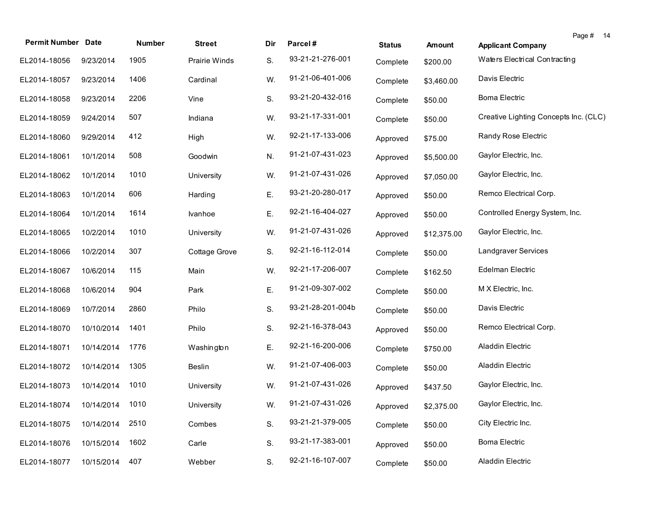| <b>Permit Number Date</b>    |            | Number | <b>Street</b> | Dir | Parcel#           | <b>Status</b> | <b>Amount</b> | Page # 14<br><b>Applicant Company</b> |
|------------------------------|------------|--------|---------------|-----|-------------------|---------------|---------------|---------------------------------------|
| EL2014-18056                 | 9/23/2014  | 1905   | Prairie Winds | S.  | 93-21-21-276-001  | Complete      | \$200.00      | Waters Electrical Contracting         |
| EL2014-18057                 | 9/23/2014  | 1406   | Cardinal      | W.  | 91-21-06-401-006  | Complete      | \$3,460.00    | Davis Electric                        |
| EL2014-18058                 | 9/23/2014  | 2206   | Vine          | S.  | 93-21-20-432-016  | Complete      | \$50.00       | <b>Boma Electric</b>                  |
| EL2014-18059                 | 9/24/2014  | 507    | Indiana       | W.  | 93-21-17-331-001  | Complete      | \$50.00       | Creative Lighting Concepts Inc. (CLC) |
| EL2014-18060                 | 9/29/2014  | 412    | High          | W.  | 92-21-17-133-006  | Approved      | \$75.00       | Randy Rose Electric                   |
| EL2014-18061                 | 10/1/2014  | 508    | Goodwin       | N.  | 91-21-07-431-023  | Approved      | \$5,500.00    | Gaylor Electric, Inc.                 |
| EL2014-18062                 | 10/1/2014  | 1010   | University    | W.  | 91-21-07-431-026  | Approved      | \$7,050.00    | Gaylor Electric, Inc.                 |
| EL2014-18063                 | 10/1/2014  | 606    | Harding       | Ε.  | 93-21-20-280-017  | Approved      | \$50.00       | Remco Electrical Corp.                |
| EL2014-18064                 | 10/1/2014  | 1614   | Ivanhoe       | Ε.  | 92-21-16-404-027  | Approved      | \$50.00       | Controlled Energy System, Inc.        |
| EL2014-18065                 | 10/2/2014  | 1010   | University    | W.  | 91-21-07-431-026  | Approved      | \$12,375.00   | Gaylor Electric, Inc.                 |
| EL2014-18066                 | 10/2/2014  | 307    | Cottage Grove | S.  | 92-21-16-112-014  | Complete      | \$50.00       | Landgraver Services                   |
| EL2014-18067                 | 10/6/2014  | 115    | Main          | W.  | 92-21-17-206-007  | Complete      | \$162.50      | Edelman Electric                      |
| EL2014-18068                 | 10/6/2014  | 904    | Park          | Ε.  | 91-21-09-307-002  | Complete      | \$50.00       | M X Electric, Inc.                    |
| EL2014-18069                 | 10/7/2014  | 2860   | Philo         | S.  | 93-21-28-201-004b | Complete      | \$50.00       | Davis Electric                        |
| EL2014-18070                 | 10/10/2014 | 1401   | Philo         | S.  | 92-21-16-378-043  | Approved      | \$50.00       | Remco Electrical Corp.                |
| EL2014-18071                 | 10/14/2014 | 1776   | Washington    | Ε.  | 92-21-16-200-006  | Complete      | \$750.00      | Aladdin Electric                      |
| EL2014-18072                 | 10/14/2014 | 1305   | Beslin        | W.  | 91-21-07-406-003  | Complete      | \$50.00       | Aladdin Electric                      |
| EL2014-18073                 | 10/14/2014 | 1010   | University    | W.  | 91-21-07-431-026  | Approved      | \$437.50      | Gaylor Electric, Inc.                 |
| EL2014-18074 10/14/2014 1010 |            |        | University    | W.  | 91-21-07-431-026  | Approved      | \$2,375.00    | Gaylor Electric, Inc.                 |
| EL2014-18075                 | 10/14/2014 | 2510   | Combes        | S.  | 93-21-21-379-005  | Complete      | \$50.00       | City Electric Inc.                    |
| EL2014-18076                 | 10/15/2014 | 1602   | Carle         | S.  | 93-21-17-383-001  | Approved      | \$50.00       | <b>Boma Electric</b>                  |
| EL2014-18077                 | 10/15/2014 | 407    | Webber        | S.  | 92-21-16-107-007  | Complete      | \$50.00       | Aladdin Electric                      |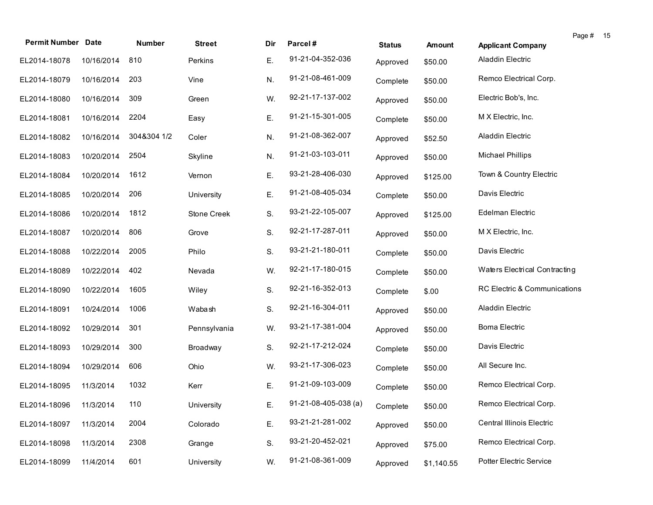| <b>Permit Number Date</b> |            | Number      | <b>Street</b> | Dir | Parcel#                | <b>Status</b> | <b>Amount</b> | <b>Applicant Company</b>         | Page # | - 15 |
|---------------------------|------------|-------------|---------------|-----|------------------------|---------------|---------------|----------------------------------|--------|------|
| EL2014-18078              | 10/16/2014 | 810         | Perkins       | Ε.  | 91-21-04-352-036       | Approved      | \$50.00       | Aladdin Electric                 |        |      |
| EL2014-18079              | 10/16/2014 | 203         | Vine          | N.  | 91-21-08-461-009       | Complete      | \$50.00       | Remco Electrical Corp.           |        |      |
| EL2014-18080              | 10/16/2014 | 309         | Green         | W.  | 92-21-17-137-002       | Approved      | \$50.00       | Electric Bob's, Inc.             |        |      |
| EL2014-18081              | 10/16/2014 | 2204        | Easy          | Ε.  | 91-21-15-301-005       | Complete      | \$50.00       | M X Electric, Inc.               |        |      |
| EL2014-18082              | 10/16/2014 | 304&304 1/2 | Coler         | N.  | 91-21-08-362-007       | Approved      | \$52.50       | Aladdin Electric                 |        |      |
| EL2014-18083              | 10/20/2014 | 2504        | Skyline       | N.  | 91-21-03-103-011       | Approved      | \$50.00       | <b>Michael Phillips</b>          |        |      |
| EL2014-18084              | 10/20/2014 | 1612        | Vernon        | Ε.  | 93-21-28-406-030       | Approved      | \$125.00      | Town & Country Electric          |        |      |
| EL2014-18085              | 10/20/2014 | 206         | University    | Ε.  | 91-21-08-405-034       | Complete      | \$50.00       | Davis Electric                   |        |      |
| EL2014-18086              | 10/20/2014 | 1812        | Stone Creek   | S.  | 93-21-22-105-007       | Approved      | \$125.00      | Edelman Electric                 |        |      |
| EL2014-18087              | 10/20/2014 | 806         | Grove         | S.  | 92-21-17-287-011       | Approved      | \$50.00       | M X Electric, Inc.               |        |      |
| EL2014-18088              | 10/22/2014 | 2005        | Philo         | S.  | 93-21-21-180-011       | Complete      | \$50.00       | Davis Electric                   |        |      |
| EL2014-18089              | 10/22/2014 | 402         | Nevada        | W.  | 92-21-17-180-015       | Complete      | \$50.00       | Waters Electrical Contracting    |        |      |
| EL2014-18090              | 10/22/2014 | 1605        | Wiley         | S.  | 92-21-16-352-013       | Complete      | \$.00         | RC Electric & Communications     |        |      |
| EL2014-18091              | 10/24/2014 | 1006        | Wabash        | S.  | 92-21-16-304-011       | Approved      | \$50.00       | Aladdin Electric                 |        |      |
| EL2014-18092              | 10/29/2014 | 301         | Pennsylvania  | W.  | 93-21-17-381-004       | Approved      | \$50.00       | <b>Boma Electric</b>             |        |      |
| EL2014-18093              | 10/29/2014 | 300         | Broadway      | S.  | 92-21-17-212-024       | Complete      | \$50.00       | Davis Electric                   |        |      |
| EL2014-18094              | 10/29/2014 | 606         | Ohio          | W.  | 93-21-17-306-023       | Complete      | \$50.00       | All Secure Inc.                  |        |      |
| EL2014-18095              | 11/3/2014  | 1032        | Kerr          | Ε.  | 91-21-09-103-009       | Complete      | \$50.00       | Remco Electrical Corp.           |        |      |
| EL2014-18096 11/3/2014    |            | 110         | University    | E.  | $91-21-08-405-038$ (a) | Complete      | \$50.00       | Remco Electrical Corp.           |        |      |
| EL2014-18097              | 11/3/2014  | 2004        | Colorado      | Ε.  | 93-21-21-281-002       | Approved      | \$50.00       | <b>Central Illinois Electric</b> |        |      |
| EL2014-18098              | 11/3/2014  | 2308        | Grange        | S.  | 93-21-20-452-021       | Approved      | \$75.00       | Remco Electrical Corp.           |        |      |
| EL2014-18099              | 11/4/2014  | 601         | University    | W.  | 91-21-08-361-009       | Approved      | \$1,140.55    | Potter Electric Service          |        |      |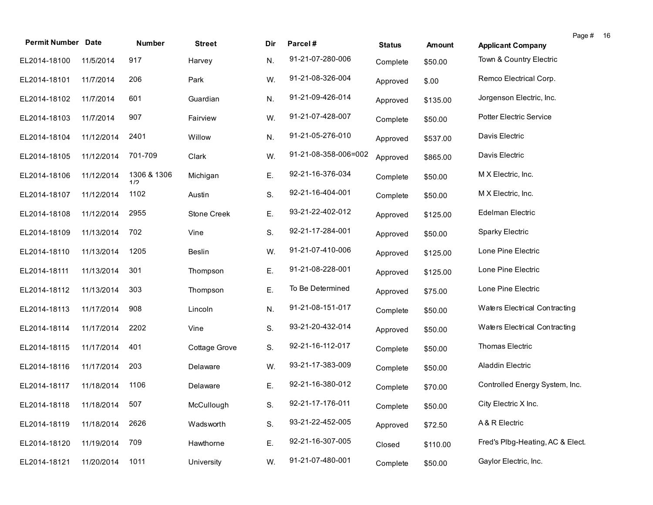| <b>Permit Number Date</b>   |            | Number             | <b>Street</b> | Dir | Parcel#              | <b>Status</b> | <b>Amount</b> | <b>Applicant Company</b>         | Page # | -16 |
|-----------------------------|------------|--------------------|---------------|-----|----------------------|---------------|---------------|----------------------------------|--------|-----|
| EL2014-18100                | 11/5/2014  | 917                | Harvey        | N.  | 91-21-07-280-006     | Complete      | \$50.00       | Town & Country Electric          |        |     |
| EL2014-18101                | 11/7/2014  | 206                | Park          | W.  | 91-21-08-326-004     | Approved      | \$.00         | Remco Electrical Corp.           |        |     |
| EL2014-18102                | 11/7/2014  | 601                | Guardian      | N.  | 91-21-09-426-014     | Approved      | \$135.00      | Jorgenson Electric, Inc.         |        |     |
| EL2014-18103                | 11/7/2014  | 907                | Fairview      | W.  | 91-21-07-428-007     | Complete      | \$50.00       | Potter Electric Service          |        |     |
| EL2014-18104                | 11/12/2014 | 2401               | Willow        | N.  | 91-21-05-276-010     | Approved      | \$537.00      | Davis Electric                   |        |     |
| EL2014-18105                | 11/12/2014 | 701-709            | Clark         | W.  | 91-21-08-358-006=002 | Approved      | \$865.00      | Davis Electric                   |        |     |
| EL2014-18106                | 11/12/2014 | 1306 & 1306<br>1/2 | Michigan      | Ε.  | 92-21-16-376-034     | Complete      | \$50.00       | M X Electric, Inc.               |        |     |
| EL2014-18107                | 11/12/2014 | 1102               | Austin        | S.  | 92-21-16-404-001     | Complete      | \$50.00       | M X Electric, Inc.               |        |     |
| EL2014-18108                | 11/12/2014 | 2955               | Stone Creek   | Ε.  | 93-21-22-402-012     | Approved      | \$125.00      | Edelman Electric                 |        |     |
| EL2014-18109                | 11/13/2014 | 702                | Vine          | S.  | 92-21-17-284-001     | Approved      | \$50.00       | Sparky Electric                  |        |     |
| EL2014-18110                | 11/13/2014 | 1205               | <b>Beslin</b> | W.  | 91-21-07-410-006     | Approved      | \$125.00      | Lone Pine Electric               |        |     |
| EL2014-18111                | 11/13/2014 | 301                | Thompson      | Ε.  | 91-21-08-228-001     | Approved      | \$125.00      | Lone Pine Electric               |        |     |
| EL2014-18112                | 11/13/2014 | 303                | Thompson      | Ε.  | To Be Determined     | Approved      | \$75.00       | Lone Pine Electric               |        |     |
| EL2014-18113                | 11/17/2014 | 908                | Lincoln       | N.  | 91-21-08-151-017     | Complete      | \$50.00       | Waters Electrical Contracting    |        |     |
| EL2014-18114                | 11/17/2014 | 2202               | Vine          | S.  | 93-21-20-432-014     | Approved      | \$50.00       | Waters Electrical Contracting    |        |     |
| EL2014-18115                | 11/17/2014 | 401                | Cottage Grove | S.  | 92-21-16-112-017     | Complete      | \$50.00       | Thomas Electric                  |        |     |
| EL2014-18116                | 11/17/2014 | 203                | Delaware      | W.  | 93-21-17-383-009     | Complete      | \$50.00       | Aladdin Electric                 |        |     |
| EL2014-18117                | 11/18/2014 | 1106               | Delaware      | E.  | 92-21-16-380-012     | Complete      | \$70.00       | Controlled Energy System, Inc.   |        |     |
| EL2014-18118 11/18/2014 507 |            |                    | McCullough    | S.  | 92-21-17-176-011     | Complete      | \$50.00       | City Electric X Inc.             |        |     |
| EL2014-18119                | 11/18/2014 | 2626               | Wadsworth     | S.  | 93-21-22-452-005     | Approved      | \$72.50       | A & R Electric                   |        |     |
| EL2014-18120                | 11/19/2014 | 709                | Hawthorne     | Ε.  | 92-21-16-307-005     | Closed        | \$110.00      | Fred's Plbg-Heating, AC & Elect. |        |     |
| EL2014-18121                | 11/20/2014 | 1011               | University    | W.  | 91-21-07-480-001     | Complete      | \$50.00       | Gaylor Electric, Inc.            |        |     |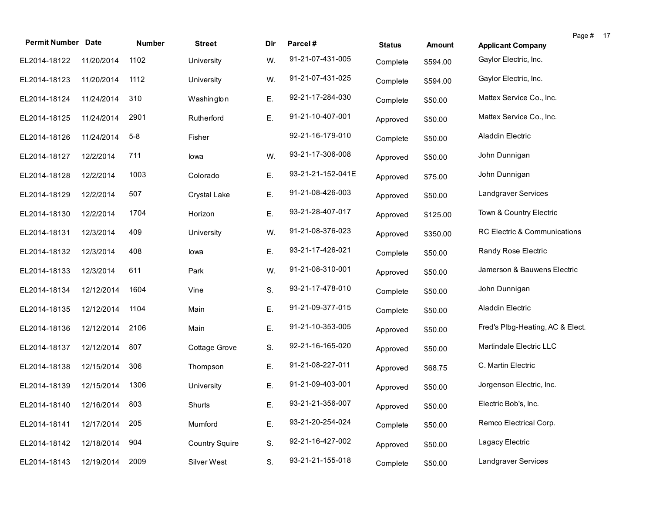| <b>Permit Number Date</b>   |            | Number  | <b>Street</b>         | Dir | Parcel#           | <b>Status</b> | <b>Amount</b> | Page # 17<br><b>Applicant Company</b> |  |
|-----------------------------|------------|---------|-----------------------|-----|-------------------|---------------|---------------|---------------------------------------|--|
| EL2014-18122                | 11/20/2014 | 1102    | University            | W.  | 91-21-07-431-005  | Complete      | \$594.00      | Gaylor Electric, Inc.                 |  |
| EL2014-18123                | 11/20/2014 | 1112    | University            | W.  | 91-21-07-431-025  | Complete      | \$594.00      | Gaylor Electric, Inc.                 |  |
| EL2014-18124                | 11/24/2014 | 310     | Washington            | Ε.  | 92-21-17-284-030  | Complete      | \$50.00       | Mattex Service Co., Inc.              |  |
| EL2014-18125                | 11/24/2014 | 2901    | Rutherford            | Ε.  | 91-21-10-407-001  | Approved      | \$50.00       | Mattex Service Co., Inc.              |  |
| EL2014-18126                | 11/24/2014 | $5 - 8$ | Fisher                |     | 92-21-16-179-010  | Complete      | \$50.00       | Aladdin Electric                      |  |
| EL2014-18127                | 12/2/2014  | 711     | lowa                  | W.  | 93-21-17-306-008  | Approved      | \$50.00       | John Dunnigan                         |  |
| EL2014-18128                | 12/2/2014  | 1003    | Colorado              | Ε.  | 93-21-21-152-041E | Approved      | \$75.00       | John Dunnigan                         |  |
| EL2014-18129                | 12/2/2014  | 507     | Crystal Lake          | Ε.  | 91-21-08-426-003  | Approved      | \$50.00       | Landgraver Services                   |  |
| EL2014-18130                | 12/2/2014  | 1704    | Horizon               | Ε.  | 93-21-28-407-017  | Approved      | \$125.00      | Town & Country Electric               |  |
| EL2014-18131                | 12/3/2014  | 409     | University            | W.  | 91-21-08-376-023  | Approved      | \$350.00      | RC Electric & Communications          |  |
| EL2014-18132                | 12/3/2014  | 408     | lowa                  | Ε.  | 93-21-17-426-021  | Complete      | \$50.00       | Randy Rose Electric                   |  |
| EL2014-18133                | 12/3/2014  | 611     | Park                  | W.  | 91-21-08-310-001  | Approved      | \$50.00       | Jamerson & Bauwens Electric           |  |
| EL2014-18134                | 12/12/2014 | 1604    | Vine                  | S.  | 93-21-17-478-010  | Complete      | \$50.00       | John Dunnigan                         |  |
| EL2014-18135                | 12/12/2014 | 1104    | Main                  | Ε.  | 91-21-09-377-015  | Complete      | \$50.00       | Aladdin Electric                      |  |
| EL2014-18136                | 12/12/2014 | 2106    | Main                  | Ε.  | 91-21-10-353-005  | Approved      | \$50.00       | Fred's Plbg-Heating, AC & Elect.      |  |
| EL2014-18137                | 12/12/2014 | 807     | Cottage Grove         | S.  | 92-21-16-165-020  | Approved      | \$50.00       | Martindale Electric LLC               |  |
| EL2014-18138                | 12/15/2014 | 306     | Thompson              | Ε.  | 91-21-08-227-011  | Approved      | \$68.75       | C. Martin Electric                    |  |
| EL2014-18139                | 12/15/2014 | 1306    | University            | Ε.  | 91-21-09-403-001  | Approved      | \$50.00       | Jorgenson Electric, Inc.              |  |
| EL2014-18140 12/16/2014 803 |            |         | Shurts                | Е.  | 93-21-21-356-007  | Approved      | \$50.00       | Electric Bob's, Inc.                  |  |
| EL2014-18141                | 12/17/2014 | 205     | Mumford               | Ε.  | 93-21-20-254-024  | Complete      | \$50.00       | Remco Electrical Corp.                |  |
| EL2014-18142                | 12/18/2014 | 904     | <b>Country Squire</b> | S.  | 92-21-16-427-002  | Approved      | \$50.00       | Lagacy Electric                       |  |
| EL2014-18143                | 12/19/2014 | 2009    | Silver West           | S.  | 93-21-21-155-018  | Complete      | \$50.00       | Landgraver Services                   |  |